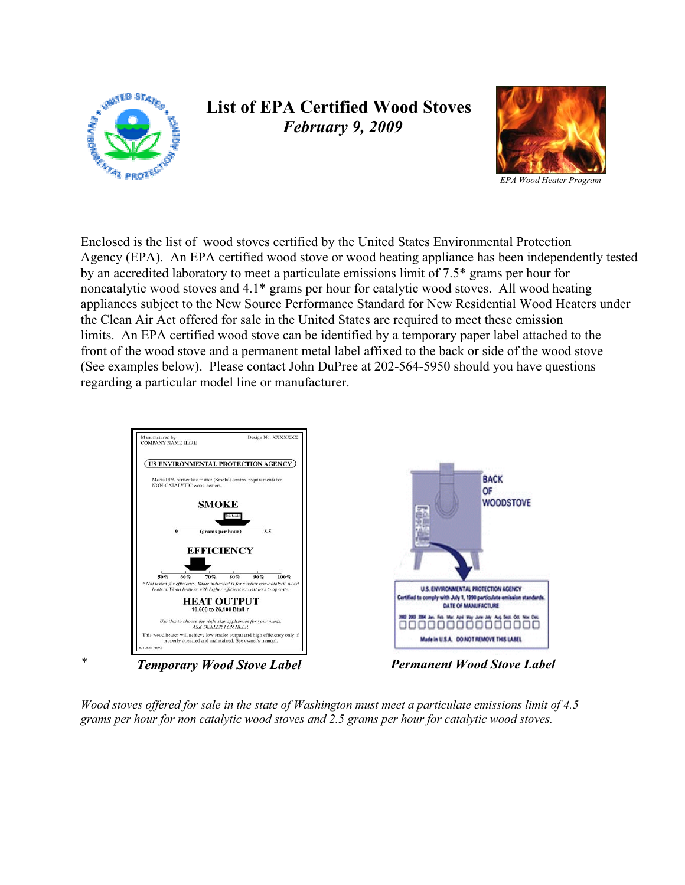

## **List of EPA Certified Wood Stoves**  *February 9, 2009*



Enclosed is the list of wood stoves certified by the United States Environmental Protection Agency (EPA). An EPA certified wood stove or wood heating appliance has been independently tested by an accredited laboratory to meet a particulate emissions limit of 7.5\* grams per hour for noncatalytic wood stoves and 4.1\* grams per hour for catalytic wood stoves. All wood heating appliances subject to the New Source Performance Standard for New Residential Wood Heaters under the Clean Air Act offered for sale in the United States are required to meet these emission limits. An EPA certified wood stove can be identified by a temporary paper label attached to the front of the wood stove and a permanent metal label affixed to the back or side of the wood stove (See examples below). Please contact John DuPree at 202-564-5950 should you have questions regarding a particular model line or manufacturer.



*Wood stoves offered for sale in the state of Washington must meet a particulate emissions limit of 4.5 grams per hour for non catalytic wood stoves and 2.5 grams per hour for catalytic wood stoves.*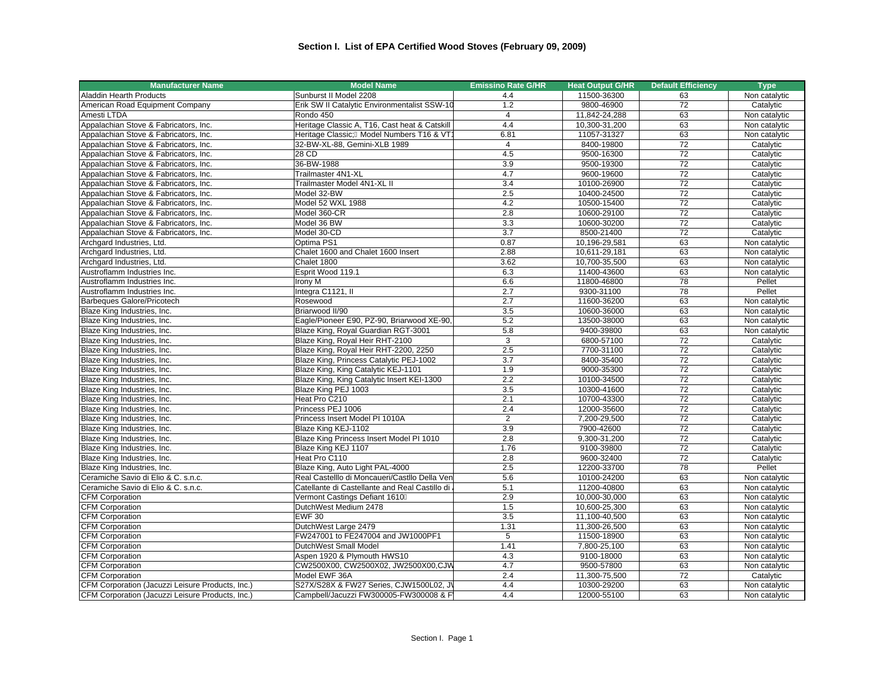| Aladdin Hearth Products<br>Sunburst II Model 2208<br>11500-36300<br>4.4<br>63<br>Non catalytic<br>Erik SW II Catalytic Environmentalist SSW-10<br>1.2<br>9800-46900<br>72<br>American Road Equipment Company<br>Catalytic<br>$\overline{4}$<br>11,842-24,288<br>63<br>Amesti LTDA<br>Rondo 450<br>Non catalytic<br>4.4<br>Appalachian Stove & Fabricators, Inc.<br>Heritage Classic A, T16, Cast heat & Catskill<br>63<br>10,300-31,200<br>Non catalytic<br>63<br>Heritage Classic; Model Numbers T16 & VT1<br>6.81<br>11057-31327<br>Appalachian Stove & Fabricators, Inc.<br>Non catalytic<br>32-BW-XL-88, Gemini-XLB 1989<br>72<br>Appalachian Stove & Fabricators, Inc.<br>$\overline{4}$<br>8400-19800<br>Catalytic<br>72<br>4.5<br>28 CD<br>9500-16300<br>Appalachian Stove & Fabricators, Inc.<br>Catalytic<br>72<br>36-BW-1988<br>3.9<br>9500-19300<br>Catalytic<br>Appalachian Stove & Fabricators, Inc.<br>Appalachian Stove & Fabricators, Inc.<br>Trailmaster 4N1-XL<br>4.7<br>9600-19600<br>72<br>Catalytic<br>$\overline{72}$<br>Trailmaster Model 4N1-XL II<br>3.4<br>10100-26900<br>Appalachian Stove & Fabricators, Inc.<br>Catalytic<br>Appalachian Stove & Fabricators, Inc.<br>2.5<br>72<br>Model 32-BW<br>10400-24500<br>Catalytic<br>Appalachian Stove & Fabricators, Inc.<br>Model 52 WXL 1988<br>4.2<br>10500-15400<br>72<br>Catalytic<br>2.8<br>72<br>Appalachian Stove & Fabricators, Inc.<br>Model 360-CR<br>10600-29100<br>Catalytic<br>Appalachian Stove & Fabricators, Inc.<br>Model 36 BW<br>3.3<br>10600-30200<br>72<br>Catalytic<br>Model 30-CD<br>3.7<br>72<br>Appalachian Stove & Fabricators, Inc.<br>8500-21400<br>Catalytic<br>63<br>Optima PS1<br>0.87<br>Archgard Industries, Ltd.<br>10,196-29,581<br>Non catalytic<br>63<br>Archgard Industries, Ltd.<br>Chalet 1600 and Chalet 1600 Insert<br>2.88<br>10,611-29,181<br>Non catalytic<br>63<br>Chalet 1800<br>3.62<br>Non catalytic<br>Archgard Industries, Ltd.<br>10,700-35,500<br>63<br>Esprit Wood 119.1<br>6.3<br>Non catalytic<br>Austroflamm Industries Inc.<br>11400-43600<br>11800-46800<br>78<br>Pellet<br>Austroflamm Industries Inc.<br>Irony M<br>6.6<br>2.7<br>78<br>Integra C1121, II<br>9300-31100<br>Pellet<br>Austroflamm Industries Inc.<br>2.7<br>63<br><b>Barbeques Galore/Pricotech</b><br>Rosewood<br>11600-36200<br>Non catalytic<br>Blaze King Industries, Inc.<br>Briarwood II/90<br>3.5<br>10600-36000<br>63<br>Non catalytic<br>Eagle/Pioneer E90, PZ-90, Briarwood XE-90,<br>5.2<br>63<br>Blaze King Industries, Inc.<br>13500-38000<br>Non catalytic<br>Blaze King Industries, Inc.<br>Blaze King, Royal Guardian RGT-3001<br>5.8<br>9400-39800<br>63<br>Non catalytic<br>3<br>6800-57100<br>72<br>Blaze King Industries, Inc.<br>Blaze King, Royal Heir RHT-2100<br>Catalytic<br>2.5<br>$\overline{72}$<br>Blaze King Industries, Inc.<br>Blaze King, Royal Heir RHT-2200, 2250<br>7700-31100<br>Catalytic<br>72<br>Blaze King Industries, Inc.<br>Blaze King, Princess Catalytic PEJ-1002<br>3.7<br>8400-35400<br>Catalytic<br>$\overline{72}$<br>Blaze King Industries, Inc.<br>Blaze King, King Catalytic KEJ-1101<br>1.9<br>9000-35300<br>Catalytic<br>2.2<br>72<br>Blaze King Industries, Inc.<br>Blaze King, King Catalytic Insert KEI-1300<br>10100-34500<br>Catalytic<br>Blaze King Industries, Inc.<br>Blaze King PEJ 1003<br>3.5<br>72<br>10300-41600<br>Catalytic<br>Heat Pro C210<br>2.1<br>10700-43300<br>72<br>Blaze King Industries, Inc.<br>Catalytic<br>Princess PEJ 1006<br>2.4<br>72<br>Blaze King Industries, Inc.<br>12000-35600<br>Catalytic<br>Blaze King Industries, Inc.<br>Princess Insert Model PI 1010A<br>$\overline{2}$<br>7,200-29,500<br>72<br>Catalytic<br>3.9<br>72<br>Blaze King Industries, Inc.<br>Blaze King KEJ-1102<br>7900-42600<br>Catalytic<br>Blaze King Princess Insert Model PI 1010<br>2.8<br>72<br>Blaze King Industries, Inc.<br>9,300-31,200<br>Catalytic<br>1.76<br>72<br>Blaze King Industries, Inc.<br>Blaze King KEJ 1107<br>9100-39800<br>Catalytic<br>72<br>Blaze King Industries, Inc.<br>Heat Pro C110<br>2.8<br>9600-32400<br>Catalytic<br>78<br>Blaze King Industries, Inc.<br>Blaze King, Auto Light PAL-4000<br>2.5<br>12200-33700<br>Pellet<br>Ceramiche Savio di Elio & C. s.n.c.<br>Real Castelllo di Moncaueri/Castllo Della Ven<br>5.6<br>10100-24200<br>63<br>Non catalytic<br>5.1<br>63<br>Ceramiche Savio di Elio & C. s.n.c.<br>Catellante di Castellante and Real Castillo di<br>11200-40800<br>Non catalytic<br>Vermont Castings Defiant 1610<br>2.9<br>10,000-30,000<br>63<br><b>CFM Corporation</b><br>Non catalytic<br>63<br><b>CFM Corporation</b><br>DutchWest Medium 2478<br>1.5<br>10,600-25,300<br>Non catalytic<br>63<br><b>CFM Corporation</b><br><b>EWF 30</b><br>3.5<br>11,100-40,500<br>Non catalytic<br><b>CFM Corporation</b><br>DutchWest Large 2479<br>1.31<br>11,300-26,500<br>63<br>Non catalytic<br>$\overline{5}$<br>63<br>FW247001 to FE247004 and JW1000PF1<br><b>CFM Corporation</b><br>11500-18900<br>Non catalytic<br><b>CFM Corporation</b><br>DutchWest Small Model<br>1.41<br>63<br>7,800-25,100<br>Non catalytic<br>63<br><b>CFM Corporation</b><br>Aspen 1920 & Plymouth HWS10<br>4.3<br>9100-18000<br>Non catalytic<br>CW2500X00, CW2500X02, JW2500X00,CJW<br>4.7<br>63<br><b>CFM Corporation</b><br>9500-57800<br>Non catalytic<br>72<br><b>CFM Corporation</b><br>Model EWF 36A<br>2.4<br>11,300-75,500<br>Catalytic<br>S27X/S28X & FW27 Series, CJW1500L02, J\<br>4.4<br>10300-29200<br>63<br>CFM Corporation (Jacuzzi Leisure Products, Inc.)<br>Non catalytic | <b>Manufacturer Name</b>                         | <b>Model Name</b>                      | <b>Emissino Rate G/HR</b> | <b>Heat Output G/HR</b> | <b>Default Efficiency</b> | <b>Type</b>   |
|------------------------------------------------------------------------------------------------------------------------------------------------------------------------------------------------------------------------------------------------------------------------------------------------------------------------------------------------------------------------------------------------------------------------------------------------------------------------------------------------------------------------------------------------------------------------------------------------------------------------------------------------------------------------------------------------------------------------------------------------------------------------------------------------------------------------------------------------------------------------------------------------------------------------------------------------------------------------------------------------------------------------------------------------------------------------------------------------------------------------------------------------------------------------------------------------------------------------------------------------------------------------------------------------------------------------------------------------------------------------------------------------------------------------------------------------------------------------------------------------------------------------------------------------------------------------------------------------------------------------------------------------------------------------------------------------------------------------------------------------------------------------------------------------------------------------------------------------------------------------------------------------------------------------------------------------------------------------------------------------------------------------------------------------------------------------------------------------------------------------------------------------------------------------------------------------------------------------------------------------------------------------------------------------------------------------------------------------------------------------------------------------------------------------------------------------------------------------------------------------------------------------------------------------------------------------------------------------------------------------------------------------------------------------------------------------------------------------------------------------------------------------------------------------------------------------------------------------------------------------------------------------------------------------------------------------------------------------------------------------------------------------------------------------------------------------------------------------------------------------------------------------------------------------------------------------------------------------------------------------------------------------------------------------------------------------------------------------------------------------------------------------------------------------------------------------------------------------------------------------------------------------------------------------------------------------------------------------------------------------------------------------------------------------------------------------------------------------------------------------------------------------------------------------------------------------------------------------------------------------------------------------------------------------------------------------------------------------------------------------------------------------------------------------------------------------------------------------------------------------------------------------------------------------------------------------------------------------------------------------------------------------------------------------------------------------------------------------------------------------------------------------------------------------------------------------------------------------------------------------------------------------------------------------------------------------------------------------------------------------------------------------------------------------------------------------------------------------------------------------------------------------------------------------------------------------------------------------------------------------------------------------------------------------------------------------------------------------------------------------------------------------------------------------------------------------------------------------------------------------------------------------------------------------------------------------------------------------------------------------------------------------------------------------------------------------------------------------------------------------------------------------------------------------------------------------------------------------------------------------------------------------------------------------------------------------------------------------------|--------------------------------------------------|----------------------------------------|---------------------------|-------------------------|---------------------------|---------------|
|                                                                                                                                                                                                                                                                                                                                                                                                                                                                                                                                                                                                                                                                                                                                                                                                                                                                                                                                                                                                                                                                                                                                                                                                                                                                                                                                                                                                                                                                                                                                                                                                                                                                                                                                                                                                                                                                                                                                                                                                                                                                                                                                                                                                                                                                                                                                                                                                                                                                                                                                                                                                                                                                                                                                                                                                                                                                                                                                                                                                                                                                                                                                                                                                                                                                                                                                                                                                                                                                                                                                                                                                                                                                                                                                                                                                                                                                                                                                                                                                                                                                                                                                                                                                                                                                                                                                                                                                                                                                                                                                                                                                                                                                                                                                                                                                                                                                                                                                                                                                                                                                                                                                                                                                                                                                                                                                                                                                                                                                                                                                                                                                      |                                                  |                                        |                           |                         |                           |               |
|                                                                                                                                                                                                                                                                                                                                                                                                                                                                                                                                                                                                                                                                                                                                                                                                                                                                                                                                                                                                                                                                                                                                                                                                                                                                                                                                                                                                                                                                                                                                                                                                                                                                                                                                                                                                                                                                                                                                                                                                                                                                                                                                                                                                                                                                                                                                                                                                                                                                                                                                                                                                                                                                                                                                                                                                                                                                                                                                                                                                                                                                                                                                                                                                                                                                                                                                                                                                                                                                                                                                                                                                                                                                                                                                                                                                                                                                                                                                                                                                                                                                                                                                                                                                                                                                                                                                                                                                                                                                                                                                                                                                                                                                                                                                                                                                                                                                                                                                                                                                                                                                                                                                                                                                                                                                                                                                                                                                                                                                                                                                                                                                      |                                                  |                                        |                           |                         |                           |               |
|                                                                                                                                                                                                                                                                                                                                                                                                                                                                                                                                                                                                                                                                                                                                                                                                                                                                                                                                                                                                                                                                                                                                                                                                                                                                                                                                                                                                                                                                                                                                                                                                                                                                                                                                                                                                                                                                                                                                                                                                                                                                                                                                                                                                                                                                                                                                                                                                                                                                                                                                                                                                                                                                                                                                                                                                                                                                                                                                                                                                                                                                                                                                                                                                                                                                                                                                                                                                                                                                                                                                                                                                                                                                                                                                                                                                                                                                                                                                                                                                                                                                                                                                                                                                                                                                                                                                                                                                                                                                                                                                                                                                                                                                                                                                                                                                                                                                                                                                                                                                                                                                                                                                                                                                                                                                                                                                                                                                                                                                                                                                                                                                      |                                                  |                                        |                           |                         |                           |               |
|                                                                                                                                                                                                                                                                                                                                                                                                                                                                                                                                                                                                                                                                                                                                                                                                                                                                                                                                                                                                                                                                                                                                                                                                                                                                                                                                                                                                                                                                                                                                                                                                                                                                                                                                                                                                                                                                                                                                                                                                                                                                                                                                                                                                                                                                                                                                                                                                                                                                                                                                                                                                                                                                                                                                                                                                                                                                                                                                                                                                                                                                                                                                                                                                                                                                                                                                                                                                                                                                                                                                                                                                                                                                                                                                                                                                                                                                                                                                                                                                                                                                                                                                                                                                                                                                                                                                                                                                                                                                                                                                                                                                                                                                                                                                                                                                                                                                                                                                                                                                                                                                                                                                                                                                                                                                                                                                                                                                                                                                                                                                                                                                      |                                                  |                                        |                           |                         |                           |               |
|                                                                                                                                                                                                                                                                                                                                                                                                                                                                                                                                                                                                                                                                                                                                                                                                                                                                                                                                                                                                                                                                                                                                                                                                                                                                                                                                                                                                                                                                                                                                                                                                                                                                                                                                                                                                                                                                                                                                                                                                                                                                                                                                                                                                                                                                                                                                                                                                                                                                                                                                                                                                                                                                                                                                                                                                                                                                                                                                                                                                                                                                                                                                                                                                                                                                                                                                                                                                                                                                                                                                                                                                                                                                                                                                                                                                                                                                                                                                                                                                                                                                                                                                                                                                                                                                                                                                                                                                                                                                                                                                                                                                                                                                                                                                                                                                                                                                                                                                                                                                                                                                                                                                                                                                                                                                                                                                                                                                                                                                                                                                                                                                      |                                                  |                                        |                           |                         |                           |               |
|                                                                                                                                                                                                                                                                                                                                                                                                                                                                                                                                                                                                                                                                                                                                                                                                                                                                                                                                                                                                                                                                                                                                                                                                                                                                                                                                                                                                                                                                                                                                                                                                                                                                                                                                                                                                                                                                                                                                                                                                                                                                                                                                                                                                                                                                                                                                                                                                                                                                                                                                                                                                                                                                                                                                                                                                                                                                                                                                                                                                                                                                                                                                                                                                                                                                                                                                                                                                                                                                                                                                                                                                                                                                                                                                                                                                                                                                                                                                                                                                                                                                                                                                                                                                                                                                                                                                                                                                                                                                                                                                                                                                                                                                                                                                                                                                                                                                                                                                                                                                                                                                                                                                                                                                                                                                                                                                                                                                                                                                                                                                                                                                      |                                                  |                                        |                           |                         |                           |               |
|                                                                                                                                                                                                                                                                                                                                                                                                                                                                                                                                                                                                                                                                                                                                                                                                                                                                                                                                                                                                                                                                                                                                                                                                                                                                                                                                                                                                                                                                                                                                                                                                                                                                                                                                                                                                                                                                                                                                                                                                                                                                                                                                                                                                                                                                                                                                                                                                                                                                                                                                                                                                                                                                                                                                                                                                                                                                                                                                                                                                                                                                                                                                                                                                                                                                                                                                                                                                                                                                                                                                                                                                                                                                                                                                                                                                                                                                                                                                                                                                                                                                                                                                                                                                                                                                                                                                                                                                                                                                                                                                                                                                                                                                                                                                                                                                                                                                                                                                                                                                                                                                                                                                                                                                                                                                                                                                                                                                                                                                                                                                                                                                      |                                                  |                                        |                           |                         |                           |               |
|                                                                                                                                                                                                                                                                                                                                                                                                                                                                                                                                                                                                                                                                                                                                                                                                                                                                                                                                                                                                                                                                                                                                                                                                                                                                                                                                                                                                                                                                                                                                                                                                                                                                                                                                                                                                                                                                                                                                                                                                                                                                                                                                                                                                                                                                                                                                                                                                                                                                                                                                                                                                                                                                                                                                                                                                                                                                                                                                                                                                                                                                                                                                                                                                                                                                                                                                                                                                                                                                                                                                                                                                                                                                                                                                                                                                                                                                                                                                                                                                                                                                                                                                                                                                                                                                                                                                                                                                                                                                                                                                                                                                                                                                                                                                                                                                                                                                                                                                                                                                                                                                                                                                                                                                                                                                                                                                                                                                                                                                                                                                                                                                      |                                                  |                                        |                           |                         |                           |               |
|                                                                                                                                                                                                                                                                                                                                                                                                                                                                                                                                                                                                                                                                                                                                                                                                                                                                                                                                                                                                                                                                                                                                                                                                                                                                                                                                                                                                                                                                                                                                                                                                                                                                                                                                                                                                                                                                                                                                                                                                                                                                                                                                                                                                                                                                                                                                                                                                                                                                                                                                                                                                                                                                                                                                                                                                                                                                                                                                                                                                                                                                                                                                                                                                                                                                                                                                                                                                                                                                                                                                                                                                                                                                                                                                                                                                                                                                                                                                                                                                                                                                                                                                                                                                                                                                                                                                                                                                                                                                                                                                                                                                                                                                                                                                                                                                                                                                                                                                                                                                                                                                                                                                                                                                                                                                                                                                                                                                                                                                                                                                                                                                      |                                                  |                                        |                           |                         |                           |               |
|                                                                                                                                                                                                                                                                                                                                                                                                                                                                                                                                                                                                                                                                                                                                                                                                                                                                                                                                                                                                                                                                                                                                                                                                                                                                                                                                                                                                                                                                                                                                                                                                                                                                                                                                                                                                                                                                                                                                                                                                                                                                                                                                                                                                                                                                                                                                                                                                                                                                                                                                                                                                                                                                                                                                                                                                                                                                                                                                                                                                                                                                                                                                                                                                                                                                                                                                                                                                                                                                                                                                                                                                                                                                                                                                                                                                                                                                                                                                                                                                                                                                                                                                                                                                                                                                                                                                                                                                                                                                                                                                                                                                                                                                                                                                                                                                                                                                                                                                                                                                                                                                                                                                                                                                                                                                                                                                                                                                                                                                                                                                                                                                      |                                                  |                                        |                           |                         |                           |               |
|                                                                                                                                                                                                                                                                                                                                                                                                                                                                                                                                                                                                                                                                                                                                                                                                                                                                                                                                                                                                                                                                                                                                                                                                                                                                                                                                                                                                                                                                                                                                                                                                                                                                                                                                                                                                                                                                                                                                                                                                                                                                                                                                                                                                                                                                                                                                                                                                                                                                                                                                                                                                                                                                                                                                                                                                                                                                                                                                                                                                                                                                                                                                                                                                                                                                                                                                                                                                                                                                                                                                                                                                                                                                                                                                                                                                                                                                                                                                                                                                                                                                                                                                                                                                                                                                                                                                                                                                                                                                                                                                                                                                                                                                                                                                                                                                                                                                                                                                                                                                                                                                                                                                                                                                                                                                                                                                                                                                                                                                                                                                                                                                      |                                                  |                                        |                           |                         |                           |               |
|                                                                                                                                                                                                                                                                                                                                                                                                                                                                                                                                                                                                                                                                                                                                                                                                                                                                                                                                                                                                                                                                                                                                                                                                                                                                                                                                                                                                                                                                                                                                                                                                                                                                                                                                                                                                                                                                                                                                                                                                                                                                                                                                                                                                                                                                                                                                                                                                                                                                                                                                                                                                                                                                                                                                                                                                                                                                                                                                                                                                                                                                                                                                                                                                                                                                                                                                                                                                                                                                                                                                                                                                                                                                                                                                                                                                                                                                                                                                                                                                                                                                                                                                                                                                                                                                                                                                                                                                                                                                                                                                                                                                                                                                                                                                                                                                                                                                                                                                                                                                                                                                                                                                                                                                                                                                                                                                                                                                                                                                                                                                                                                                      |                                                  |                                        |                           |                         |                           |               |
|                                                                                                                                                                                                                                                                                                                                                                                                                                                                                                                                                                                                                                                                                                                                                                                                                                                                                                                                                                                                                                                                                                                                                                                                                                                                                                                                                                                                                                                                                                                                                                                                                                                                                                                                                                                                                                                                                                                                                                                                                                                                                                                                                                                                                                                                                                                                                                                                                                                                                                                                                                                                                                                                                                                                                                                                                                                                                                                                                                                                                                                                                                                                                                                                                                                                                                                                                                                                                                                                                                                                                                                                                                                                                                                                                                                                                                                                                                                                                                                                                                                                                                                                                                                                                                                                                                                                                                                                                                                                                                                                                                                                                                                                                                                                                                                                                                                                                                                                                                                                                                                                                                                                                                                                                                                                                                                                                                                                                                                                                                                                                                                                      |                                                  |                                        |                           |                         |                           |               |
|                                                                                                                                                                                                                                                                                                                                                                                                                                                                                                                                                                                                                                                                                                                                                                                                                                                                                                                                                                                                                                                                                                                                                                                                                                                                                                                                                                                                                                                                                                                                                                                                                                                                                                                                                                                                                                                                                                                                                                                                                                                                                                                                                                                                                                                                                                                                                                                                                                                                                                                                                                                                                                                                                                                                                                                                                                                                                                                                                                                                                                                                                                                                                                                                                                                                                                                                                                                                                                                                                                                                                                                                                                                                                                                                                                                                                                                                                                                                                                                                                                                                                                                                                                                                                                                                                                                                                                                                                                                                                                                                                                                                                                                                                                                                                                                                                                                                                                                                                                                                                                                                                                                                                                                                                                                                                                                                                                                                                                                                                                                                                                                                      |                                                  |                                        |                           |                         |                           |               |
|                                                                                                                                                                                                                                                                                                                                                                                                                                                                                                                                                                                                                                                                                                                                                                                                                                                                                                                                                                                                                                                                                                                                                                                                                                                                                                                                                                                                                                                                                                                                                                                                                                                                                                                                                                                                                                                                                                                                                                                                                                                                                                                                                                                                                                                                                                                                                                                                                                                                                                                                                                                                                                                                                                                                                                                                                                                                                                                                                                                                                                                                                                                                                                                                                                                                                                                                                                                                                                                                                                                                                                                                                                                                                                                                                                                                                                                                                                                                                                                                                                                                                                                                                                                                                                                                                                                                                                                                                                                                                                                                                                                                                                                                                                                                                                                                                                                                                                                                                                                                                                                                                                                                                                                                                                                                                                                                                                                                                                                                                                                                                                                                      |                                                  |                                        |                           |                         |                           |               |
|                                                                                                                                                                                                                                                                                                                                                                                                                                                                                                                                                                                                                                                                                                                                                                                                                                                                                                                                                                                                                                                                                                                                                                                                                                                                                                                                                                                                                                                                                                                                                                                                                                                                                                                                                                                                                                                                                                                                                                                                                                                                                                                                                                                                                                                                                                                                                                                                                                                                                                                                                                                                                                                                                                                                                                                                                                                                                                                                                                                                                                                                                                                                                                                                                                                                                                                                                                                                                                                                                                                                                                                                                                                                                                                                                                                                                                                                                                                                                                                                                                                                                                                                                                                                                                                                                                                                                                                                                                                                                                                                                                                                                                                                                                                                                                                                                                                                                                                                                                                                                                                                                                                                                                                                                                                                                                                                                                                                                                                                                                                                                                                                      |                                                  |                                        |                           |                         |                           |               |
|                                                                                                                                                                                                                                                                                                                                                                                                                                                                                                                                                                                                                                                                                                                                                                                                                                                                                                                                                                                                                                                                                                                                                                                                                                                                                                                                                                                                                                                                                                                                                                                                                                                                                                                                                                                                                                                                                                                                                                                                                                                                                                                                                                                                                                                                                                                                                                                                                                                                                                                                                                                                                                                                                                                                                                                                                                                                                                                                                                                                                                                                                                                                                                                                                                                                                                                                                                                                                                                                                                                                                                                                                                                                                                                                                                                                                                                                                                                                                                                                                                                                                                                                                                                                                                                                                                                                                                                                                                                                                                                                                                                                                                                                                                                                                                                                                                                                                                                                                                                                                                                                                                                                                                                                                                                                                                                                                                                                                                                                                                                                                                                                      |                                                  |                                        |                           |                         |                           |               |
|                                                                                                                                                                                                                                                                                                                                                                                                                                                                                                                                                                                                                                                                                                                                                                                                                                                                                                                                                                                                                                                                                                                                                                                                                                                                                                                                                                                                                                                                                                                                                                                                                                                                                                                                                                                                                                                                                                                                                                                                                                                                                                                                                                                                                                                                                                                                                                                                                                                                                                                                                                                                                                                                                                                                                                                                                                                                                                                                                                                                                                                                                                                                                                                                                                                                                                                                                                                                                                                                                                                                                                                                                                                                                                                                                                                                                                                                                                                                                                                                                                                                                                                                                                                                                                                                                                                                                                                                                                                                                                                                                                                                                                                                                                                                                                                                                                                                                                                                                                                                                                                                                                                                                                                                                                                                                                                                                                                                                                                                                                                                                                                                      |                                                  |                                        |                           |                         |                           |               |
|                                                                                                                                                                                                                                                                                                                                                                                                                                                                                                                                                                                                                                                                                                                                                                                                                                                                                                                                                                                                                                                                                                                                                                                                                                                                                                                                                                                                                                                                                                                                                                                                                                                                                                                                                                                                                                                                                                                                                                                                                                                                                                                                                                                                                                                                                                                                                                                                                                                                                                                                                                                                                                                                                                                                                                                                                                                                                                                                                                                                                                                                                                                                                                                                                                                                                                                                                                                                                                                                                                                                                                                                                                                                                                                                                                                                                                                                                                                                                                                                                                                                                                                                                                                                                                                                                                                                                                                                                                                                                                                                                                                                                                                                                                                                                                                                                                                                                                                                                                                                                                                                                                                                                                                                                                                                                                                                                                                                                                                                                                                                                                                                      |                                                  |                                        |                           |                         |                           |               |
|                                                                                                                                                                                                                                                                                                                                                                                                                                                                                                                                                                                                                                                                                                                                                                                                                                                                                                                                                                                                                                                                                                                                                                                                                                                                                                                                                                                                                                                                                                                                                                                                                                                                                                                                                                                                                                                                                                                                                                                                                                                                                                                                                                                                                                                                                                                                                                                                                                                                                                                                                                                                                                                                                                                                                                                                                                                                                                                                                                                                                                                                                                                                                                                                                                                                                                                                                                                                                                                                                                                                                                                                                                                                                                                                                                                                                                                                                                                                                                                                                                                                                                                                                                                                                                                                                                                                                                                                                                                                                                                                                                                                                                                                                                                                                                                                                                                                                                                                                                                                                                                                                                                                                                                                                                                                                                                                                                                                                                                                                                                                                                                                      |                                                  |                                        |                           |                         |                           |               |
|                                                                                                                                                                                                                                                                                                                                                                                                                                                                                                                                                                                                                                                                                                                                                                                                                                                                                                                                                                                                                                                                                                                                                                                                                                                                                                                                                                                                                                                                                                                                                                                                                                                                                                                                                                                                                                                                                                                                                                                                                                                                                                                                                                                                                                                                                                                                                                                                                                                                                                                                                                                                                                                                                                                                                                                                                                                                                                                                                                                                                                                                                                                                                                                                                                                                                                                                                                                                                                                                                                                                                                                                                                                                                                                                                                                                                                                                                                                                                                                                                                                                                                                                                                                                                                                                                                                                                                                                                                                                                                                                                                                                                                                                                                                                                                                                                                                                                                                                                                                                                                                                                                                                                                                                                                                                                                                                                                                                                                                                                                                                                                                                      |                                                  |                                        |                           |                         |                           |               |
|                                                                                                                                                                                                                                                                                                                                                                                                                                                                                                                                                                                                                                                                                                                                                                                                                                                                                                                                                                                                                                                                                                                                                                                                                                                                                                                                                                                                                                                                                                                                                                                                                                                                                                                                                                                                                                                                                                                                                                                                                                                                                                                                                                                                                                                                                                                                                                                                                                                                                                                                                                                                                                                                                                                                                                                                                                                                                                                                                                                                                                                                                                                                                                                                                                                                                                                                                                                                                                                                                                                                                                                                                                                                                                                                                                                                                                                                                                                                                                                                                                                                                                                                                                                                                                                                                                                                                                                                                                                                                                                                                                                                                                                                                                                                                                                                                                                                                                                                                                                                                                                                                                                                                                                                                                                                                                                                                                                                                                                                                                                                                                                                      |                                                  |                                        |                           |                         |                           |               |
|                                                                                                                                                                                                                                                                                                                                                                                                                                                                                                                                                                                                                                                                                                                                                                                                                                                                                                                                                                                                                                                                                                                                                                                                                                                                                                                                                                                                                                                                                                                                                                                                                                                                                                                                                                                                                                                                                                                                                                                                                                                                                                                                                                                                                                                                                                                                                                                                                                                                                                                                                                                                                                                                                                                                                                                                                                                                                                                                                                                                                                                                                                                                                                                                                                                                                                                                                                                                                                                                                                                                                                                                                                                                                                                                                                                                                                                                                                                                                                                                                                                                                                                                                                                                                                                                                                                                                                                                                                                                                                                                                                                                                                                                                                                                                                                                                                                                                                                                                                                                                                                                                                                                                                                                                                                                                                                                                                                                                                                                                                                                                                                                      |                                                  |                                        |                           |                         |                           |               |
|                                                                                                                                                                                                                                                                                                                                                                                                                                                                                                                                                                                                                                                                                                                                                                                                                                                                                                                                                                                                                                                                                                                                                                                                                                                                                                                                                                                                                                                                                                                                                                                                                                                                                                                                                                                                                                                                                                                                                                                                                                                                                                                                                                                                                                                                                                                                                                                                                                                                                                                                                                                                                                                                                                                                                                                                                                                                                                                                                                                                                                                                                                                                                                                                                                                                                                                                                                                                                                                                                                                                                                                                                                                                                                                                                                                                                                                                                                                                                                                                                                                                                                                                                                                                                                                                                                                                                                                                                                                                                                                                                                                                                                                                                                                                                                                                                                                                                                                                                                                                                                                                                                                                                                                                                                                                                                                                                                                                                                                                                                                                                                                                      |                                                  |                                        |                           |                         |                           |               |
|                                                                                                                                                                                                                                                                                                                                                                                                                                                                                                                                                                                                                                                                                                                                                                                                                                                                                                                                                                                                                                                                                                                                                                                                                                                                                                                                                                                                                                                                                                                                                                                                                                                                                                                                                                                                                                                                                                                                                                                                                                                                                                                                                                                                                                                                                                                                                                                                                                                                                                                                                                                                                                                                                                                                                                                                                                                                                                                                                                                                                                                                                                                                                                                                                                                                                                                                                                                                                                                                                                                                                                                                                                                                                                                                                                                                                                                                                                                                                                                                                                                                                                                                                                                                                                                                                                                                                                                                                                                                                                                                                                                                                                                                                                                                                                                                                                                                                                                                                                                                                                                                                                                                                                                                                                                                                                                                                                                                                                                                                                                                                                                                      |                                                  |                                        |                           |                         |                           |               |
|                                                                                                                                                                                                                                                                                                                                                                                                                                                                                                                                                                                                                                                                                                                                                                                                                                                                                                                                                                                                                                                                                                                                                                                                                                                                                                                                                                                                                                                                                                                                                                                                                                                                                                                                                                                                                                                                                                                                                                                                                                                                                                                                                                                                                                                                                                                                                                                                                                                                                                                                                                                                                                                                                                                                                                                                                                                                                                                                                                                                                                                                                                                                                                                                                                                                                                                                                                                                                                                                                                                                                                                                                                                                                                                                                                                                                                                                                                                                                                                                                                                                                                                                                                                                                                                                                                                                                                                                                                                                                                                                                                                                                                                                                                                                                                                                                                                                                                                                                                                                                                                                                                                                                                                                                                                                                                                                                                                                                                                                                                                                                                                                      |                                                  |                                        |                           |                         |                           |               |
|                                                                                                                                                                                                                                                                                                                                                                                                                                                                                                                                                                                                                                                                                                                                                                                                                                                                                                                                                                                                                                                                                                                                                                                                                                                                                                                                                                                                                                                                                                                                                                                                                                                                                                                                                                                                                                                                                                                                                                                                                                                                                                                                                                                                                                                                                                                                                                                                                                                                                                                                                                                                                                                                                                                                                                                                                                                                                                                                                                                                                                                                                                                                                                                                                                                                                                                                                                                                                                                                                                                                                                                                                                                                                                                                                                                                                                                                                                                                                                                                                                                                                                                                                                                                                                                                                                                                                                                                                                                                                                                                                                                                                                                                                                                                                                                                                                                                                                                                                                                                                                                                                                                                                                                                                                                                                                                                                                                                                                                                                                                                                                                                      |                                                  |                                        |                           |                         |                           |               |
|                                                                                                                                                                                                                                                                                                                                                                                                                                                                                                                                                                                                                                                                                                                                                                                                                                                                                                                                                                                                                                                                                                                                                                                                                                                                                                                                                                                                                                                                                                                                                                                                                                                                                                                                                                                                                                                                                                                                                                                                                                                                                                                                                                                                                                                                                                                                                                                                                                                                                                                                                                                                                                                                                                                                                                                                                                                                                                                                                                                                                                                                                                                                                                                                                                                                                                                                                                                                                                                                                                                                                                                                                                                                                                                                                                                                                                                                                                                                                                                                                                                                                                                                                                                                                                                                                                                                                                                                                                                                                                                                                                                                                                                                                                                                                                                                                                                                                                                                                                                                                                                                                                                                                                                                                                                                                                                                                                                                                                                                                                                                                                                                      |                                                  |                                        |                           |                         |                           |               |
|                                                                                                                                                                                                                                                                                                                                                                                                                                                                                                                                                                                                                                                                                                                                                                                                                                                                                                                                                                                                                                                                                                                                                                                                                                                                                                                                                                                                                                                                                                                                                                                                                                                                                                                                                                                                                                                                                                                                                                                                                                                                                                                                                                                                                                                                                                                                                                                                                                                                                                                                                                                                                                                                                                                                                                                                                                                                                                                                                                                                                                                                                                                                                                                                                                                                                                                                                                                                                                                                                                                                                                                                                                                                                                                                                                                                                                                                                                                                                                                                                                                                                                                                                                                                                                                                                                                                                                                                                                                                                                                                                                                                                                                                                                                                                                                                                                                                                                                                                                                                                                                                                                                                                                                                                                                                                                                                                                                                                                                                                                                                                                                                      |                                                  |                                        |                           |                         |                           |               |
|                                                                                                                                                                                                                                                                                                                                                                                                                                                                                                                                                                                                                                                                                                                                                                                                                                                                                                                                                                                                                                                                                                                                                                                                                                                                                                                                                                                                                                                                                                                                                                                                                                                                                                                                                                                                                                                                                                                                                                                                                                                                                                                                                                                                                                                                                                                                                                                                                                                                                                                                                                                                                                                                                                                                                                                                                                                                                                                                                                                                                                                                                                                                                                                                                                                                                                                                                                                                                                                                                                                                                                                                                                                                                                                                                                                                                                                                                                                                                                                                                                                                                                                                                                                                                                                                                                                                                                                                                                                                                                                                                                                                                                                                                                                                                                                                                                                                                                                                                                                                                                                                                                                                                                                                                                                                                                                                                                                                                                                                                                                                                                                                      |                                                  |                                        |                           |                         |                           |               |
|                                                                                                                                                                                                                                                                                                                                                                                                                                                                                                                                                                                                                                                                                                                                                                                                                                                                                                                                                                                                                                                                                                                                                                                                                                                                                                                                                                                                                                                                                                                                                                                                                                                                                                                                                                                                                                                                                                                                                                                                                                                                                                                                                                                                                                                                                                                                                                                                                                                                                                                                                                                                                                                                                                                                                                                                                                                                                                                                                                                                                                                                                                                                                                                                                                                                                                                                                                                                                                                                                                                                                                                                                                                                                                                                                                                                                                                                                                                                                                                                                                                                                                                                                                                                                                                                                                                                                                                                                                                                                                                                                                                                                                                                                                                                                                                                                                                                                                                                                                                                                                                                                                                                                                                                                                                                                                                                                                                                                                                                                                                                                                                                      |                                                  |                                        |                           |                         |                           |               |
|                                                                                                                                                                                                                                                                                                                                                                                                                                                                                                                                                                                                                                                                                                                                                                                                                                                                                                                                                                                                                                                                                                                                                                                                                                                                                                                                                                                                                                                                                                                                                                                                                                                                                                                                                                                                                                                                                                                                                                                                                                                                                                                                                                                                                                                                                                                                                                                                                                                                                                                                                                                                                                                                                                                                                                                                                                                                                                                                                                                                                                                                                                                                                                                                                                                                                                                                                                                                                                                                                                                                                                                                                                                                                                                                                                                                                                                                                                                                                                                                                                                                                                                                                                                                                                                                                                                                                                                                                                                                                                                                                                                                                                                                                                                                                                                                                                                                                                                                                                                                                                                                                                                                                                                                                                                                                                                                                                                                                                                                                                                                                                                                      |                                                  |                                        |                           |                         |                           |               |
|                                                                                                                                                                                                                                                                                                                                                                                                                                                                                                                                                                                                                                                                                                                                                                                                                                                                                                                                                                                                                                                                                                                                                                                                                                                                                                                                                                                                                                                                                                                                                                                                                                                                                                                                                                                                                                                                                                                                                                                                                                                                                                                                                                                                                                                                                                                                                                                                                                                                                                                                                                                                                                                                                                                                                                                                                                                                                                                                                                                                                                                                                                                                                                                                                                                                                                                                                                                                                                                                                                                                                                                                                                                                                                                                                                                                                                                                                                                                                                                                                                                                                                                                                                                                                                                                                                                                                                                                                                                                                                                                                                                                                                                                                                                                                                                                                                                                                                                                                                                                                                                                                                                                                                                                                                                                                                                                                                                                                                                                                                                                                                                                      |                                                  |                                        |                           |                         |                           |               |
|                                                                                                                                                                                                                                                                                                                                                                                                                                                                                                                                                                                                                                                                                                                                                                                                                                                                                                                                                                                                                                                                                                                                                                                                                                                                                                                                                                                                                                                                                                                                                                                                                                                                                                                                                                                                                                                                                                                                                                                                                                                                                                                                                                                                                                                                                                                                                                                                                                                                                                                                                                                                                                                                                                                                                                                                                                                                                                                                                                                                                                                                                                                                                                                                                                                                                                                                                                                                                                                                                                                                                                                                                                                                                                                                                                                                                                                                                                                                                                                                                                                                                                                                                                                                                                                                                                                                                                                                                                                                                                                                                                                                                                                                                                                                                                                                                                                                                                                                                                                                                                                                                                                                                                                                                                                                                                                                                                                                                                                                                                                                                                                                      |                                                  |                                        |                           |                         |                           |               |
|                                                                                                                                                                                                                                                                                                                                                                                                                                                                                                                                                                                                                                                                                                                                                                                                                                                                                                                                                                                                                                                                                                                                                                                                                                                                                                                                                                                                                                                                                                                                                                                                                                                                                                                                                                                                                                                                                                                                                                                                                                                                                                                                                                                                                                                                                                                                                                                                                                                                                                                                                                                                                                                                                                                                                                                                                                                                                                                                                                                                                                                                                                                                                                                                                                                                                                                                                                                                                                                                                                                                                                                                                                                                                                                                                                                                                                                                                                                                                                                                                                                                                                                                                                                                                                                                                                                                                                                                                                                                                                                                                                                                                                                                                                                                                                                                                                                                                                                                                                                                                                                                                                                                                                                                                                                                                                                                                                                                                                                                                                                                                                                                      |                                                  |                                        |                           |                         |                           |               |
|                                                                                                                                                                                                                                                                                                                                                                                                                                                                                                                                                                                                                                                                                                                                                                                                                                                                                                                                                                                                                                                                                                                                                                                                                                                                                                                                                                                                                                                                                                                                                                                                                                                                                                                                                                                                                                                                                                                                                                                                                                                                                                                                                                                                                                                                                                                                                                                                                                                                                                                                                                                                                                                                                                                                                                                                                                                                                                                                                                                                                                                                                                                                                                                                                                                                                                                                                                                                                                                                                                                                                                                                                                                                                                                                                                                                                                                                                                                                                                                                                                                                                                                                                                                                                                                                                                                                                                                                                                                                                                                                                                                                                                                                                                                                                                                                                                                                                                                                                                                                                                                                                                                                                                                                                                                                                                                                                                                                                                                                                                                                                                                                      |                                                  |                                        |                           |                         |                           |               |
|                                                                                                                                                                                                                                                                                                                                                                                                                                                                                                                                                                                                                                                                                                                                                                                                                                                                                                                                                                                                                                                                                                                                                                                                                                                                                                                                                                                                                                                                                                                                                                                                                                                                                                                                                                                                                                                                                                                                                                                                                                                                                                                                                                                                                                                                                                                                                                                                                                                                                                                                                                                                                                                                                                                                                                                                                                                                                                                                                                                                                                                                                                                                                                                                                                                                                                                                                                                                                                                                                                                                                                                                                                                                                                                                                                                                                                                                                                                                                                                                                                                                                                                                                                                                                                                                                                                                                                                                                                                                                                                                                                                                                                                                                                                                                                                                                                                                                                                                                                                                                                                                                                                                                                                                                                                                                                                                                                                                                                                                                                                                                                                                      |                                                  |                                        |                           |                         |                           |               |
|                                                                                                                                                                                                                                                                                                                                                                                                                                                                                                                                                                                                                                                                                                                                                                                                                                                                                                                                                                                                                                                                                                                                                                                                                                                                                                                                                                                                                                                                                                                                                                                                                                                                                                                                                                                                                                                                                                                                                                                                                                                                                                                                                                                                                                                                                                                                                                                                                                                                                                                                                                                                                                                                                                                                                                                                                                                                                                                                                                                                                                                                                                                                                                                                                                                                                                                                                                                                                                                                                                                                                                                                                                                                                                                                                                                                                                                                                                                                                                                                                                                                                                                                                                                                                                                                                                                                                                                                                                                                                                                                                                                                                                                                                                                                                                                                                                                                                                                                                                                                                                                                                                                                                                                                                                                                                                                                                                                                                                                                                                                                                                                                      |                                                  |                                        |                           |                         |                           |               |
|                                                                                                                                                                                                                                                                                                                                                                                                                                                                                                                                                                                                                                                                                                                                                                                                                                                                                                                                                                                                                                                                                                                                                                                                                                                                                                                                                                                                                                                                                                                                                                                                                                                                                                                                                                                                                                                                                                                                                                                                                                                                                                                                                                                                                                                                                                                                                                                                                                                                                                                                                                                                                                                                                                                                                                                                                                                                                                                                                                                                                                                                                                                                                                                                                                                                                                                                                                                                                                                                                                                                                                                                                                                                                                                                                                                                                                                                                                                                                                                                                                                                                                                                                                                                                                                                                                                                                                                                                                                                                                                                                                                                                                                                                                                                                                                                                                                                                                                                                                                                                                                                                                                                                                                                                                                                                                                                                                                                                                                                                                                                                                                                      |                                                  |                                        |                           |                         |                           |               |
|                                                                                                                                                                                                                                                                                                                                                                                                                                                                                                                                                                                                                                                                                                                                                                                                                                                                                                                                                                                                                                                                                                                                                                                                                                                                                                                                                                                                                                                                                                                                                                                                                                                                                                                                                                                                                                                                                                                                                                                                                                                                                                                                                                                                                                                                                                                                                                                                                                                                                                                                                                                                                                                                                                                                                                                                                                                                                                                                                                                                                                                                                                                                                                                                                                                                                                                                                                                                                                                                                                                                                                                                                                                                                                                                                                                                                                                                                                                                                                                                                                                                                                                                                                                                                                                                                                                                                                                                                                                                                                                                                                                                                                                                                                                                                                                                                                                                                                                                                                                                                                                                                                                                                                                                                                                                                                                                                                                                                                                                                                                                                                                                      |                                                  |                                        |                           |                         |                           |               |
|                                                                                                                                                                                                                                                                                                                                                                                                                                                                                                                                                                                                                                                                                                                                                                                                                                                                                                                                                                                                                                                                                                                                                                                                                                                                                                                                                                                                                                                                                                                                                                                                                                                                                                                                                                                                                                                                                                                                                                                                                                                                                                                                                                                                                                                                                                                                                                                                                                                                                                                                                                                                                                                                                                                                                                                                                                                                                                                                                                                                                                                                                                                                                                                                                                                                                                                                                                                                                                                                                                                                                                                                                                                                                                                                                                                                                                                                                                                                                                                                                                                                                                                                                                                                                                                                                                                                                                                                                                                                                                                                                                                                                                                                                                                                                                                                                                                                                                                                                                                                                                                                                                                                                                                                                                                                                                                                                                                                                                                                                                                                                                                                      |                                                  |                                        |                           |                         |                           |               |
|                                                                                                                                                                                                                                                                                                                                                                                                                                                                                                                                                                                                                                                                                                                                                                                                                                                                                                                                                                                                                                                                                                                                                                                                                                                                                                                                                                                                                                                                                                                                                                                                                                                                                                                                                                                                                                                                                                                                                                                                                                                                                                                                                                                                                                                                                                                                                                                                                                                                                                                                                                                                                                                                                                                                                                                                                                                                                                                                                                                                                                                                                                                                                                                                                                                                                                                                                                                                                                                                                                                                                                                                                                                                                                                                                                                                                                                                                                                                                                                                                                                                                                                                                                                                                                                                                                                                                                                                                                                                                                                                                                                                                                                                                                                                                                                                                                                                                                                                                                                                                                                                                                                                                                                                                                                                                                                                                                                                                                                                                                                                                                                                      |                                                  |                                        |                           |                         |                           |               |
|                                                                                                                                                                                                                                                                                                                                                                                                                                                                                                                                                                                                                                                                                                                                                                                                                                                                                                                                                                                                                                                                                                                                                                                                                                                                                                                                                                                                                                                                                                                                                                                                                                                                                                                                                                                                                                                                                                                                                                                                                                                                                                                                                                                                                                                                                                                                                                                                                                                                                                                                                                                                                                                                                                                                                                                                                                                                                                                                                                                                                                                                                                                                                                                                                                                                                                                                                                                                                                                                                                                                                                                                                                                                                                                                                                                                                                                                                                                                                                                                                                                                                                                                                                                                                                                                                                                                                                                                                                                                                                                                                                                                                                                                                                                                                                                                                                                                                                                                                                                                                                                                                                                                                                                                                                                                                                                                                                                                                                                                                                                                                                                                      |                                                  |                                        |                           |                         |                           |               |
|                                                                                                                                                                                                                                                                                                                                                                                                                                                                                                                                                                                                                                                                                                                                                                                                                                                                                                                                                                                                                                                                                                                                                                                                                                                                                                                                                                                                                                                                                                                                                                                                                                                                                                                                                                                                                                                                                                                                                                                                                                                                                                                                                                                                                                                                                                                                                                                                                                                                                                                                                                                                                                                                                                                                                                                                                                                                                                                                                                                                                                                                                                                                                                                                                                                                                                                                                                                                                                                                                                                                                                                                                                                                                                                                                                                                                                                                                                                                                                                                                                                                                                                                                                                                                                                                                                                                                                                                                                                                                                                                                                                                                                                                                                                                                                                                                                                                                                                                                                                                                                                                                                                                                                                                                                                                                                                                                                                                                                                                                                                                                                                                      |                                                  |                                        |                           |                         |                           |               |
|                                                                                                                                                                                                                                                                                                                                                                                                                                                                                                                                                                                                                                                                                                                                                                                                                                                                                                                                                                                                                                                                                                                                                                                                                                                                                                                                                                                                                                                                                                                                                                                                                                                                                                                                                                                                                                                                                                                                                                                                                                                                                                                                                                                                                                                                                                                                                                                                                                                                                                                                                                                                                                                                                                                                                                                                                                                                                                                                                                                                                                                                                                                                                                                                                                                                                                                                                                                                                                                                                                                                                                                                                                                                                                                                                                                                                                                                                                                                                                                                                                                                                                                                                                                                                                                                                                                                                                                                                                                                                                                                                                                                                                                                                                                                                                                                                                                                                                                                                                                                                                                                                                                                                                                                                                                                                                                                                                                                                                                                                                                                                                                                      |                                                  |                                        |                           |                         |                           |               |
|                                                                                                                                                                                                                                                                                                                                                                                                                                                                                                                                                                                                                                                                                                                                                                                                                                                                                                                                                                                                                                                                                                                                                                                                                                                                                                                                                                                                                                                                                                                                                                                                                                                                                                                                                                                                                                                                                                                                                                                                                                                                                                                                                                                                                                                                                                                                                                                                                                                                                                                                                                                                                                                                                                                                                                                                                                                                                                                                                                                                                                                                                                                                                                                                                                                                                                                                                                                                                                                                                                                                                                                                                                                                                                                                                                                                                                                                                                                                                                                                                                                                                                                                                                                                                                                                                                                                                                                                                                                                                                                                                                                                                                                                                                                                                                                                                                                                                                                                                                                                                                                                                                                                                                                                                                                                                                                                                                                                                                                                                                                                                                                                      |                                                  |                                        |                           |                         |                           |               |
|                                                                                                                                                                                                                                                                                                                                                                                                                                                                                                                                                                                                                                                                                                                                                                                                                                                                                                                                                                                                                                                                                                                                                                                                                                                                                                                                                                                                                                                                                                                                                                                                                                                                                                                                                                                                                                                                                                                                                                                                                                                                                                                                                                                                                                                                                                                                                                                                                                                                                                                                                                                                                                                                                                                                                                                                                                                                                                                                                                                                                                                                                                                                                                                                                                                                                                                                                                                                                                                                                                                                                                                                                                                                                                                                                                                                                                                                                                                                                                                                                                                                                                                                                                                                                                                                                                                                                                                                                                                                                                                                                                                                                                                                                                                                                                                                                                                                                                                                                                                                                                                                                                                                                                                                                                                                                                                                                                                                                                                                                                                                                                                                      |                                                  |                                        |                           |                         |                           |               |
|                                                                                                                                                                                                                                                                                                                                                                                                                                                                                                                                                                                                                                                                                                                                                                                                                                                                                                                                                                                                                                                                                                                                                                                                                                                                                                                                                                                                                                                                                                                                                                                                                                                                                                                                                                                                                                                                                                                                                                                                                                                                                                                                                                                                                                                                                                                                                                                                                                                                                                                                                                                                                                                                                                                                                                                                                                                                                                                                                                                                                                                                                                                                                                                                                                                                                                                                                                                                                                                                                                                                                                                                                                                                                                                                                                                                                                                                                                                                                                                                                                                                                                                                                                                                                                                                                                                                                                                                                                                                                                                                                                                                                                                                                                                                                                                                                                                                                                                                                                                                                                                                                                                                                                                                                                                                                                                                                                                                                                                                                                                                                                                                      |                                                  |                                        |                           |                         |                           |               |
|                                                                                                                                                                                                                                                                                                                                                                                                                                                                                                                                                                                                                                                                                                                                                                                                                                                                                                                                                                                                                                                                                                                                                                                                                                                                                                                                                                                                                                                                                                                                                                                                                                                                                                                                                                                                                                                                                                                                                                                                                                                                                                                                                                                                                                                                                                                                                                                                                                                                                                                                                                                                                                                                                                                                                                                                                                                                                                                                                                                                                                                                                                                                                                                                                                                                                                                                                                                                                                                                                                                                                                                                                                                                                                                                                                                                                                                                                                                                                                                                                                                                                                                                                                                                                                                                                                                                                                                                                                                                                                                                                                                                                                                                                                                                                                                                                                                                                                                                                                                                                                                                                                                                                                                                                                                                                                                                                                                                                                                                                                                                                                                                      |                                                  |                                        |                           |                         |                           |               |
|                                                                                                                                                                                                                                                                                                                                                                                                                                                                                                                                                                                                                                                                                                                                                                                                                                                                                                                                                                                                                                                                                                                                                                                                                                                                                                                                                                                                                                                                                                                                                                                                                                                                                                                                                                                                                                                                                                                                                                                                                                                                                                                                                                                                                                                                                                                                                                                                                                                                                                                                                                                                                                                                                                                                                                                                                                                                                                                                                                                                                                                                                                                                                                                                                                                                                                                                                                                                                                                                                                                                                                                                                                                                                                                                                                                                                                                                                                                                                                                                                                                                                                                                                                                                                                                                                                                                                                                                                                                                                                                                                                                                                                                                                                                                                                                                                                                                                                                                                                                                                                                                                                                                                                                                                                                                                                                                                                                                                                                                                                                                                                                                      |                                                  |                                        |                           |                         |                           |               |
|                                                                                                                                                                                                                                                                                                                                                                                                                                                                                                                                                                                                                                                                                                                                                                                                                                                                                                                                                                                                                                                                                                                                                                                                                                                                                                                                                                                                                                                                                                                                                                                                                                                                                                                                                                                                                                                                                                                                                                                                                                                                                                                                                                                                                                                                                                                                                                                                                                                                                                                                                                                                                                                                                                                                                                                                                                                                                                                                                                                                                                                                                                                                                                                                                                                                                                                                                                                                                                                                                                                                                                                                                                                                                                                                                                                                                                                                                                                                                                                                                                                                                                                                                                                                                                                                                                                                                                                                                                                                                                                                                                                                                                                                                                                                                                                                                                                                                                                                                                                                                                                                                                                                                                                                                                                                                                                                                                                                                                                                                                                                                                                                      |                                                  |                                        |                           |                         |                           |               |
|                                                                                                                                                                                                                                                                                                                                                                                                                                                                                                                                                                                                                                                                                                                                                                                                                                                                                                                                                                                                                                                                                                                                                                                                                                                                                                                                                                                                                                                                                                                                                                                                                                                                                                                                                                                                                                                                                                                                                                                                                                                                                                                                                                                                                                                                                                                                                                                                                                                                                                                                                                                                                                                                                                                                                                                                                                                                                                                                                                                                                                                                                                                                                                                                                                                                                                                                                                                                                                                                                                                                                                                                                                                                                                                                                                                                                                                                                                                                                                                                                                                                                                                                                                                                                                                                                                                                                                                                                                                                                                                                                                                                                                                                                                                                                                                                                                                                                                                                                                                                                                                                                                                                                                                                                                                                                                                                                                                                                                                                                                                                                                                                      | CFM Corporation (Jacuzzi Leisure Products, Inc.) | Campbell/Jacuzzi FW300005-FW300008 & F | 4.4                       | 12000-55100             | 63                        | Non catalytic |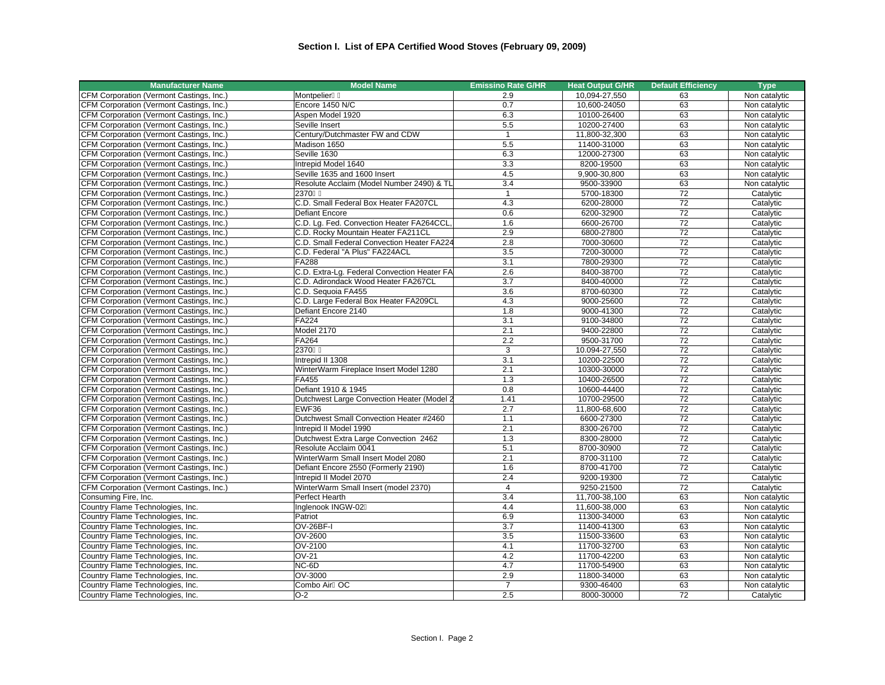| <b>Manufacturer Name</b>                 | <b>Model Name</b>                           | <b>Emissino Rate G/HR</b> | <b>Heat Output G/HR</b> | <b>Default Efficiency</b> | <b>Type</b>   |
|------------------------------------------|---------------------------------------------|---------------------------|-------------------------|---------------------------|---------------|
| CFM Corporation (Vermont Castings, Inc.) | Montpelier                                  | 2.9                       | 10,094-27,550           | 63                        | Non catalytic |
| CFM Corporation (Vermont Castings, Inc.) | Encore 1450 N/C                             | 0.7                       | 10,600-24050            | 63                        | Non catalytic |
| CFM Corporation (Vermont Castings, Inc.) | Aspen Model 1920                            | 6.3                       | 10100-26400             | 63                        | Non catalytic |
| CFM Corporation (Vermont Castings, Inc.) | Seville Insert                              | 5.5                       | 10200-27400             | 63                        | Non catalytic |
| CFM Corporation (Vermont Castings, Inc.) | Century/Dutchmaster FW and CDW              | $\mathbf{1}$              | 11,800-32,300           | 63                        | Non catalytic |
| CFM Corporation (Vermont Castings, Inc.) | Madison 1650                                | 5.5                       | 11400-31000             | 63                        | Non catalytic |
| CFM Corporation (Vermont Castings, Inc.) | Seville 1630                                | 6.3                       | 12000-27300             | 63                        | Non catalytic |
| CFM Corporation (Vermont Castings, Inc.) | Intrepid Model 1640                         | 3.3                       | 8200-19500              | 63                        | Non catalytic |
| CFM Corporation (Vermont Castings, Inc.) | Seville 1635 and 1600 Insert                | 4.5                       | 9,900-30,800            | 63                        | Non catalytic |
| CFM Corporation (Vermont Castings, Inc.) | Resolute Acclaim (Model Number 2490) & TL   | 3.4                       | 9500-33900              | 63                        | Non catalytic |
| CFM Corporation (Vermont Castings, Inc.) | 2370                                        | $\mathbf{1}$              | 5700-18300              | 72                        | Catalytic     |
| CFM Corporation (Vermont Castings, Inc.) | C.D. Small Federal Box Heater FA207CL       | 4.3                       | 6200-28000              | 72                        | Catalytic     |
| CFM Corporation (Vermont Castings, Inc.) | Defiant Encore                              | 0.6                       | 6200-32900              | 72                        | Catalytic     |
| CFM Corporation (Vermont Castings, Inc.) | C.D. Lg. Fed. Convection Heater FA264CCL,   | 1.6                       | 6600-26700              | 72                        | Catalytic     |
| CFM Corporation (Vermont Castings, Inc.) | C.D. Rocky Mountain Heater FA211CL          | 2.9                       | 6800-27800              | 72                        | Catalytic     |
| CFM Corporation (Vermont Castings, Inc.) | C.D. Small Federal Convection Heater FA224  | 2.8                       | 7000-30600              | 72                        | Catalytic     |
| CFM Corporation (Vermont Castings, Inc.) | C.D. Federal "A Plus" FA224ACL              | 3.5                       | 7200-30000              | 72                        | Catalytic     |
| CFM Corporation (Vermont Castings, Inc.) | FA288                                       | 3.1                       | 7800-29300              | 72                        | Catalytic     |
| CFM Corporation (Vermont Castings, Inc.) | C.D. Extra-Lg. Federal Convection Heater FA | 2.6                       | 8400-38700              | 72                        | Catalytic     |
| CFM Corporation (Vermont Castings, Inc.) | C.D. Adirondack Wood Heater FA267CL         | 3.7                       | 8400-40000              | $\overline{72}$           | Catalytic     |
| CFM Corporation (Vermont Castings, Inc.) | C.D. Sequoia FA455                          | 3.6                       | 8700-60300              | 72                        | Catalytic     |
| CFM Corporation (Vermont Castings, Inc.) | C.D. Large Federal Box Heater FA209CL       | 4.3                       | 9000-25600              | 72                        | Catalvtic     |
| CFM Corporation (Vermont Castings, Inc.) | Defiant Encore 2140                         | 1.8                       | 9000-41300              | 72                        | Catalytic     |
| CFM Corporation (Vermont Castings, Inc.) | FA224                                       | 3.1                       | 9100-34800              | 72                        | Catalytic     |
| CFM Corporation (Vermont Castings, Inc.) | Model 2170                                  | 2.1                       | 9400-22800              | 72                        | Catalytic     |
| CFM Corporation (Vermont Castings, Inc.) | FA264                                       | 2.2                       | 9500-31700              | $\overline{72}$           | Catalytic     |
| CFM Corporation (Vermont Castings, Inc.) | 2370                                        | 3                         | 10.094-27,550           | 72                        | Catalytic     |
| CFM Corporation (Vermont Castings, Inc.) | Intrepid II 1308                            | 3.1                       | 10200-22500             | 72                        | Catalytic     |
| CFM Corporation (Vermont Castings, Inc.) | WinterWarm Fireplace Insert Model 1280      | 2.1                       | 10300-30000             | 72                        | Catalytic     |
| CFM Corporation (Vermont Castings, Inc.) | FA455                                       | 1.3                       | 10400-26500             | 72                        | Catalytic     |
| CFM Corporation (Vermont Castings, Inc.) | Defiant 1910 & 1945                         | 0.8                       | 10600-44400             | $\overline{72}$           | Catalytic     |
| CFM Corporation (Vermont Castings, Inc.) | Dutchwest Large Convection Heater (Model 2  | 1.41                      | 10700-29500             | $\overline{72}$           | Catalytic     |
| CFM Corporation (Vermont Castings, Inc.) | EWF36                                       | 2.7                       | 11,800-68,600           | 72                        | Catalytic     |
| CFM Corporation (Vermont Castings, Inc.) | Dutchwest Small Convection Heater #2460     | 1.1                       | 6600-27300              | 72                        | Catalytic     |
| CFM Corporation (Vermont Castings, Inc.) | Intrepid II Model 1990                      | 2.1                       | 8300-26700              | 72                        | Catalytic     |
| CFM Corporation (Vermont Castings, Inc.) | Dutchwest Extra Large Convection 2462       | 1.3                       | 8300-28000              | 72                        | Catalytic     |
| CFM Corporation (Vermont Castings, Inc.) | Resolute Acclaim 0041                       | 5.1                       | 8700-30900              | $\overline{72}$           | Catalytic     |
| CFM Corporation (Vermont Castings, Inc.) | WinterWarm Small Insert Model 2080          | 2.1                       | 8700-31100              | 72                        | Catalytic     |
| CFM Corporation (Vermont Castings, Inc.) | Defiant Encore 2550 (Formerly 2190)         | 1.6                       | 8700-41700              | 72                        | Catalytic     |
| CFM Corporation (Vermont Castings, Inc.) | Intrepid II Model 2070                      | 2.4                       | 9200-19300              | 72                        | Catalytic     |
| CFM Corporation (Vermont Castings, Inc.) | WinterWarm Small Insert (model 2370)        | $\overline{4}$            | 9250-21500              | 72                        | Catalytic     |
| Consuming Fire, Inc.                     | Perfect Hearth                              | 3.4                       | 11,700-38,100           | 63                        | Non catalytic |
| Country Flame Technologies, Inc.         | Inglenook INGW-02                           | 4.4                       | 11,600-38,000           | 63                        | Non catalytic |
| Country Flame Technologies, Inc.         | Patriot                                     | 6.9                       | 11300-34000             | 63                        | Non catalytic |
| Country Flame Technologies, Inc.         | OV-26BF-I                                   | 3.7                       | 11400-41300             | 63                        | Non catalytic |
| Country Flame Technologies, Inc.         | OV-2600                                     | 3.5                       | 11500-33600             | 63                        | Non catalytic |
| Country Flame Technologies, Inc.         | OV-2100                                     | 4.1                       | 11700-32700             | 63                        | Non catalytic |
| Country Flame Technologies, Inc.         | $OV-21$                                     | 4.2                       | 11700-42200             | 63                        | Non catalytic |
| Country Flame Technologies, Inc.         | NC-6D                                       | 4.7                       | 11700-54900             | 63                        | Non catalytic |
| Country Flame Technologies, Inc.         | OV-3000                                     | 2.9                       | 11800-34000             | 63                        | Non catalytic |
| Country Flame Technologies, Inc.         | Combo Air OC                                | $\overline{7}$            | 9300-46400              | 63                        | Non catalytic |
| Country Flame Technologies, Inc.         | $O-2$                                       | 2.5                       | 8000-30000              | 72                        | Catalytic     |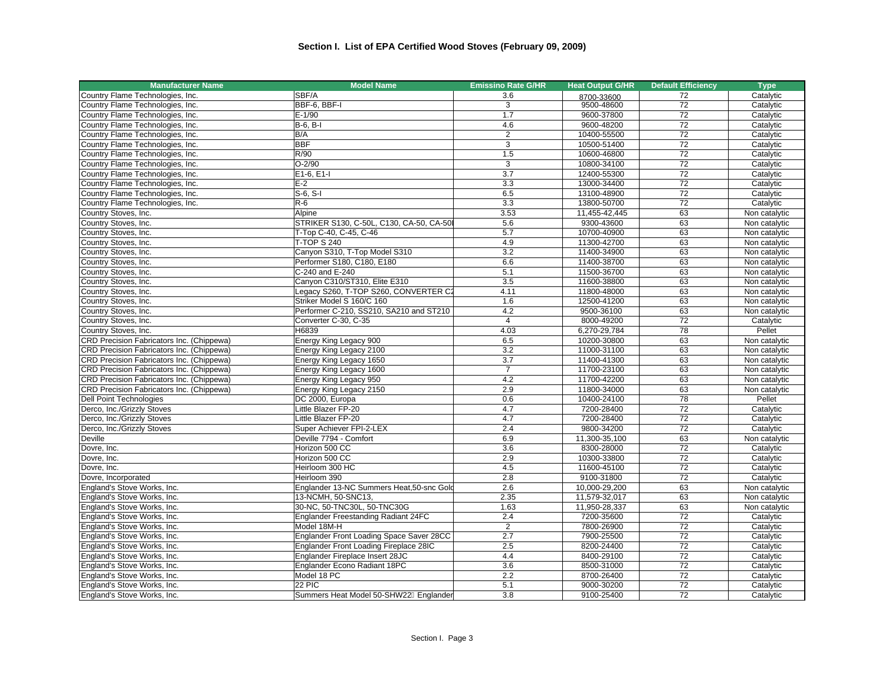| <b>Manufacturer Name</b>                                     | <b>Model Name</b>                                  | <b>Emissino Rate G/HR</b> | <b>Heat Output G/HR</b>  | <b>Default Efficiency</b> | <b>Type</b>                    |
|--------------------------------------------------------------|----------------------------------------------------|---------------------------|--------------------------|---------------------------|--------------------------------|
| Country Flame Technologies, Inc.                             | SBF/A                                              | 3.6                       | 8700-33600               | 72                        | Catalytic                      |
| Country Flame Technologies, Inc.                             | BBF-6, BBF-I                                       | 3                         | 9500-48600               | 72                        | Catalytic                      |
| Country Flame Technologies, Inc.                             | $E-1/90$                                           | 1.7                       | 9600-37800               | 72                        | Catalytic                      |
| Country Flame Technologies, Inc.                             | $B-6, B-1$                                         | 4.6                       | 9600-48200               | 72                        | Catalytic                      |
| Country Flame Technologies, Inc.                             | B/A                                                | $\overline{2}$            | 10400-55500              | 72                        | Catalytic                      |
| Country Flame Technologies, Inc.                             | <b>BBF</b>                                         | 3                         | 10500-51400              | 72                        | Catalytic                      |
| Country Flame Technologies, Inc.                             | R/90                                               | 1.5                       | 10600-46800              | $\overline{72}$           | Catalytic                      |
| Country Flame Technologies, Inc.                             | $O-2/90$                                           | 3                         | 10800-34100              | 72                        | Catalytic                      |
| Country Flame Technologies, Inc.                             | E1-6, E1-I                                         | $\overline{3.7}$          | 12400-55300              | 72                        | Catalytic                      |
| Country Flame Technologies, Inc.                             | $E-2$                                              | 3.3                       | 13000-34400              | $\overline{72}$           | Catalytic                      |
| Country Flame Technologies, Inc.                             | $S-6$ , $S-I$                                      | 6.5                       | 13100-48900              | 72                        | Catalytic                      |
| Country Flame Technologies, Inc.                             | $R-6$                                              | 3.3                       | 13800-50700              | 72                        | Catalytic                      |
| Country Stoves, Inc.                                         | Alpine                                             | 3.53                      | 11,455-42,445            | 63                        | Non catalytic                  |
| Country Stoves, Inc.                                         | STRIKER S130, C-50L, C130, CA-50, CA-50I           | 5.6                       | 9300-43600               | 63                        | Non catalytic                  |
| Country Stoves, Inc.                                         | T-Top C-40, C-45, C-46                             | 5.7                       | 10700-40900              | 63                        | Non catalytic                  |
| Country Stoves, Inc.                                         | <b>T-TOP S 240</b>                                 | 4.9                       | 11300-42700              | 63                        | Non catalytic                  |
| Country Stoves, Inc.                                         | Canyon S310, T-Top Model S310                      | 3.2                       | 11400-34900              | 63                        | Non catalytic                  |
| Country Stoves, Inc.                                         | Performer S180, C180, E180                         | 6.6                       | 11400-38700              | 63                        | Non catalytic                  |
| Country Stoves, Inc.                                         | C-240 and E-240                                    | 5.1                       | 11500-36700              | 63                        | Non catalytic                  |
| Country Stoves, Inc.                                         | Canyon C310/ST310, Elite E310                      | 3.5                       | 11600-38800              | 63                        | Non catalytic                  |
| Country Stoves, Inc.                                         | Legacy S260, T-TOP S260, CONVERTER C2              | 4.11                      | 11800-48000              | 63                        | Non catalytic                  |
| Country Stoves, Inc.                                         | Striker Model S 160/C 160                          | 1.6                       | 12500-41200              | 63                        | Non catalytic                  |
| Country Stoves, Inc.                                         | Performer C-210, SS210, SA210 and ST210            | 4.2                       | 9500-36100               | 63                        | Non catalytic                  |
| Country Stoves, Inc.                                         | Converter C-30, C-35                               | $\overline{4}$            | 8000-49200               | 72                        | Catalytic                      |
| Country Stoves, Inc.                                         | H6839                                              | 4.03                      | 6,270-29,784             | 78                        | Pellet                         |
| CRD Precision Fabricators Inc. (Chippewa)                    | Energy King Legacy 900                             | 6.5                       | 10200-30800              | 63                        | Non catalytic                  |
| CRD Precision Fabricators Inc. (Chippewa)                    | Energy King Legacy 2100                            | 3.2                       | 11000-31100              | 63                        |                                |
| CRD Precision Fabricators Inc. (Chippewa)                    | Energy King Legacy 1650                            | 3.7                       | 11400-41300              | 63                        | Non catalytic<br>Non catalytic |
| CRD Precision Fabricators Inc. (Chippewa)                    | Energy King Legacy 1600                            | $\overline{7}$            | 11700-23100              | 63                        | Non catalytic                  |
| CRD Precision Fabricators Inc. (Chippewa)                    | Energy King Legacy 950                             | 4.2                       | 11700-42200              | 63                        | Non catalytic                  |
| CRD Precision Fabricators Inc. (Chippewa)                    | Energy King Legacy 2150                            | 2.9                       | 11800-34000              | 63                        | Non catalytic                  |
|                                                              | DC 2000, Europa                                    | 0.6                       | 10400-24100              | 78                        | Pellet                         |
| <b>Dell Point Technologies</b><br>Derco, Inc./Grizzly Stoves | Little Blazer FP-20                                |                           |                          | 72                        |                                |
|                                                              | Little Blazer FP-20                                | 4.7<br>4.7                | 7200-28400<br>7200-28400 | 72                        | Catalytic                      |
| Derco, Inc./Grizzly Stoves                                   |                                                    | 2.4                       |                          | $\overline{72}$           | Catalytic                      |
| Derco, Inc./Grizzly Stoves<br>Deville                        | Super Achiever FPI-2-LEX<br>Deville 7794 - Comfort | 6.9                       | 9800-34200               |                           | Catalytic                      |
|                                                              |                                                    |                           | 11,300-35,100            | 63                        | Non catalytic                  |
| Dovre, Inc.                                                  | Horizon 500 CC                                     | 3.6                       | 8300-28000               | 72                        | Catalytic                      |
| Dovre, Inc.                                                  | Horizon 500 CC                                     | 2.9                       | 10300-33800              | 72                        | Catalytic                      |
| Dovre, Inc.                                                  | Heirloom 300 HC                                    | 4.5                       | 11600-45100              | 72                        | Catalytic                      |
| Dovre, Incorporated                                          | Heirloom 390                                       | 2.8                       | 9100-31800               | 72                        | Catalytic                      |
| England's Stove Works, Inc.                                  | Englander 13-NC Summers Heat, 50-snc Gold          | 2.6                       | 10,000-29,200            | 63                        | Non catalytic                  |
| England's Stove Works, Inc.                                  | 13-NCMH, 50-SNC13.                                 | 2.35                      | 11,579-32,017            | 63                        | Non catalytic                  |
| England's Stove Works, Inc.                                  | 30-NC, 50-TNC30L, 50-TNC30G                        | 1.63                      | 11,950-28,337            | 63                        | Non catalytic                  |
| England's Stove Works, Inc.                                  | Englander Freestanding Radiant 24FC                | 2.4                       | 7200-35600               | 72                        | Catalytic                      |
| England's Stove Works, Inc.                                  | Model 18M-H                                        | $\overline{2}$            | 7800-26900               | 72                        | Catalytic                      |
| England's Stove Works, Inc.                                  | Englander Front Loading Space Saver 28CC           | 2.7                       | 7900-25500               | $\overline{72}$           | Catalytic                      |
| England's Stove Works, Inc.                                  | Englander Front Loading Fireplace 28IC             | 2.5                       | 8200-24400               | 72                        | Catalytic                      |
| England's Stove Works, Inc.                                  | Englander Fireplace Insert 28JC                    | 4.4                       | 8400-29100               | 72                        | Catalytic                      |
| England's Stove Works, Inc.                                  | Englander Econo Radiant 18PC                       | 3.6                       | 8500-31000               | 72                        | Catalytic                      |
| England's Stove Works, Inc.                                  | Model 18 PC                                        | 2.2                       | 8700-26400               | 72                        | Catalytic                      |
| England's Stove Works, Inc.                                  | 22 PIC                                             | 5.1                       | 9000-30200               | 72                        | Catalytic                      |
| England's Stove Works, Inc.                                  | Summers Heat Model 50-SHW22 Englander              | 3.8                       | 9100-25400               | 72                        | Catalytic                      |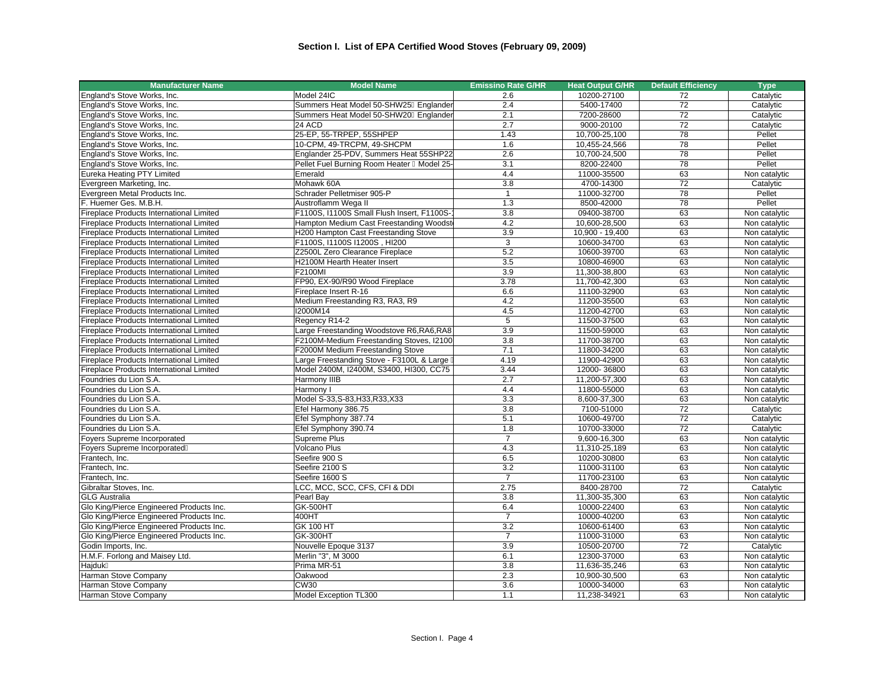| <b>Manufacturer Name</b>                        | <b>Model Name</b>                          | <b>Emissino Rate G/HR</b> | <b>Heat Output G/HR</b> | <b>Default Efficiency</b> | <b>Type</b>   |
|-------------------------------------------------|--------------------------------------------|---------------------------|-------------------------|---------------------------|---------------|
| England's Stove Works, Inc.                     | Model 24IC                                 | 2.6                       | 10200-27100             | 72                        | Catalytic     |
| England's Stove Works, Inc.                     | Summers Heat Model 50-SHW25 Englander      | 2.4                       | 5400-17400              | 72                        | Catalytic     |
| England's Stove Works, Inc.                     | Summers Heat Model 50-SHW20 Englander      | 2.1                       | 7200-28600              | 72                        | Catalytic     |
| England's Stove Works, Inc.                     | 24 ACD                                     | 2.7                       | 9000-20100              | 72                        | Catalytic     |
| England's Stove Works, Inc.                     | 25-EP, 55-TRPEP, 55SHPEP                   | 1.43                      | 10,700-25,100           | 78                        | Pellet        |
| England's Stove Works, Inc.                     | 10-CPM, 49-TRCPM, 49-SHCPM                 | 1.6                       | 10,455-24,566           | 78                        | Pellet        |
| England's Stove Works, Inc.                     | Englander 25-PDV, Summers Heat 55SHP22     | $\overline{2.6}$          | 10,700-24,500           | $\overline{78}$           | Pellet        |
| England's Stove Works, Inc.                     | Pellet Fuel Burning Room Heater Model 25-  | 3.1                       | 8200-22400              | 78                        | Pellet        |
| Eureka Heating PTY Limited                      | Emerald                                    | 4.4                       | 11000-35500             | 63                        | Non catalytic |
| Evergreen Marketing, Inc.                       | Mohawk 60A                                 | 3.8                       | 4700-14300              | 72                        | Catalytic     |
| Evergreen Metal Products Inc.                   | Schrader Pelletmiser 905-P                 | $\mathbf{1}$              | 11000-32700             | 78                        | Pellet        |
| F. Huemer Ges. M.B.H.                           | Austroflamm Wega II                        | 1.3                       | 8500-42000              | $\overline{78}$           | Pellet        |
| Fireplace Products International Limited        | F1100S, I1100S Small Flush Insert, F1100S- | 3.8                       | 09400-38700             | 63                        | Non catalytic |
| Fireplace Products International Limited        | Hampton Medium Cast Freestanding Woodstr   | 4.2                       | 10,600-28,500           | 63                        | Non catalytic |
| Fireplace Products International Limited        | H200 Hampton Cast Freestanding Stove       | 3.9                       | 10,900 - 19,400         | 63                        | Non catalytic |
| Fireplace Products International Limited        | F1100S, I1100S I1200S, HI200               | 3                         | 10600-34700             | 63                        | Non catalytic |
| Fireplace Products International Limited        | Z2500L Zero Clearance Fireplace            | 5.2                       | 10600-39700             | 63                        | Non catalytic |
| Fireplace Products International Limited        | H2100M Hearth Heater Insert                | 3.5                       | 10800-46900             | 63                        | Non catalytic |
| <b>Fireplace Products International Limited</b> | F2100MI                                    | 3.9                       | 11,300-38,800           | 63                        | Non catalytic |
| Fireplace Products International Limited        | FP90, EX-90/R90 Wood Fireplace             | 3.78                      | 11,700-42,300           | 63                        | Non catalytic |
| Fireplace Products International Limited        | Fireplace Insert R-16                      | 6.6                       | 11100-32900             | 63                        | Non catalytic |
| <b>Fireplace Products International Limited</b> | Medium Freestanding R3, RA3, R9            | 4.2                       | 11200-35500             | 63                        | Non catalytic |
| <b>Fireplace Products International Limited</b> | I2000M14                                   | 4.5                       | 11200-42700             | 63                        | Non catalytic |
| <b>Fireplace Products International Limited</b> | Regency R14-2                              | 5                         | 11500-37500             | 63                        | Non catalytic |
| Fireplace Products International Limited        | Large Freestanding Woodstove R6, RA6, RA8  | 3.9                       | 11500-59000             | 63                        | Non catalytic |
| Fireplace Products International Limited        | F2100M-Medium Freestanding Stoves, I2100   | $\overline{3.8}$          | 11700-38700             | 63                        | Non catalytic |
| Fireplace Products International Limited        | F2000M Medium Freestanding Stove           | 7.1                       | 11800-34200             | 63                        | Non catalytic |
| Fireplace Products International Limited        | Large Freestanding Stove - F3100L & Large  | 4.19                      | 11900-42900             | 63                        | Non catalytic |
| Fireplace Products International Limited        | Model 2400M, I2400M, S3400, HI300, CC75    | 3.44                      | 12000-36800             | 63                        | Non catalytic |
| Foundries du Lion S.A.                          | Harmony IIIB                               | 2.7                       | 11,200-57,300           | 63                        | Non catalytic |
| Foundries du Lion S.A.                          | Harmony I                                  | 4.4                       | 11800-55000             | 63                        | Non catalytic |
| Foundries du Lion S.A.                          | Model S-33, S-83, H33, R33, X33            | 3.3                       | 8,600-37,300            | 63                        | Non catalytic |
| Foundries du Lion S.A.                          | Efel Harmony 386.75                        | 3.8                       | 7100-51000              | $\overline{72}$           | Catalytic     |
| Foundries du Lion S.A.                          | Efel Symphony 387.74                       | 5.1                       | 10600-49700             | 72                        | Catalytic     |
| Foundries du Lion S.A.                          | Efel Symphony 390.74                       | 1.8                       | 10700-33000             | $\overline{72}$           | Catalytic     |
| Foyers Supreme Incorporated                     | Supreme Plus                               | $\overline{7}$            | 9,600-16,300            | 63                        | Non catalytic |
| Foyers Supreme Incorporated                     | Volcano Plus                               | 4.3                       | 11,310-25,189           | 63                        | Non catalytic |
| Frantech, Inc.                                  | Seefire 900 S                              | 6.5                       | 10200-30800             | 63                        | Non catalytic |
| Frantech. Inc.                                  | Seefire 2100 S                             | 3.2                       | 11000-31100             | 63                        | Non catalytic |
| Frantech, Inc.                                  | Seefire 1600 S                             | $\overline{7}$            | 11700-23100             | 63                        | Non catalytic |
| Gibraltar Stoves, Inc.                          | LCC, MCC, SCC, CFS, CFI & DDI              | 2.75                      | 8400-28700              | 72                        | Catalytic     |
| <b>GLG Australia</b>                            | Pearl Bay                                  | 3.8                       | 11,300-35,300           | 63                        | Non catalytic |
| Glo King/Pierce Engineered Products Inc.        | <b>GK-500HT</b>                            | 6.4                       | 10000-22400             | 63                        | Non catalytic |
| Glo King/Pierce Engineered Products Inc.        | 400HT                                      | $\overline{7}$            | 10000-40200             | 63                        | Non catalytic |
| Glo King/Pierce Engineered Products Inc.        | GK 100 HT                                  | $\overline{3.2}$          | 10600-61400             | 63                        | Non catalytic |
| Glo King/Pierce Engineered Products Inc.        | GK-300HT                                   | $\overline{7}$            | 11000-31000             | 63                        | Non catalytic |
| Godin Imports, Inc.                             | Nouvelle Epoque 3137                       | 3.9                       | 10500-20700             | 72                        | Catalytic     |
| H.M.F. Forlong and Maisey Ltd.                  | Merlin "3", M 3000                         | 6.1                       | 12300-37000             | 63                        | Non catalytic |
| Hajduk                                          | Prima MR-51                                | 3.8                       | 11,636-35,246           | 63                        | Non catalytic |
| Harman Stove Company                            | Oakwood                                    | 2.3                       | 10,900-30,500           | 63                        | Non catalytic |
| Harman Stove Company                            | <b>CW30</b>                                | 3.6                       | 10000-34000             | 63                        | Non catalytic |
| Harman Stove Company                            | Model Exception TL300                      | 1.1                       | 11,238-34921            | 63                        | Non catalytic |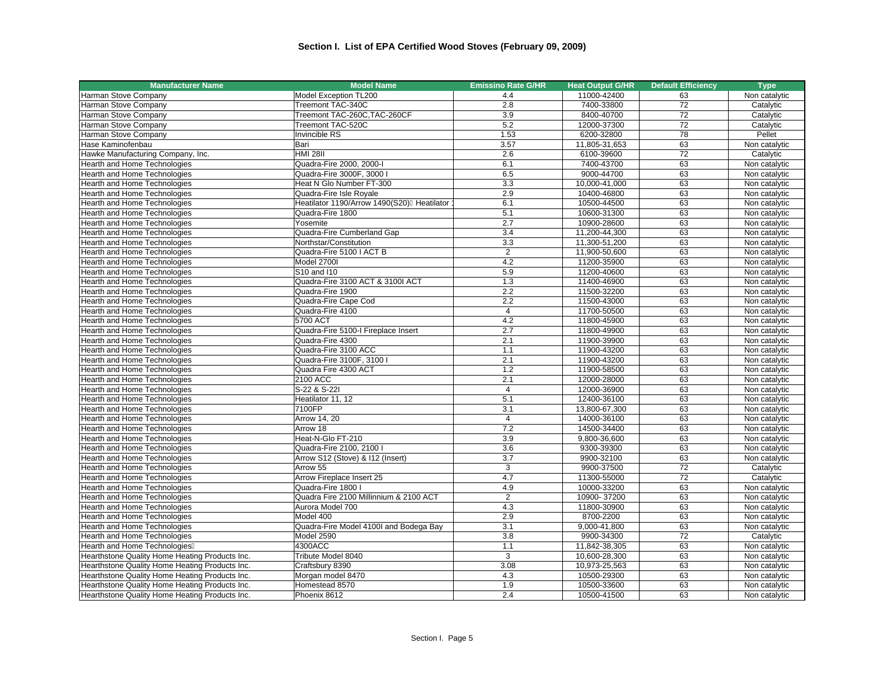| <b>Manufacturer Name</b>                                                                         | <b>Model Name</b>                          | <b>Emissino Rate G/HR</b> | <b>Heat Output G/HR</b>      | <b>Default Efficiency</b> | <b>Type</b>                    |
|--------------------------------------------------------------------------------------------------|--------------------------------------------|---------------------------|------------------------------|---------------------------|--------------------------------|
| Harman Stove Company                                                                             | Model Exception TL200                      | 4.4                       | 11000-42400                  | 63                        | Non catalytic                  |
| Harman Stove Company                                                                             | Treemont TAC-340C                          | 2.8                       | 7400-33800                   | 72                        | Catalytic                      |
| Harman Stove Company                                                                             | Treemont TAC-260C, TAC-260CF               | 3.9                       | 8400-40700                   | 72                        | Catalytic                      |
| Harman Stove Company                                                                             | Treemont TAC-520C                          | $\overline{5.2}$          | 12000-37300                  | $\overline{72}$           | Catalytic                      |
| Harman Stove Company                                                                             | Invincible RS                              | 1.53                      | 6200-32800                   | 78                        | Pellet                         |
| Hase Kaminofenbau                                                                                | Bari                                       | 3.57                      | 11,805-31,653                | 63                        | Non catalytic                  |
| Hawke Manufacturing Company, Inc.                                                                | <b>HMI 28II</b>                            | 2.6                       | 6100-39600                   | $\overline{72}$           | Catalytic                      |
| <b>Hearth and Home Technologies</b>                                                              | Quadra-Fire 2000, 2000-I                   | 6.1                       | 7400-43700                   | 63                        | Non catalytic                  |
| <b>Hearth and Home Technologies</b>                                                              | Quadra-Fire 3000F, 3000 I                  | 6.5                       | 9000-44700                   | 63                        | Non catalytic                  |
| Hearth and Home Technologies                                                                     | Heat N Glo Number FT-300                   | 3.3                       | 10,000-41,000                | 63                        | Non catalytic                  |
| Hearth and Home Technologies                                                                     | Quadra-Fire Isle Royale                    | 2.9                       | 10400-46800                  | 63                        | Non catalytic                  |
| Hearth and Home Technologies                                                                     | Heatilator 1190/Arrow 1490(S20) Heatilator | 6.1                       | 10500-44500                  | 63                        | Non catalytic                  |
| Hearth and Home Technologies                                                                     | Quadra-Fire 1800                           | 5.1                       | 10600-31300                  | 63                        | Non catalytic                  |
| Hearth and Home Technologies                                                                     | Yosemite                                   | 2.7                       | 10900-28600                  | 63                        | Non catalytic                  |
| Hearth and Home Technologies                                                                     | Quadra-Fire Cumberland Gap                 | 3.4                       | 11,200-44,300                | 63                        | Non catalytic                  |
| Hearth and Home Technologies                                                                     | Northstar/Constitution                     | 3.3                       | 11,300-51,200                | 63                        | Non catalytic                  |
| <b>Hearth and Home Technologies</b>                                                              | Quadra-Fire 5100   ACT B                   | $\overline{2}$            | 11,900-50,600                | 63                        | Non catalytic                  |
| Hearth and Home Technologies                                                                     | Model 2700I                                | 4.2                       | 11200-35900                  | 63                        | Non catalytic                  |
| Hearth and Home Technologies                                                                     | S10 and I10                                | 5.9                       | 11200-40600                  | 63                        | Non catalytic                  |
| <b>Hearth and Home Technologies</b>                                                              | Quadra-Fire 3100 ACT & 3100I ACT           | 1.3                       | 11400-46900                  | 63                        | Non catalytic                  |
| Hearth and Home Technologies                                                                     | Quadra-Fire 1900                           | 2.2                       | 11500-32200                  | 63                        | Non catalytic                  |
| <b>Hearth and Home Technologies</b>                                                              | Quadra-Fire Cape Cod                       | 2.2                       | 11500-43000                  | 63                        | Non catalytic                  |
| Hearth and Home Technologies                                                                     | Quadra-Fire 4100                           | $\overline{4}$            | 11700-50500                  | 63                        | Non catalytic                  |
| Hearth and Home Technologies                                                                     | 5700 ACT                                   | 4.2                       | 11800-45900                  | 63                        | Non catalytic                  |
| Hearth and Home Technologies                                                                     | Quadra-Fire 5100-I Fireplace Insert        | 2.7                       | 11800-49900                  | 63                        | Non catalytic                  |
| Hearth and Home Technologies                                                                     | Quadra-Fire 4300                           | 2.1                       | 11900-39900                  | 63                        | Non catalytic                  |
| Hearth and Home Technologies                                                                     | Quadra-Fire 3100 ACC                       | 1.1                       | 11900-43200                  | 63                        | Non catalytic                  |
| Hearth and Home Technologies                                                                     | Quadra-Fire 3100F, 3100 I                  | 2.1                       | 11900-43200                  | 63                        | Non catalytic                  |
| Hearth and Home Technologies                                                                     | Quadra Fire 4300 ACT                       | 1.2                       | 11900-58500                  | 63                        | Non catalytic                  |
| Hearth and Home Technologies                                                                     | 2100 ACC                                   | 2.1                       | 12000-28000                  | 63                        | Non catalytic                  |
| <b>Hearth and Home Technologies</b>                                                              | S-22 & S-221                               | $\overline{4}$            | 12000-36900                  | 63                        | Non catalytic                  |
| Hearth and Home Technologies                                                                     | Heatilator 11, 12                          | 5.1                       | 12400-36100                  | 63                        | Non catalytic                  |
| Hearth and Home Technologies                                                                     | 7100FP                                     | 3.1                       | 13,800-67,300                | 63                        | Non catalytic                  |
| <b>Hearth and Home Technologies</b>                                                              | Arrow 14, 20                               | $\overline{4}$            | 14000-36100                  | 63                        | Non catalytic                  |
| Hearth and Home Technologies                                                                     | Arrow 18                                   | 7.2                       | 14500-34400                  | 63                        | Non catalytic                  |
| Hearth and Home Technologies                                                                     | Heat-N-Glo FT-210                          | 3.9                       | 9,800-36,600                 | 63                        | Non catalytic                  |
| Hearth and Home Technologies                                                                     | Quadra-Fire 2100, 2100 I                   | 3.6                       | 9300-39300                   | 63                        | Non catalytic                  |
| Hearth and Home Technologies                                                                     | Arrow S12 (Stove) & I12 (Insert)           | 3.7                       | 9900-32100                   | 63                        | Non catalytic                  |
| Hearth and Home Technologies                                                                     | Arrow 55                                   | 3                         | 9900-37500                   | $\overline{72}$           | Catalytic                      |
| Hearth and Home Technologies                                                                     | Arrow Fireplace Insert 25                  | 4.7                       | 11300-55000                  | 72                        | Catalytic                      |
| <b>Hearth and Home Technologies</b>                                                              | Quadra-Fire 1800 I                         | 4.9                       | 10000-33200                  | 63                        | Non catalytic                  |
| <b>Hearth and Home Technologies</b>                                                              | Quadra Fire 2100 Millinnium & 2100 ACT     | $\overline{2}$            | 10900-37200                  | 63                        | Non catalytic                  |
| Hearth and Home Technologies                                                                     | Aurora Model 700                           | 4.3                       | 11800-30900                  | 63                        | Non catalytic                  |
| Hearth and Home Technologies                                                                     | Model 400                                  | 2.9                       | 8700-2200                    | 63                        | Non catalytic                  |
| Hearth and Home Technologies                                                                     | Quadra-Fire Model 4100I and Bodega Bay     | 3.1                       | 9.000-41.800                 | 63                        | Non catalytic                  |
| Hearth and Home Technologies                                                                     | Model 2590                                 | 3.8                       | 9900-34300                   | 72                        | Catalytic                      |
| <b>Hearth and Home Technologies</b>                                                              | 4300ACC                                    | 1.1                       | 11,842-38,305                | 63                        |                                |
| Hearthstone Quality Home Heating Products Inc.                                                   | Tribute Model 8040                         | 3                         | 10,600-28,300                | 63                        | Non catalytic<br>Non catalytic |
|                                                                                                  | Craftsbury 8390                            | 3.08                      |                              | 63                        | Non catalytic                  |
| Hearthstone Quality Home Heating Products Inc.<br>Hearthstone Quality Home Heating Products Inc. | Morgan model 8470                          |                           | 10,973-25,563<br>10500-29300 | 63                        | Non catalytic                  |
| Hearthstone Quality Home Heating Products Inc.                                                   | Homestead 8570                             | 4.3<br>1.9                | 10500-33600                  | 63                        | Non catalytic                  |
|                                                                                                  |                                            |                           |                              |                           |                                |
| Hearthstone Quality Home Heating Products Inc.                                                   | Phoenix 8612                               | 2.4                       | 10500-41500                  | 63                        | Non catalytic                  |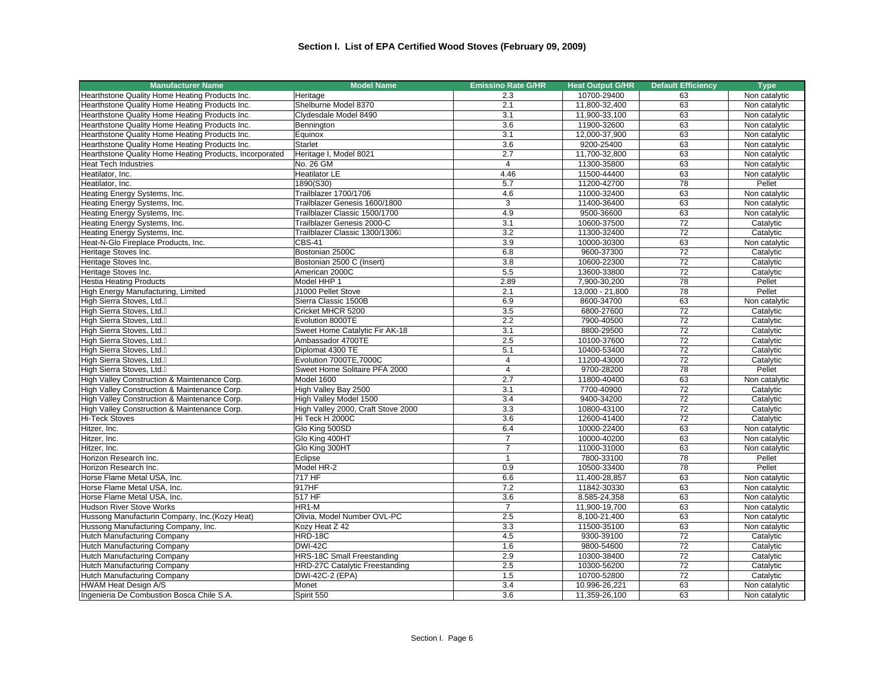| <b>Manufacturer Name</b>                                | <b>Model Name</b>                  | <b>Emissino Rate G/HR</b> | <b>Heat Output G/HR</b> | <b>Default Efficiency</b> | <b>Type</b>                |
|---------------------------------------------------------|------------------------------------|---------------------------|-------------------------|---------------------------|----------------------------|
| Hearthstone Quality Home Heating Products Inc.          | Heritage                           | 2.3                       | 10700-29400             | 63                        | Non catalytic              |
| Hearthstone Quality Home Heating Products Inc.          | Shelburne Model 8370               | 2.1                       | 11,800-32,400           | 63                        | Non catalytic              |
| Hearthstone Quality Home Heating Products Inc.          | Clydesdale Model 8490              | 3.1                       | 11,900-33,100           | 63                        | Non catalytic              |
| Hearthstone Quality Home Heating Products Inc.          | Bennington                         | 3.6                       | 11900-32600             | 63                        | Non catalytic              |
| Hearthstone Quality Home Heating Products Inc.          | Equinox                            | 3.1                       | 12,000-37,900           | 63                        | Non catalytic              |
| Hearthstone Quality Home Heating Products Inc.          | <b>Starlet</b>                     | 3.6                       | 9200-25400              | 63                        | Non catalytic              |
| Hearthstone Quality Home Heating Products, Incorporated | Heritage I, Model 8021             | 2.7                       | 11,700-32,800           | 63                        | Non catalytic              |
| <b>Heat Tech Industries</b>                             | No. 26 GM                          | $\overline{4}$            | 11300-35800             | 63                        | Non catalytic              |
| Heatilator, Inc.                                        | <b>Heatilator LE</b>               | 4.46                      | 11500-44400             | 63                        | Non catalytic              |
| Heatilator, Inc.                                        | 1890(S30)                          | 5.7                       | 11200-42700             | 78                        | Pellet                     |
| Heating Energy Systems, Inc.                            | Trailblazer 1700/1706              | 4.6                       | 11000-32400             | 63                        | Non catalytic              |
| Heating Energy Systems, Inc.                            | Trailblazer Genesis 1600/1800      | 3                         | 11400-36400             | 63                        | Non catalytic              |
| Heating Energy Systems, Inc.                            | Trailblazer Classic 1500/1700      | 4.9                       | 9500-36600              | 63                        | Non catalytic              |
| Heating Energy Systems, Inc.                            | Trailblazer Genesis 2000-C         | 3.1                       | 10600-37500             | 72                        | Catalytic                  |
| Heating Energy Systems, Inc.                            | Trailblazer Classic 1300/1306      | 3.2                       | 11300-32400             | 72                        | Catalytic                  |
| Heat-N-Glo Fireplace Products, Inc.                     | <b>CBS-41</b>                      | 3.9                       | 10000-30300             | 63                        | Non catalytic              |
| Heritage Stoves Inc.                                    | Bostonian 2500C                    | 6.8                       | 9600-37300              | 72                        | Catalytic                  |
| Heritage Stoves Inc.                                    | Bostonian 2500 C (Insert)          | 3.8                       | 10600-22300             | 72                        | Catalytic                  |
| Heritage Stoves Inc.                                    | American 2000C                     | 5.5                       | 13600-33800             | $\overline{72}$           | Catalytic                  |
| <b>Hestia Heating Products</b>                          | Model HHP 1                        | 2.89                      | 7,900-30,200            | 78                        | Pellet                     |
| High Energy Manufacturing, Limited                      | J1000 Pellet Stove                 | 2.1                       | 13,000 - 21,800         | 78                        | Pellet                     |
| High Sierra Stoves, Ltd.                                | Sierra Classic 1500B               | 6.9                       | 8600-34700              | 63                        | Non catalytic              |
| High Sierra Stoves, Ltd.                                | Cricket MHCR 5200                  | 3.5                       | 6800-27600              | 72                        | Catalytic                  |
| High Sierra Stoves, Ltd.                                | Evolution 8000TE                   | 2.2                       | 7900-40500              | $\overline{72}$           | Catalytic                  |
| High Sierra Stoves, Ltd.                                | Sweet Home Catalytic Fir AK-18     | 3.1                       | 8800-29500              | 72                        | Catalytic                  |
| High Sierra Stoves, Ltd.                                | Ambassador 4700TE                  | 2.5                       | 10100-37600             | 72                        | Catalytic                  |
| High Sierra Stoves, Ltd.                                | Diplomat 4300 TE                   | 5.1                       | 10400-53400             | 72                        | Catalytic                  |
| High Sierra Stoves, Ltd.                                | Evolution 7000TE, 7000C            | $\overline{4}$            | 11200-43000             | 72                        | Catalytic                  |
| High Sierra Stoves, Ltd.                                | Sweet Home Solitaire PFA 2000      | $\overline{4}$            | 9700-28200              | 78                        | Pellet                     |
| High Valley Construction & Maintenance Corp.            | Model 1600                         | 2.7                       | 11800-40400             | 63                        | Non catalytic              |
| High Valley Construction & Maintenance Corp.            | High Valley Bay 2500               | 3.1                       | 7700-40900              | $\overline{72}$           | Catalytic                  |
| High Valley Construction & Maintenance Corp.            | High Valley Model 1500             | 3.4                       | 9400-34200              | $\overline{72}$           | Catalytic                  |
| High Valley Construction & Maintenance Corp.            | High Valley 2000, Craft Stove 2000 | 3.3                       | 10800-43100             | 72                        | Catalytic                  |
| <b>Hi-Teck Stoves</b>                                   | Hi Teck H 2000C                    | 3.6                       | 12600-41400             | 72                        | Catalytic                  |
| Hitzer, Inc.                                            | Glo King 500SD                     | 6.4                       | 10000-22400             | 63                        | Non catalytic              |
| Hitzer, Inc.                                            | Glo King 400HT                     | $\overline{7}$            | 10000-40200             | 63                        | Non catalytic              |
| Hitzer, Inc.                                            | Glo King 300HT                     | $\overline{7}$            | 11000-31000             | 63                        | Non catalytic              |
| Horizon Research Inc.                                   | Eclipse                            | $\mathbf{1}$              | 7800-33100              | 78                        | Pellet                     |
| Horizon Research Inc.                                   | Model HR-2                         | 0.9                       | 10500-33400             | 78                        | Pellet                     |
| Horse Flame Metal USA, Inc.                             | 717 HF                             | 6.6                       | 11,400-28,857           | 63                        | Non catalytic              |
| Horse Flame Metal USA, Inc.                             | 917HF                              | 7.2                       | 11842-30330             | 63                        | Non catalytic              |
| Horse Flame Metal USA, Inc.                             | 517 HF                             | $\overline{3.6}$          | 8.585-24,358            | 63                        | Non catalytic              |
| <b>Hudson River Stove Works</b>                         | $HR1-M$                            | $\overline{7}$            | 11,900-19,700           | 63                        | Non catalytic              |
| Hussong Manufacturin Company, Inc.(Kozy Heat)           | Olivia, Model Number OVL-PC        | 2.5                       | 8,100-21,400            | 63                        | Non catalytic              |
|                                                         | Kozy Heat Z 42                     | 3.3                       | 11500-35100             | 63                        |                            |
| Hussong Manufacturing Company, Inc.                     | HRD-18C                            | 4.5                       | 9300-39100              | $\overline{72}$           | Non catalytic<br>Catalytic |
| Hutch Manufacturing Company                             | <b>DWI-42C</b>                     |                           | 9800-54600              | 72                        |                            |
| <b>Hutch Manufacturing Company</b>                      |                                    | 1.6<br>2.9                |                         |                           | Catalytic                  |
| <b>Hutch Manufacturing Company</b>                      | <b>HRS-18C Small Freestanding</b>  |                           | 10300-38400             | 72                        | Catalytic                  |
| <b>Hutch Manufacturing Company</b>                      | HRD-27C Catalytic Freestanding     | 2.5                       | 10300-56200             | 72                        | Catalytic                  |
| Hutch Manufacturing Company                             | DWI-42C-2 (EPA)                    | 1.5                       | 10700-52800             | 72                        | Catalytic                  |
| <b>HWAM Heat Design A/S</b>                             | Monet                              | 3.4                       | 10.996-26,221           | 63                        | Non catalytic              |
| Ingenieria De Combustion Bosca Chile S.A.               | Spirit 550                         | 3.6                       | 11,359-26,100           | 63                        | Non catalytic              |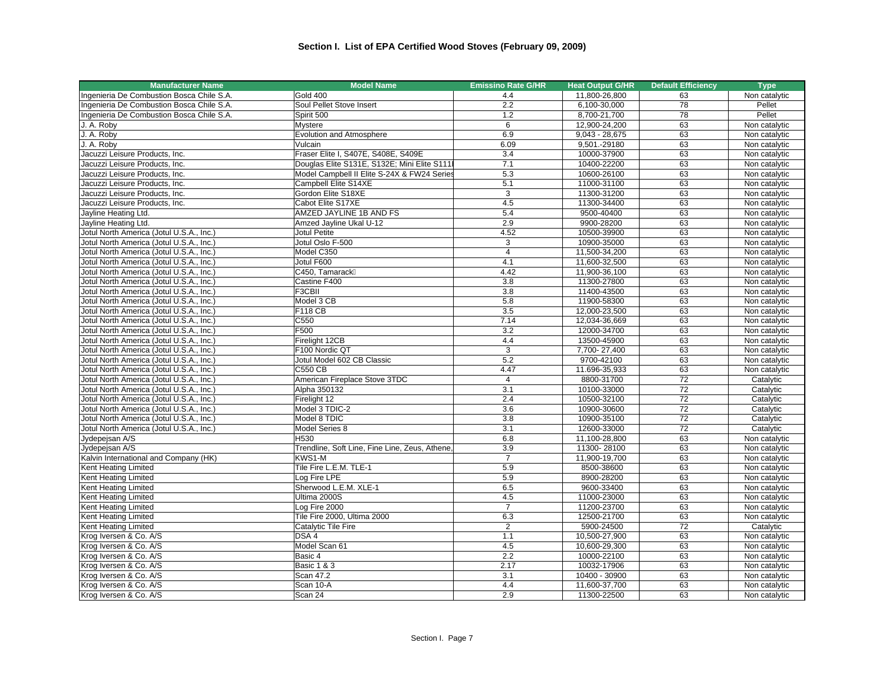| <b>Manufacturer Name</b>                  | <b>Model Name</b>                              | <b>Emissino Rate G/HR</b> | <b>Heat Output G/HR</b>        | <b>Default Efficiency</b> | <b>Type</b>                    |
|-------------------------------------------|------------------------------------------------|---------------------------|--------------------------------|---------------------------|--------------------------------|
| Ingenieria De Combustion Bosca Chile S.A. | <b>Gold 400</b>                                | 4.4                       | 11,800-26,800                  | 63                        | Non catalytic                  |
| Ingenieria De Combustion Bosca Chile S.A. | Soul Pellet Stove Insert                       | 2.2                       | 6,100-30,000                   | 78                        | Pellet                         |
| Ingenieria De Combustion Bosca Chile S.A. | Spirit 500                                     | 1.2                       | 8,700-21,700                   | 78                        | Pellet                         |
| J. A. Roby                                | Mystere                                        | 6                         | 12,900-24,200                  | 63                        | Non catalytic                  |
| J. A. Roby                                | Evolution and Atmosphere                       | 6.9                       | $9,043 - 28,675$               | 63                        | Non catalytic                  |
| J. A. Robv                                | Vulcain                                        | 6.09                      | 9.501.-29180                   | 63                        | Non catalytic                  |
| Jacuzzi Leisure Products, Inc.            | Fraser Elite I, S407E, S408E, S409E            | 3.4                       | 10000-37900                    | 63                        | Non catalytic                  |
| Jacuzzi Leisure Products, Inc.            | Douglas Elite S131E, S132E; Mini Elite S111    | 7.1                       | 10400-22200                    | 63                        | Non catalytic                  |
| Jacuzzi Leisure Products, Inc.            | Model Campbell II Elite S-24X & FW24 Series    | 5.3                       | 10600-26100                    | 63                        | Non catalytic                  |
| Jacuzzi Leisure Products, Inc.            | Campbell Elite S14XE                           | 5.1                       | 11000-31100                    | 63                        | Non catalytic                  |
| Jacuzzi Leisure Products, Inc.            | Gordon Elite S18XE                             | 3                         | 11300-31200                    | 63                        | Non catalytic                  |
| Jacuzzi Leisure Products, Inc.            | Cabot Elite S17XE                              | 4.5                       | 11300-34400                    | 63                        | Non catalytic                  |
| Jayline Heating Ltd.                      | AMZED JAYLINE 1B AND FS                        | 5.4                       | 9500-40400                     | 63                        | Non catalytic                  |
| Jayline Heating Ltd.                      | Amzed Jayline Ukal U-12                        | 2.9                       | 9900-28200                     | 63                        | Non catalytic                  |
| Jotul North America (Jotul U.S.A., Inc.)  | <b>Jotul Petite</b>                            | 4.52                      | 10500-39900                    | 63                        | Non catalytic                  |
| Jotul North America (Jotul U.S.A., Inc.)  | Jotul Oslo F-500                               | $\mathsf 3$               | 10900-35000                    | 63                        | Non catalytic                  |
| Jotul North America (Jotul U.S.A., Inc.)  | Model C350                                     | $\overline{4}$            | 11,500-34,200                  | 63                        | Non catalytic                  |
| Jotul North America (Jotul U.S.A., Inc.)  | Jotul F600                                     | 4.1                       | 11,600-32,500                  | 63                        | Non catalytic                  |
| Jotul North America (Jotul U.S.A., Inc.)  | C450. Tamarack                                 | 4.42                      | 11,900-36,100                  | 63                        | Non catalytic                  |
| Jotul North America (Jotul U.S.A., Inc.)  | Castine F400                                   | 3.8                       | 11300-27800                    | 63                        | Non catalytic                  |
| Jotul North America (Jotul U.S.A., Inc.)  | F3CBII                                         | $\overline{3.8}$          | 11400-43500                    | 63                        | Non catalytic                  |
| Jotul North America (Jotul U.S.A., Inc.)  | Model 3 CB                                     | 5.8                       | 11900-58300                    | 63                        | Non catalytic                  |
| Jotul North America (Jotul U.S.A., Inc.)  | <b>F118 CB</b>                                 | 3.5                       | 12,000-23,500                  | 63                        | Non catalytic                  |
| Jotul North America (Jotul U.S.A., Inc.)  | C550                                           | 7.14                      | 12,034-36,669                  | 63                        | Non catalytic                  |
| Jotul North America (Jotul U.S.A., Inc.)  | F500                                           | 3.2                       | 12000-34700                    | 63                        | Non catalytic                  |
| Jotul North America (Jotul U.S.A., Inc.)  | Firelight 12CB                                 | 4.4                       | 13500-45900                    | 63                        | Non catalytic                  |
| Jotul North America (Jotul U.S.A., Inc.)  | F100 Nordic QT                                 | 3                         | 7,700-27,400                   | 63                        | Non catalytic                  |
| Jotul North America (Jotul U.S.A., Inc.)  | Jotul Model 602 CB Classic                     | 5.2                       | 9700-42100                     | 63                        | Non catalytic                  |
| Jotul North America (Jotul U.S.A., Inc.)  | <b>C550 CB</b>                                 | 4.47                      | 11.696-35,933                  | 63                        | Non catalytic                  |
| Jotul North America (Jotul U.S.A., Inc.)  | American Fireplace Stove 3TDC                  | $\overline{4}$            | 8800-31700                     | 72                        | Catalytic                      |
| Jotul North America (Jotul U.S.A., Inc.)  | Alpha 350132                                   | $\overline{3.1}$          | 10100-33000                    | 72                        | Catalytic                      |
| Jotul North America (Jotul U.S.A., Inc.)  | Firelight 12                                   | 2.4                       | 10500-32100                    | 72                        | Catalytic                      |
| Jotul North America (Jotul U.S.A., Inc.)  | Model 3 TDIC-2                                 | 3.6                       | 10900-30600                    | 72                        | Catalytic                      |
| Jotul North America (Jotul U.S.A., Inc.)  | Model 8 TDIC                                   | $\overline{3.8}$          | 10900-35100                    | 72                        | Catalytic                      |
| Jotul North America (Jotul U.S.A., Inc.)  | Model Series 8                                 | 3.1                       | 12600-33000                    | 72                        | Catalytic                      |
| Jydepejsan A/S                            | H530                                           | 6.8                       | 11,100-28,800                  | 63                        | Non catalytic                  |
| Jydepejsan A/S                            | Trendline, Soft Line, Fine Line, Zeus, Athene, | 3.9                       | 11300-28100                    | 63                        | Non catalytic                  |
| Kalvin International and Company (HK)     | KWS1-M                                         | $\overline{7}$            | 11,900-19,700                  | 63                        | Non catalytic                  |
| <b>Kent Heating Limited</b>               | Tile Fire L.E.M. TLE-1                         | 5.9                       | 8500-38600                     | 63                        | Non catalytic                  |
| Kent Heating Limited                      | Log Fire LPE                                   | 5.9                       | 8900-28200                     | 63                        | Non catalytic                  |
| Kent Heating Limited                      | Sherwood L.E.M. XLE-1                          | 6.5                       | 9600-33400                     | 63                        | Non catalytic                  |
| Kent Heating Limited                      | Ultima 2000S                                   | 4.5                       | 11000-23000                    | 63                        | Non catalytic                  |
| Kent Heating Limited                      | Log Fire 2000                                  | $\overline{7}$            | 11200-23700                    | 63                        | Non catalytic                  |
| Kent Heating Limited                      | Tile Fire 2000, Ultima 2000                    | 6.3                       | 12500-21700                    | 63                        | Non catalytic                  |
| <b>Kent Heating Limited</b>               | Catalytic Tile Fire                            | 2                         | 5900-24500                     | $\overline{72}$           | Catalytic                      |
| Krog Iversen & Co. A/S                    | DSA 4                                          | 1.1                       | 10,500-27,900                  | 63                        | Non catalytic                  |
| Krog Iversen & Co. A/S                    | Model Scan 61                                  | 4.5                       | 10,600-29,300                  | 63                        | Non catalytic                  |
| Krog Iversen & Co. A/S                    | Basic 4                                        | 2.2                       | 10000-22100                    | 63                        | Non catalytic                  |
| Krog Iversen & Co. A/S                    | <b>Basic 1 &amp; 3</b>                         | 2.17                      | 10032-17906                    | 63                        |                                |
| Krog Iversen & Co. A/S                    | Scan 47.2                                      | 3.1                       |                                | 63                        | Non catalytic                  |
| Krog Iversen & Co. A/S                    | Scan 10-A                                      | 4.4                       | 10400 - 30900<br>11,600-37,700 | 63                        | Non catalytic<br>Non catalytic |
|                                           |                                                |                           |                                |                           |                                |
| Krog Iversen & Co. A/S                    | Scan 24                                        | 2.9                       | 11300-22500                    | 63                        | Non catalytic                  |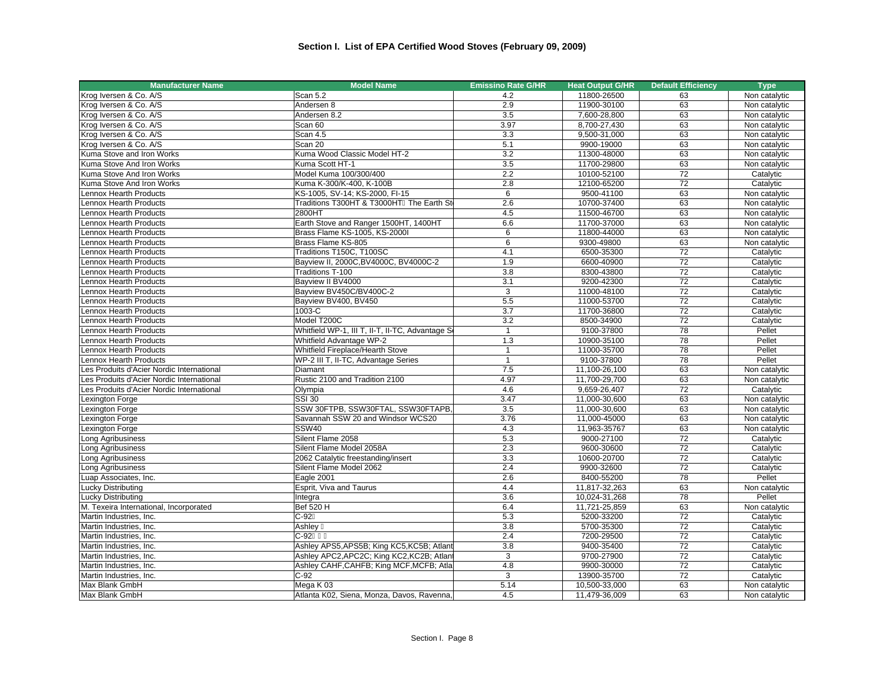| <b>Manufacturer Name</b>                  | <b>Model Name</b>                               | <b>Emissino Rate G/HR</b> | <b>Heat Output G/HR</b> | <b>Default Efficiency</b> | <b>Type</b>   |
|-------------------------------------------|-------------------------------------------------|---------------------------|-------------------------|---------------------------|---------------|
| Krog Iversen & Co. A/S                    | Scan 5.2                                        | 4.2                       | 11800-26500             | 63                        | Non catalytic |
| Krog Iversen & Co. A/S                    | Andersen 8                                      | 2.9                       | 11900-30100             | 63                        | Non catalytic |
| Krog Iversen & Co. A/S                    | Andersen 8.2                                    | 3.5                       | 7,600-28,800            | 63                        | Non catalytic |
| Krog Iversen & Co. A/S                    | Scan 60                                         | 3.97                      | 8,700-27,430            | 63                        | Non catalytic |
| Krog Iversen & Co. A/S                    | Scan 4.5                                        | 3.3                       | 9,500-31,000            | 63                        | Non catalytic |
| Krog Iversen & Co. A/S                    | Scan 20                                         | 5.1                       | 9900-19000              | 63                        | Non catalytic |
| Kuma Stove and Iron Works                 | Kuma Wood Classic Model HT-2                    | $\overline{3.2}$          | 11300-48000             | 63                        | Non catalytic |
| Kuma Stove And Iron Works                 | Kuma Scott HT-1                                 | 3.5                       | 11700-29800             | 63                        | Non catalytic |
| Kuma Stove And Iron Works                 | Model Kuma 100/300/400                          | 2.2                       | 10100-52100             | 72                        | Catalytic     |
| Kuma Stove And Iron Works                 | Kuma K-300/K-400, K-100B                        | 2.8                       | 12100-65200             | 72                        | Catalytic     |
| Lennox Hearth Products                    | KS-1005, SV-14; KS-2000, FI-15                  | 6                         | 9500-41100              | 63                        | Non catalytic |
| Lennox Hearth Products                    | Traditions T300HT & T3000HT The Earth St        | 2.6                       | 10700-37400             | 63                        | Non catalytic |
| Lennox Hearth Products                    | 2800HT                                          | 4.5                       | 11500-46700             | 63                        | Non catalytic |
| <b>Lennox Hearth Products</b>             | Earth Stove and Ranger 1500HT, 1400HT           | 6.6                       | 11700-37000             | 63                        | Non catalytic |
| Lennox Hearth Products                    | Brass Flame KS-1005, KS-2000I                   | 6                         | 11800-44000             | 63                        | Non catalytic |
| Lennox Hearth Products                    | Brass Flame KS-805                              | 6                         | 9300-49800              | 63                        | Non catalytic |
| Lennox Hearth Products                    | Traditions T150C, T100SC                        | 4.1                       | 6500-35300              | $\overline{72}$           | Catalytic     |
| Lennox Hearth Products                    | Bayview II, 2000C, BV4000C, BV4000C-2           | 1.9                       | 6600-40900              | $\overline{72}$           | Catalytic     |
| Lennox Hearth Products                    | Traditions T-100                                | 3.8                       | 8300-43800              | $\overline{72}$           | Catalytic     |
| Lennox Hearth Products                    | Bayview II BV4000                               | 3.1                       | 9200-42300              | 72                        | Catalytic     |
| Lennox Hearth Products                    | Bayview BV450C/BV400C-2                         | 3                         | 11000-48100             | 72                        | Catalytic     |
| Lennox Hearth Products                    | Bayview BV400, BV450                            | 5.5                       | 11000-53700             | 72                        | Catalytic     |
| Lennox Hearth Products                    | 1003-C                                          | 3.7                       | 11700-36800             | 72                        | Catalytic     |
| Lennox Hearth Products                    | Model T200C                                     | 3.2                       | 8500-34900              | 72                        | Catalytic     |
| Lennox Hearth Products                    | Whitfield WP-1, III T, II-T, II-TC, Advantage S | $\mathbf{1}$              | 9100-37800              | 78                        | Pellet        |
| Lennox Hearth Products                    | <b>Whitfield Advantage WP-2</b>                 | 1.3                       | 10900-35100             | 78                        | Pellet        |
| Lennox Hearth Products                    | Whitfield Fireplace/Hearth Stove                | $\mathbf{1}$              | 11000-35700             | 78                        | Pellet        |
| <b>Lennox Hearth Products</b>             | WP-2 III T, II-TC, Advantage Series             | $\mathbf{1}$              | 9100-37800              | 78                        | Pellet        |
| Les Produits d'Acier Nordic International | Diamant                                         | 7.5                       | 11,100-26,100           | 63                        | Non catalytic |
| Les Produits d'Acier Nordic International | Rustic 2100 and Tradition 2100                  | 4.97                      | 11,700-29,700           | 63                        | Non catalytic |
| Les Produits d'Acier Nordic International | Olympia                                         | 4.6                       | 9,659-26,407            | 72                        | Catalytic     |
| Lexington Forge                           | <b>SSI 30</b>                                   | 3.47                      | 11,000-30,600           | 63                        | Non catalytic |
| Lexington Forge                           | SSW 30FTPB, SSW30FTAL, SSW30FTAPB,              | 3.5                       | 11,000-30,600           | 63                        | Non catalytic |
| Lexington Forge                           | Savannah SSW 20 and Windsor WCS20               | 3.76                      | 11,000-45000            | 63                        | Non catalytic |
| Lexington Forge                           | <b>SSW40</b>                                    | 4.3                       | 11,963-35767            | 63                        | Non catalytic |
| Long Agribusiness                         | Silent Flame 2058                               | 5.3                       | 9000-27100              | 72                        | Catalytic     |
| Long Agribusiness                         | Silent Flame Model 2058A                        | 2.3                       | 9600-30600              | 72                        | Catalytic     |
| Long Agribusiness                         | 2062 Catalytic freestanding/insert              | 3.3                       | 10600-20700             | 72                        | Catalytic     |
| Long Agribusiness                         | Silent Flame Model 2062                         | 2.4                       | 9900-32600              | 72                        | Catalytic     |
| Luap Associates, Inc.                     | Eagle 2001                                      | 2.6                       | 8400-55200              | 78                        | Pellet        |
| <b>Lucky Distributing</b>                 | Esprit, Viva and Taurus                         | 4.4                       | 11,817-32,263           | 63                        | Non catalytic |
| Lucky Distributing                        | Integra                                         | 3.6                       | 10,024-31,268           | 78                        | Pellet        |
| M. Texeira International, Incorporated    | <b>Bef 520 H</b>                                | 6.4                       | 11,721-25,859           | 63                        | Non catalytic |
| Martin Industries, Inc.                   | $C-92$                                          | 5.3                       | 5200-33200              | 72                        | Catalytic     |
| Martin Industries, Inc.                   | Ashley                                          | 3.8                       | 5700-35300              | 72                        | Catalytic     |
| Martin Industries, Inc.                   | $C-92$                                          | 2.4                       | 7200-29500              | $\overline{72}$           | Catalytic     |
| Martin Industries, Inc.                   | Ashley APS5, APS5B; King KC5, KC5B; Atlant      | 3.8                       | 9400-35400              | 72                        | Catalytic     |
| Martin Industries, Inc.                   | Ashley APC2, APC2C; King KC2, KC2B; Atlant      | 3                         | 9700-27900              | 72                        | Catalytic     |
| Martin Industries, Inc.                   | Ashley CAHF, CAHFB; King MCF, MCFB; Atla        | 4.8                       | 9900-30000              | 72                        | Catalytic     |
| Martin Industries, Inc.                   | $C-92$                                          | 3                         | 13900-35700             | 72                        | Catalytic     |
| Max Blank GmbH                            | Mega K 03                                       | 5.14                      | 10,500-33,000           | 63                        | Non catalytic |
| Max Blank GmbH                            | Atlanta K02, Siena, Monza, Davos, Ravenna,      | 4.5                       | 11,479-36,009           | 63                        | Non catalytic |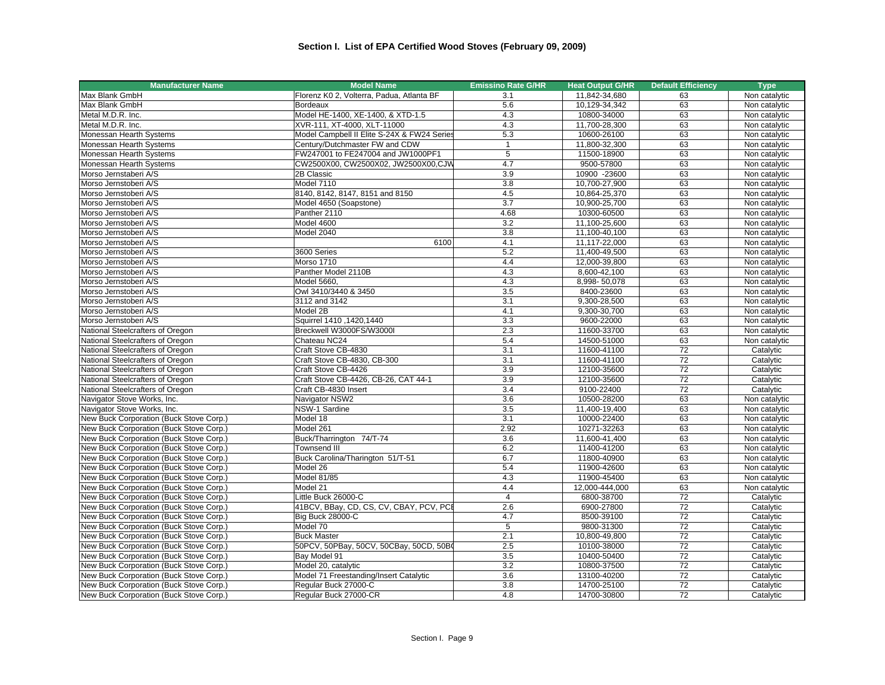| <b>Manufacturer Name</b>                                             | <b>Model Name</b>                           | <b>Emissino Rate G/HR</b> | <b>Heat Output G/HR</b> | <b>Default Efficiency</b> | <b>Type</b>   |
|----------------------------------------------------------------------|---------------------------------------------|---------------------------|-------------------------|---------------------------|---------------|
| Max Blank GmbH                                                       | Florenz K0 2, Volterra, Padua, Atlanta BF   | 3.1                       | 11,842-34,680           | 63                        | Non catalytic |
| Max Blank GmbH                                                       | Bordeaux                                    | 5.6                       | 10,129-34,342           | 63                        | Non catalytic |
| Metal M.D.R. Inc.                                                    | Model HE-1400, XE-1400, & XTD-1.5           | 4.3                       | 10800-34000             | 63                        | Non catalytic |
| Metal M.D.R. Inc.                                                    | XVR-111, XT-4000, XLT-11000                 | 4.3                       | 11,700-28,300           | 63                        | Non catalytic |
| Monessan Hearth Systems                                              | Model Campbell II Elite S-24X & FW24 Series | 5.3                       | 10600-26100             | 63                        | Non catalytic |
| Monessan Hearth Systems                                              | Century/Dutchmaster FW and CDW              | $\mathbf{1}$              | 11,800-32,300           | 63                        | Non catalytic |
| Monessan Hearth Systems                                              | FW247001 to FE247004 and JW1000PF1          | $\overline{5}$            | 11500-18900             | 63                        | Non catalytic |
| Monessan Hearth Systems                                              | CW2500X00, CW2500X02, JW2500X00,CJW         | 4.7                       | 9500-57800              | 63                        | Non catalytic |
| Morso Jernstaberi A/S                                                | 2B Classic                                  | $\overline{3.9}$          | 10900 -23600            | 63                        | Non catalytic |
| Morso Jernstoberi A/S                                                | Model 7110                                  | 3.8                       | 10,700-27,900           | 63                        | Non catalytic |
| Morso Jernstoberi A/S                                                | 8140, 8142, 8147, 8151 and 8150             | 4.5                       | 10,864-25,370           | 63                        | Non catalytic |
| Morso Jernstoberi A/S                                                | Model 4650 (Soapstone)                      | 3.7                       | 10,900-25,700           | 63                        | Non catalytic |
| Morso Jernstoberi A/S                                                | Panther 2110                                | 4.68                      | 10300-60500             | 63                        | Non catalytic |
| Morso Jernstoberi A/S                                                | Model 4600                                  | 3.2                       | 11,100-25,600           | 63                        | Non catalytic |
| Morso Jernstoberi A/S                                                | Model 2040                                  | 3.8                       | 11,100-40,100           | 63                        | Non catalytic |
| Morso Jernstoberi A/S                                                | 6100                                        | 4.1                       | 11,117-22,000           | 63                        | Non catalytic |
| Morso Jernstoberi A/S                                                | 3600 Series                                 | 5.2                       | 11,400-49,500           | 63                        | Non catalytic |
| Morso Jernstoberi A/S                                                | Morso 1710                                  | 4.4                       | 12,000-39,800           | 63                        | Non catalytic |
| Morso Jernstoberi A/S                                                | Panther Model 2110B                         | 4.3                       | 8,600-42,100            | 63                        | Non catalytic |
| Morso Jernstoberi A/S                                                | Model 5660,                                 | 4.3                       | 8,998-50,078            | 63                        | Non catalytic |
| Morso Jernstoberi A/S                                                | Owl 3410/3440 & 3450                        | 3.5                       | 8400-23600              | 63                        | Non catalytic |
| Morso Jernstoberi A/S                                                | 3112 and 3142                               | 3.1                       | 9,300-28,500            | 63                        | Non catalytic |
| Morso Jernstoberi A/S                                                | Model 2B                                    | 4.1                       | 9,300-30,700            | 63                        | Non catalytic |
|                                                                      | Squirrel 1410, 1420, 1440                   | 3.3                       | 9600-22000              | 63                        | Non catalytic |
| Morso Jernstoberi A/S<br>National Steelcrafters of Oregon            | Breckwell W3000FS/W3000I                    | 2.3                       | 11600-33700             | 63                        | Non catalytic |
| National Steelcrafters of Oregon                                     | Chateau NC24                                | 5.4                       | 14500-51000             | 63                        | Non catalytic |
|                                                                      | Craft Stove CB-4830                         | 3.1                       | 11600-41100             | 72                        |               |
| National Steelcrafters of Oregon<br>National Steelcrafters of Oregon | Craft Stove CB-4830, CB-300                 | 3.1                       | 11600-41100             | 72                        | Catalytic     |
|                                                                      |                                             | 3.9                       |                         | 72                        | Catalytic     |
| National Steelcrafters of Oregon                                     | Craft Stove CB-4426                         |                           | 12100-35600             |                           | Catalytic     |
| National Steelcrafters of Oregon                                     | Craft Stove CB-4426, CB-26, CAT 44-1        | 3.9                       | 12100-35600             | 72                        | Catalytic     |
| National Steelcrafters of Oregon                                     | Craft CB-4830 Insert                        | 3.4                       | 9100-22400              | 72                        | Catalytic     |
| Navigator Stove Works, Inc.                                          | Navigator NSW2                              | 3.6                       | 10500-28200             | 63                        | Non catalytic |
| Navigator Stove Works, Inc.                                          | NSW-1 Sardine                               | 3.5                       | 11,400-19,400           | 63                        | Non catalytic |
| New Buck Corporation (Buck Stove Corp.)                              | Model 18                                    | 3.1                       | 10000-22400             | 63                        | Non catalytic |
| New Buck Corporation (Buck Stove Corp.)                              | Model 261                                   | 2.92                      | 10271-32263             | 63                        | Non catalytic |
| New Buck Corporation (Buck Stove Corp.)                              | Buck/Tharrington 74/T-74                    | 3.6                       | 11,600-41,400           | 63                        | Non catalytic |
| New Buck Corporation (Buck Stove Corp.)                              | Townsend III                                | 6.2                       | 11400-41200             | 63                        | Non catalytic |
| New Buck Corporation (Buck Stove Corp.)                              | Buck Carolina/Tharington 51/T-51            | 6.7                       | 11800-40900             | 63                        | Non catalytic |
| New Buck Corporation (Buck Stove Corp.)                              | Model 26                                    | 5.4                       | 11900-42600             | 63                        | Non catalytic |
| New Buck Corporation (Buck Stove Corp.)                              | Model 81/85                                 | 4.3                       | 11900-45400             | 63                        | Non catalytic |
| New Buck Corporation (Buck Stove Corp.)                              | Model 21                                    | 4.4                       | 12,000-444,000          | 63                        | Non catalytic |
| New Buck Corporation (Buck Stove Corp.)                              | Little Buck 26000-C                         | $\overline{4}$            | 6800-38700              | 72                        | Catalytic     |
| New Buck Corporation (Buck Stove Corp.)                              | 41BCV, BBay, CD, CS, CV, CBAY, PCV, PCI     | $\overline{2.6}$          | 6900-27800              | $\overline{72}$           | Catalytic     |
| New Buck Corporation (Buck Stove Corp.)                              | Big Buck 28000-C                            | 4.7                       | 8500-39100              | 72                        | Catalytic     |
| New Buck Corporation (Buck Stove Corp.)                              | Model 70                                    | $\overline{5}$            | 9800-31300              | 72                        | Catalytic     |
| New Buck Corporation (Buck Stove Corp.)                              | <b>Buck Master</b>                          | 2.1                       | 10,800-49,800           | 72                        | Catalytic     |
| New Buck Corporation (Buck Stove Corp.)                              | 50PCV, 50PBay, 50CV, 50CBay, 50CD, 50B0     | 2.5                       | 10100-38000             | 72                        | Catalytic     |
| New Buck Corporation (Buck Stove Corp.)                              | Bay Model 91                                | $\overline{3.5}$          | 10400-50400             | $\overline{72}$           | Catalytic     |
| New Buck Corporation (Buck Stove Corp.)                              | Model 20, catalytic                         | 3.2                       | 10800-37500             | 72                        | Catalytic     |
| New Buck Corporation (Buck Stove Corp.)                              | Model 71 Freestanding/Insert Catalytic      | 3.6                       | 13100-40200             | 72                        | Catalytic     |
| New Buck Corporation (Buck Stove Corp.)                              | Regular Buck 27000-C                        | 3.8                       | 14700-25100             | $\overline{72}$           | Catalytic     |
| New Buck Corporation (Buck Stove Corp.)                              | Regular Buck 27000-CR                       | 4.8                       | 14700-30800             | 72                        | Catalytic     |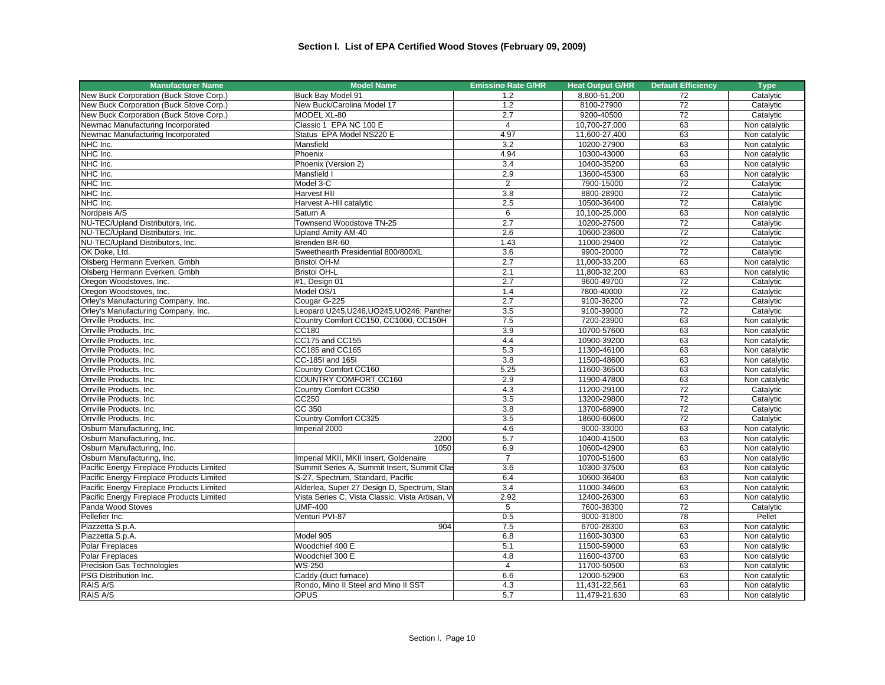| <b>Manufacturer Name</b>                  | <b>Model Name</b>                               | <b>Emissino Rate G/HR</b> | <b>Heat Output G/HR</b> | <b>Default Efficiency</b> | <b>Type</b>   |
|-------------------------------------------|-------------------------------------------------|---------------------------|-------------------------|---------------------------|---------------|
| New Buck Corporation (Buck Stove Corp.)   | Buck Bay Model 91                               | 1.2                       | 8,800-51,200            | 72                        | Catalytic     |
| New Buck Corporation (Buck Stove Corp.)   | New Buck/Carolina Model 17                      | 1.2                       | 8100-27900              | 72                        | Catalytic     |
| New Buck Corporation (Buck Stove Corp.)   | MODEL XL-80                                     | 2.7                       | 9200-40500              | 72                        | Catalytic     |
| Newmac Manufacturing Incorporated         | Classic 1 EPA NC 100 E                          | $\overline{4}$            | 10,700-27,000           | 63                        | Non catalytic |
| Newmac Manufacturing Incorporated         | Status EPA Model NS220 E                        | 4.97                      | 11,600-27,400           | 63                        | Non catalytic |
| NHC Inc.                                  | Mansfield                                       | 3.2                       | 10200-27900             | 63                        | Non catalytic |
| NHC Inc.                                  | Phoenix                                         | 4.94                      | 10300-43000             | 63                        | Non catalytic |
| NHC Inc.                                  | Phoenix (Version 2)                             | 3.4                       | 10400-35200             | 63                        | Non catalytic |
| NHC Inc.                                  | Mansfield I                                     | 2.9                       | 13600-45300             | 63                        | Non catalytic |
| NHC Inc.                                  | Model 3-C                                       | $\overline{2}$            | 7900-15000              | 72                        | Catalytic     |
| NHC Inc.                                  | <b>Harvest HII</b>                              | 3.8                       | 8800-28900              | 72                        | Catalytic     |
| NHC Inc.                                  | Harvest A-HII catalytic                         | 2.5                       | 10500-36400             | 72                        | Catalytic     |
| Nordpeis A/S                              | Saturn A                                        | 6                         | 10,100-25,000           | 63                        | Non catalytic |
| NU-TEC/Upland Distributors, Inc.          | Townsend Woodstove TN-25                        | 2.7                       | 10200-27500             | 72                        | Catalytic     |
| NU-TEC/Upland Distributors, Inc.          | Upland Amity AM-40                              | 2.6                       | 10600-23600             | 72                        | Catalytic     |
| NU-TEC/Upland Distributors, Inc.          | Brenden BR-60                                   | 1.43                      | 11000-29400             | $\overline{72}$           | Catalytic     |
| OK Doke, Ltd.                             | Sweethearth Presidential 800/800XL              | 3.6                       | 9900-20000              | $\overline{72}$           | Catalytic     |
| Olsberg Hermann Everken, Gmbh             | <b>Bristol OH-M</b>                             | 2.7                       | 11,000-33,200           | 63                        | Non catalytic |
| Olsberg Hermann Everken, Gmbh             | <b>Bristol OH-L</b>                             | 2.1                       | 11,800-32,200           | 63                        | Non catalytic |
| Oregon Woodstoves, Inc.                   | #1, Design 01                                   | 2.7                       | 9600-49700              | 72                        | Catalytic     |
| Oregon Woodstoves, Inc.                   | Model OS/1                                      | 1.4                       | 7800-40000              | 72                        | Catalytic     |
| Orley's Manufacturing Company, Inc.       | Cougar G-225                                    | 2.7                       | 9100-36200              | 72                        | Catalytic     |
| Orley's Manufacturing Company, Inc.       | Leopard U245, U246, UO245, UO246; Panther       | 3.5                       | 9100-39000              | 72                        | Catalytic     |
| Orrville Products, Inc.                   | Country Comfort CC150, CC1000, CC150H           | 7.5                       | 7200-23900              | 63                        | Non catalytic |
| Orrville Products, Inc.                   | CC180                                           | 3.9                       | 10700-57600             | 63                        | Non catalytic |
| Orrville Products, Inc.                   | CC175 and CC155                                 | 4.4                       | 10900-39200             | 63                        | Non catalytic |
| Orrville Products, Inc.                   | CC185 and CC165                                 | 5.3                       | 11300-46100             | 63                        | Non catalytic |
| Orrville Products, Inc.                   | CC-185I and 165I                                | 3.8                       | 11500-48600             | 63                        | Non catalytic |
| Orrville Products, Inc.                   | Country Comfort CC160                           | 5.25                      | 11600-36500             | 63                        | Non catalytic |
| Orrville Products, Inc.                   | COUNTRY COMFORT CC160                           | 2.9                       | 11900-47800             | 63                        | Non catalytic |
| Orrville Products, Inc.                   | Country Comfort CC350                           | 4.3                       | 11200-29100             | 72                        | Catalytic     |
| Orrville Products, Inc.                   | CC250                                           | 3.5                       | 13200-29800             | 72                        | Catalytic     |
| Orrville Products, Inc.                   | CC 350                                          | 3.8                       | 13700-68900             | 72                        | Catalytic     |
| Orrville Products, Inc.                   | Country Comfort CC325                           | 3.5                       | 18600-60600             | 72                        | Catalytic     |
| Osburn Manufacturing, Inc.                | Imperial 2000                                   | 4.6                       | 9000-33000              | 63                        | Non catalytic |
| Osburn Manufacturing, Inc.                | 2200                                            | 5.7                       | 10400-41500             | 63                        | Non catalytic |
| Osburn Manufacturing, Inc.                | 1050                                            | 6.9                       | 10600-42900             | 63                        | Non catalytic |
| Osburn Manufacturing, Inc.                | Imperial MKII, MKII Insert, Goldenaire          | $\overline{7}$            | 10700-51600             | 63                        | Non catalytic |
| Pacific Energy Fireplace Products Limited | Summit Series A, Summit Insert, Summit Clas     | 3.6                       | 10300-37500             | 63                        | Non catalytic |
| Pacific Energy Fireplace Products Limited | S-27, Spectrum, Standard, Pacific               | 6.4                       | 10600-36400             | 63                        | Non catalytic |
| Pacific Energy Fireplace Products Limited | Alderlea, Super 27 Design D, Spectrum, Stan     | 3.4                       | 11000-34600             | 63                        | Non catalytic |
| Pacific Energy Fireplace Products Limited | Vista Series C, Vista Classic, Vista Artisan, V | 2.92                      | 12400-26300             | 63                        | Non catalytic |
| Panda Wood Stoves                         | <b>UMF-400</b>                                  | $\overline{5}$            | 7600-38300              | 72                        | Catalytic     |
| Pellefier Inc.                            | Venturi PVI-87                                  | 0.5                       | 9000-31800              | 78                        | Pellet        |
| Piazzetta S.p.A.                          | 904                                             | 7.5                       | 6700-28300              | 63                        | Non catalytic |
| Piazzetta S.p.A.                          | Model 905                                       | 6.8                       | 11600-30300             | 63                        | Non catalytic |
| Polar Fireplaces                          | Woodchief 400 E                                 | 5.1                       | 11500-59000             | 63                        | Non catalytic |
| <b>Polar Fireplaces</b>                   | Woodchief 300 E                                 | 4.8                       | 11600-43700             | 63                        | Non catalytic |
| Precision Gas Technologies                | <b>WS-250</b>                                   | $\overline{4}$            | 11700-50500             | 63                        | Non catalytic |
| PSG Distribution Inc.                     | Caddy (duct furnace)                            | 6.6                       | 12000-52900             | 63                        | Non catalytic |
| RAIS A/S                                  | Rondo, Mino II Steel and Mino II SST            | 4.3                       | 11,431-22,561           | 63                        | Non catalytic |
| RAIS A/S                                  | <b>OPUS</b>                                     | 5.7                       | 11,479-21,630           | 63                        | Non catalytic |
|                                           |                                                 |                           |                         |                           |               |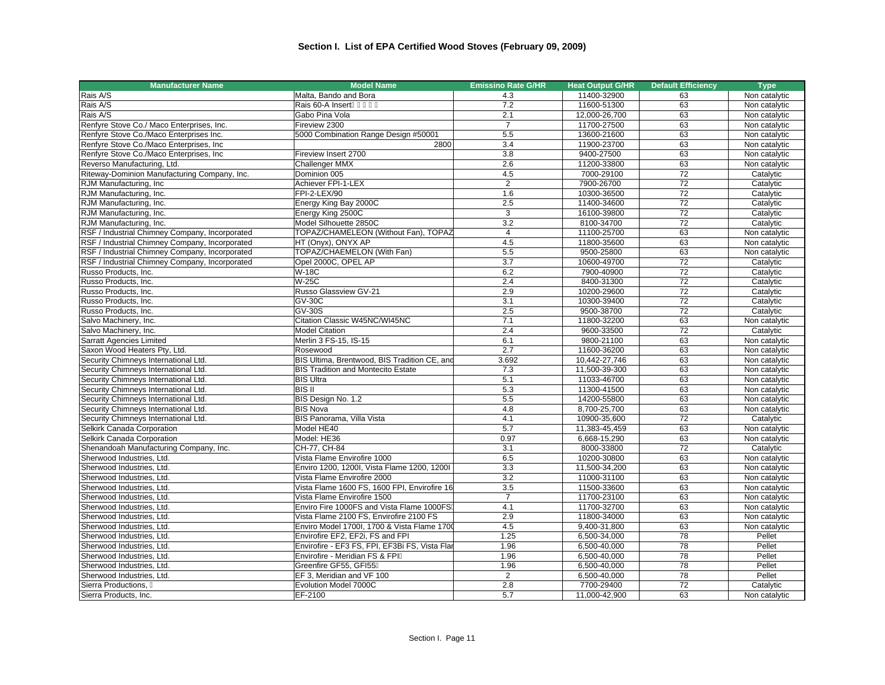| <b>Manufacturer Name</b>                       | <b>Model Name</b>                              | <b>Emissino Rate G/HR</b> | <b>Heat Output G/HR</b> | <b>Default Efficiency</b> | <b>Type</b>   |
|------------------------------------------------|------------------------------------------------|---------------------------|-------------------------|---------------------------|---------------|
| Rais A/S                                       | Malta, Bando and Bora                          | 4.3                       | 11400-32900             | 63                        | Non catalytic |
| Rais A/S                                       | Rais 60-A Insert                               | 7.2                       | 11600-51300             | 63                        | Non catalytic |
| Rais A/S                                       | Gabo Pina Vola                                 | 2.1                       | 12,000-26,700           | 63                        | Non catalytic |
| Renfyre Stove Co./ Maco Enterprises, Inc.      | Fireview 2300                                  | $\overline{7}$            | 11700-27500             | 63                        | Non catalytic |
| Renfyre Stove Co./Maco Enterprises Inc.        | 5000 Combination Range Design #50001           | 5.5                       | 13600-21600             | 63                        | Non catalytic |
| Renfyre Stove Co./Maco Enterprises, Inc.       | 2800                                           | 3.4                       | 11900-23700             | 63                        | Non catalytic |
| Renfyre Stove Co./Maco Enterprises, Inc        | Fireview Insert 2700                           | $\overline{3.8}$          | 9400-27500              | 63                        | Non catalytic |
| Reverso Manufacturing, Ltd.                    | Challenger MMX                                 | 2.6                       | 11200-33800             | 63                        | Non catalytic |
| Riteway-Dominion Manufacturing Company, Inc.   | Dominion 005                                   | 4.5                       | 7000-29100              | 72                        | Catalytic     |
| RJM Manufacturing, Inc.                        | Achiever FPI-1-LEX                             | $\overline{2}$            | 7900-26700              | 72                        | Catalytic     |
| RJM Manufacturing, Inc.                        | FPI-2-LEX/90                                   | 1.6                       | 10300-36500             | 72                        | Catalytic     |
| RJM Manufacturing, Inc.                        | Energy King Bay 2000C                          | 2.5                       | 11400-34600             | $\overline{72}$           | Catalytic     |
| RJM Manufacturing, Inc.                        | Energy King 2500C                              | 3                         | 16100-39800             | 72                        | Catalytic     |
| RJM Manufacturing, Inc.                        | Model Silhouette 2850C                         | 3.2                       | 8100-34700              | 72                        | Catalytic     |
| RSF / Industrial Chimney Company, Incorporated | TOPAZ/CHAMELEON (Without Fan), TOPAZ           | $\overline{4}$            | 11100-25700             | 63                        | Non catalytic |
| RSF / Industrial Chimney Company, Incorporated | HT (Onyx), ONYX AP                             | 4.5                       | 11800-35600             | 63                        | Non catalytic |
| RSF / Industrial Chimney Company, Incorporated | TOPAZ/CHAEMELON (With Fan)                     | 5.5                       | 9500-25800              | 63                        | Non catalytic |
| RSF / Industrial Chimney Company, Incorporated | Opel 2000C, OPEL AP                            | 3.7                       | 10600-49700             | $\overline{72}$           | Catalytic     |
| Russo Products. Inc.                           | <b>W-18C</b>                                   | 6.2                       | 7900-40900              | 72                        | Catalytic     |
| Russo Products, Inc.                           | $W-25C$                                        | 2.4                       | 8400-31300              | 72                        | Catalytic     |
| Russo Products, Inc.                           | Russo Glassview GV-21                          | 2.9                       | 10200-29600             | $\overline{72}$           | Catalytic     |
| Russo Products, Inc.                           | <b>GV-30C</b>                                  | 3.1                       | 10300-39400             | 72                        | Catalytic     |
| Russo Products, Inc.                           | $GV-30S$                                       | 2.5                       | 9500-38700              | 72                        | Catalytic     |
| Salvo Machinery, Inc.                          | Citation Classic W45NC/WI45NC                  | 7.1                       | 11800-32200             | 63                        | Non catalytic |
| Salvo Machinery, Inc.                          | <b>Model Citation</b>                          | 2.4                       | 9600-33500              | 72                        | Catalytic     |
| Sarratt Agencies Limited                       | Merlin 3 FS-15, IS-15                          | 6.1                       | 9800-21100              | 63                        | Non catalytic |
| Saxon Wood Heaters Pty, Ltd.                   | Rosewood                                       | 2.7                       | 11600-36200             | 63                        | Non catalytic |
| Security Chimneys International Ltd.           | BIS Ultima, Brentwood, BIS Tradition CE, and   | 3.692                     | 10.442-27.746           | 63                        | Non catalytic |
| Security Chimneys International Ltd.           | <b>BIS Tradition and Montecito Estate</b>      | 7.3                       | 11,500-39-300           | 63                        | Non catalytic |
| Security Chimneys International Ltd.           | <b>BIS Ultra</b>                               | 5.1                       | 11033-46700             | 63                        | Non catalytic |
| Security Chimneys International Ltd.           | <b>BIS II</b>                                  | 5.3                       | 11300-41500             | 63                        | Non catalytic |
| Security Chimneys International Ltd.           | BIS Design No. 1.2                             | 5.5                       | 14200-55800             | 63                        | Non catalytic |
| Security Chimneys International Ltd.           | <b>BIS Nova</b>                                | 4.8                       | 8.700-25.700            | 63                        | Non catalytic |
| Security Chimneys International Ltd.           | BIS Panorama, Villa Vista                      | 4.1                       | 10900-35,600            | 72                        | Catalytic     |
| Selkirk Canada Corporation                     | Model HE40                                     | 5.7                       | 11,383-45,459           | 63                        | Non catalytic |
| Selkirk Canada Corporation                     | Model: HE36                                    | 0.97                      | 6,668-15,290            | 63                        | Non catalytic |
| Shenandoah Manufacturing Company, Inc.         | CH-77, CH-84                                   | 3.1                       | 8000-33800              | 72                        | Catalytic     |
| Sherwood Industries, Ltd.                      | Vista Flame Envirofire 1000                    | 6.5                       | 10200-30800             | 63                        | Non catalytic |
| Sherwood Industries, Ltd.                      | Enviro 1200, 1200I, Vista Flame 1200, 1200I    | 3.3                       | 11,500-34,200           | 63                        | Non catalytic |
| Sherwood Industries, Ltd.                      | Vista Flame Envirofire 2000                    | 3.2                       | 11000-31100             | 63                        | Non catalytic |
| Sherwood Industries, Ltd.                      | Vista Flame 1600 FS, 1600 FPI, Envirofire 16   | 3.5                       | 11500-33600             | 63                        | Non catalytic |
| Sherwood Industries, Ltd.                      | Vista Flame Envirofire 1500                    | $\overline{7}$            | 11700-23100             | 63                        | Non catalytic |
| Sherwood Industries, Ltd.                      | Enviro Fire 1000FS and Vista Flame 1000FS      | 4.1                       | 11700-32700             | 63                        | Non catalytic |
| Sherwood Industries, Ltd.                      | Vista Flame 2100 FS, Envirofire 2100 FS        | 2.9                       | 11800-34000             | 63                        | Non catalytic |
| Sherwood Industries, Ltd.                      | Enviro Model 1700I, 1700 & Vista Flame 1700    | 4.5                       | 9,400-31,800            | 63                        | Non catalytic |
| Sherwood Industries, Ltd.                      | Envirofire EF2, EF2i, FS and FPI               | 1.25                      | 6,500-34,000            | $\overline{78}$           | Pellet        |
| Sherwood Industries. Ltd.                      | Envirofire - EF3 FS, FPI, EF3Bi FS, Vista Flar | 1.96                      | 6,500-40,000            | 78                        | Pellet        |
| Sherwood Industries, Ltd.                      | Envirofire - Meridian FS & FPI                 | 1.96                      | 6,500-40,000            | 78                        | Pellet        |
| Sherwood Industries, Ltd.                      | Greenfire GF55, GFI55                          | 1.96                      | 6,500-40,000            | 78                        | Pellet        |
| Sherwood Industries, Ltd.                      | EF 3, Meridian and VF 100                      | $\overline{2}$            | 6,500-40,000            | 78                        | Pellet        |
| Sierra Productions,                            | Evolution Model 7000C                          | 2.8                       | 7700-29400              | $\overline{72}$           | Catalytic     |
| Sierra Products, Inc.                          | EF-2100                                        | 5.7                       | 11,000-42,900           | 63                        | Non catalytic |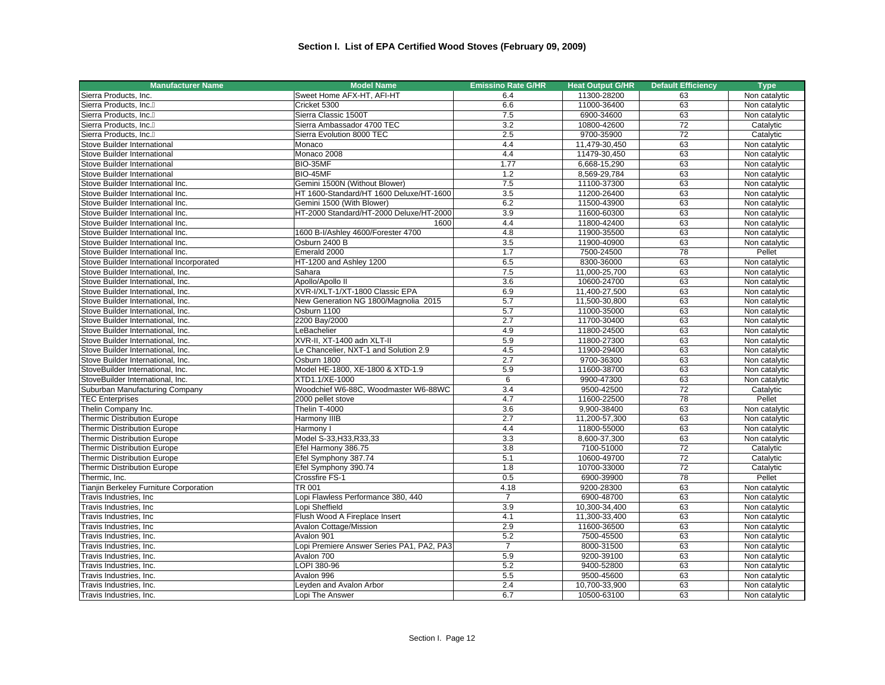| Sierra Products, Inc.<br>Sweet Home AFX-HT, AFI-HT<br>11300-28200<br>6.4<br>63<br>Non catalytic<br>6.6<br>11000-36400<br>63<br>Sierra Products, Inc.<br>Cricket 5300<br>Non catalytic<br>Sierra Classic 1500T<br>Sierra Products, Inc.<br>6900-34600<br>63<br>Non catalytic<br>7.5<br>72<br>Sierra Ambassador 4700 TEC<br>3.2<br>10800-42600<br>Catalytic<br>Sierra Products, Inc.<br>2.5<br>72<br>Sierra Evolution 8000 TEC<br>9700-35900<br>Catalytic<br>Sierra Products, Inc.<br>4.4<br>63<br>Stove Builder International<br>Monaco<br>11,479-30,450<br>Non catalytic<br>4.4<br>63<br>Monaco 2008<br>11479-30,450<br>Non catalytic<br>Stove Builder International<br>1.77<br>63<br>BIO-35MF<br>6,668-15,290<br>Non catalytic<br>Stove Builder International<br>63<br>BIO-45MF<br>1.2<br>8,569-29,784<br>Non catalytic<br>Stove Builder International<br>7.5<br>11100-37300<br>63<br>Stove Builder International Inc.<br>Gemini 1500N (Without Blower)<br>Non catalytic<br>HT 1600-Standard/HT 1600 Deluxe/HT-1600<br>3.5<br>11200-26400<br>63<br>Stove Builder International Inc.<br>Non catalytic<br>63<br>Gemini 1500 (With Blower)<br>6.2<br>11500-43900<br>Non catalytic<br>Stove Builder International Inc.<br>HT-2000 Standard/HT-2000 Deluxe/HT-2000<br>3.9<br>63<br>Stove Builder International Inc.<br>11600-60300<br>Non catalytic<br>4.4<br>11800-42400<br>63<br>Non catalytic<br>Stove Builder International Inc.<br>1600<br>1600 B-I/Ashley 4600/Forester 4700<br>4.8<br>11900-35500<br>63<br>Stove Builder International Inc.<br>Non catalytic<br>3.5<br>63<br>Osburn 2400 B<br>11900-40900<br>Stove Builder International Inc.<br>Non catalytic<br>Emerald 2000<br>7500-24500<br>$\overline{78}$<br>Pellet<br>Stove Builder International Inc.<br>1.7<br>6.5<br>63<br>HT-1200 and Ashley 1200<br>8300-36000<br>Non catalytic<br>Stove Builder International Incorporated<br>63<br>7.5<br>11,000-25,700<br>Non catalytic<br>Stove Builder International, Inc.<br>Sahara<br>Apollo/Apollo II<br>3.6<br>10600-24700<br>63<br>Non catalytic<br>Stove Builder International, Inc.<br>63<br>XVR-I/XLT-1/XT-1800 Classic EPA<br>6.9<br>11,400-27,500<br>Stove Builder International, Inc.<br>Non catalytic<br>5.7<br>63<br>Stove Builder International, Inc.<br>New Generation NG 1800/Magnolia 2015<br>11,500-30,800<br>Non catalytic<br>Osburn 1100<br>5.7<br>11000-35000<br>63<br>Non catalytic<br>Stove Builder International, Inc.<br>2200 Bay/2000<br>2.7<br>63<br>Stove Builder International, Inc.<br>11700-30400<br>Non catalytic<br>LeBachelier<br>4.9<br>11800-24500<br>63<br>Non catalytic<br>Stove Builder International, Inc.<br>XVR-II, XT-1400 adn XLT-II<br>5.9<br>63<br>Stove Builder International, Inc.<br>11800-27300<br>Non catalytic<br>63<br>4.5<br>11900-29400<br>Non catalytic<br>Stove Builder International, Inc.<br>Le Chancelier, NXT-1 and Solution 2.9<br>2.7<br>63<br>Stove Builder International, Inc.<br>Osburn 1800<br>9700-36300<br>Non catalytic<br>5.9<br>63<br>Model HE-1800, XE-1800 & XTD-1.9<br>11600-38700<br>Non catalytic<br>StoveBuilder International, Inc.<br>6<br>63<br>StoveBuilder International, Inc.<br>XTD1.1/XE-1000<br>9900-47300<br>Non catalytic<br>3.4<br>72<br>Woodchief W6-88C. Woodmaster W6-88WC<br>9500-42500<br>Catalytic<br>Suburban Manufacturing Company<br>78<br>4.7<br>11600-22500<br>Pellet<br><b>TEC Enterprises</b><br>2000 pellet stove<br>Thelin T-4000<br>3.6<br>63<br>Thelin Company Inc.<br>9,900-38400<br>Non catalytic<br>Thermic Distribution Europe<br>Harmony IIIB<br>2.7<br>11,200-57,300<br>63<br>Non catalytic<br>63<br><b>Thermic Distribution Europe</b><br>4.4<br>11800-55000<br>Non catalytic<br>Harmony I<br>Model S-33, H33, R33, 33<br>3.3<br>8,600-37,300<br>63<br><b>Thermic Distribution Europe</b><br>Non catalytic<br>7100-51000<br>72<br><b>Thermic Distribution Europe</b><br>Efel Harmony 386.75<br>3.8<br>Catalytic<br>5.1<br>72<br>Efel Symphony 387.74<br>10600-49700<br><b>Thermic Distribution Europe</b><br>Catalytic<br>10700-33000<br>72<br><b>Thermic Distribution Europe</b><br>Efel Symphony 390.74<br>1.8<br>Catalytic<br>Pellet<br>Crossfire FS-1<br>0.5<br>6900-39900<br>78<br>Thermic, Inc.<br>TR 001<br>63<br>Tianjin Berkeley Furniture Corporation<br>4.18<br>9200-28300<br>Non catalytic<br>Lopi Flawless Performance 380, 440<br>6900-48700<br>63<br>Travis Industries, Inc<br>$\overline{7}$<br>Non catalytic<br>3.9<br>10,300-34,400<br>63<br>Travis Industries, Inc<br>Lopi Sheffield<br>Non catalytic<br>63<br>Flush Wood A Fireplace Insert<br>4.1<br>11,300-33,400<br>Non catalytic<br>Travis Industries, Inc<br>Avalon Cottage/Mission<br>2.9<br>11600-36500<br>63<br>Travis Industries, Inc<br>Non catalytic<br>5.2<br>63<br>7500-45500<br>Non catalytic<br>Travis Industries, Inc.<br>Avalon 901<br>Lopi Premiere Answer Series PA1, PA2, PA3<br>8000-31500<br>63<br>Non catalytic<br>Travis Industries, Inc.<br>$\overline{7}$<br>5.9<br>63<br>Avalon 700<br>9200-39100<br>Non catalytic<br>Travis Industries, Inc.<br>LOPI 380-96<br>5.2<br>9400-52800<br>63<br>Non catalytic<br>Travis Industries, Inc.<br>Avalon 996<br>5.5<br>9500-45600<br>63<br>Non catalytic<br>Travis Industries, Inc.<br>2.4<br>10,700-33,900<br>63<br>Travis Industries, Inc.<br>Leyden and Avalon Arbor<br>Non catalytic | <b>Manufacturer Name</b> | <b>Model Name</b> | <b>Emissino Rate G/HR</b> | <b>Heat Output G/HR</b> | <b>Default Efficiency</b> | <b>Type</b>   |
|----------------------------------------------------------------------------------------------------------------------------------------------------------------------------------------------------------------------------------------------------------------------------------------------------------------------------------------------------------------------------------------------------------------------------------------------------------------------------------------------------------------------------------------------------------------------------------------------------------------------------------------------------------------------------------------------------------------------------------------------------------------------------------------------------------------------------------------------------------------------------------------------------------------------------------------------------------------------------------------------------------------------------------------------------------------------------------------------------------------------------------------------------------------------------------------------------------------------------------------------------------------------------------------------------------------------------------------------------------------------------------------------------------------------------------------------------------------------------------------------------------------------------------------------------------------------------------------------------------------------------------------------------------------------------------------------------------------------------------------------------------------------------------------------------------------------------------------------------------------------------------------------------------------------------------------------------------------------------------------------------------------------------------------------------------------------------------------------------------------------------------------------------------------------------------------------------------------------------------------------------------------------------------------------------------------------------------------------------------------------------------------------------------------------------------------------------------------------------------------------------------------------------------------------------------------------------------------------------------------------------------------------------------------------------------------------------------------------------------------------------------------------------------------------------------------------------------------------------------------------------------------------------------------------------------------------------------------------------------------------------------------------------------------------------------------------------------------------------------------------------------------------------------------------------------------------------------------------------------------------------------------------------------------------------------------------------------------------------------------------------------------------------------------------------------------------------------------------------------------------------------------------------------------------------------------------------------------------------------------------------------------------------------------------------------------------------------------------------------------------------------------------------------------------------------------------------------------------------------------------------------------------------------------------------------------------------------------------------------------------------------------------------------------------------------------------------------------------------------------------------------------------------------------------------------------------------------------------------------------------------------------------------------------------------------------------------------------------------------------------------------------------------------------------------------------------------------------------------------------------------------------------------------------------------------------------------------------------------------------------------------------------------------------------------------------------------------------------------------------------------------------------------------------------------------------------------------------------------------------------------------------------------------------------------------------------------------------------------------------------------------------------------------------------------------------------------------------------------------------------------------------------------------------------------------------------------------------------------------------------------------------------------------------------------------------------------------------------------|--------------------------|-------------------|---------------------------|-------------------------|---------------------------|---------------|
|                                                                                                                                                                                                                                                                                                                                                                                                                                                                                                                                                                                                                                                                                                                                                                                                                                                                                                                                                                                                                                                                                                                                                                                                                                                                                                                                                                                                                                                                                                                                                                                                                                                                                                                                                                                                                                                                                                                                                                                                                                                                                                                                                                                                                                                                                                                                                                                                                                                                                                                                                                                                                                                                                                                                                                                                                                                                                                                                                                                                                                                                                                                                                                                                                                                                                                                                                                                                                                                                                                                                                                                                                                                                                                                                                                                                                                                                                                                                                                                                                                                                                                                                                                                                                                                                                                                                                                                                                                                                                                                                                                                                                                                                                                                                                                                                                                                                                                                                                                                                                                                                                                                                                                                                                                                                                                                                                    |                          |                   |                           |                         |                           |               |
|                                                                                                                                                                                                                                                                                                                                                                                                                                                                                                                                                                                                                                                                                                                                                                                                                                                                                                                                                                                                                                                                                                                                                                                                                                                                                                                                                                                                                                                                                                                                                                                                                                                                                                                                                                                                                                                                                                                                                                                                                                                                                                                                                                                                                                                                                                                                                                                                                                                                                                                                                                                                                                                                                                                                                                                                                                                                                                                                                                                                                                                                                                                                                                                                                                                                                                                                                                                                                                                                                                                                                                                                                                                                                                                                                                                                                                                                                                                                                                                                                                                                                                                                                                                                                                                                                                                                                                                                                                                                                                                                                                                                                                                                                                                                                                                                                                                                                                                                                                                                                                                                                                                                                                                                                                                                                                                                                    |                          |                   |                           |                         |                           |               |
|                                                                                                                                                                                                                                                                                                                                                                                                                                                                                                                                                                                                                                                                                                                                                                                                                                                                                                                                                                                                                                                                                                                                                                                                                                                                                                                                                                                                                                                                                                                                                                                                                                                                                                                                                                                                                                                                                                                                                                                                                                                                                                                                                                                                                                                                                                                                                                                                                                                                                                                                                                                                                                                                                                                                                                                                                                                                                                                                                                                                                                                                                                                                                                                                                                                                                                                                                                                                                                                                                                                                                                                                                                                                                                                                                                                                                                                                                                                                                                                                                                                                                                                                                                                                                                                                                                                                                                                                                                                                                                                                                                                                                                                                                                                                                                                                                                                                                                                                                                                                                                                                                                                                                                                                                                                                                                                                                    |                          |                   |                           |                         |                           |               |
|                                                                                                                                                                                                                                                                                                                                                                                                                                                                                                                                                                                                                                                                                                                                                                                                                                                                                                                                                                                                                                                                                                                                                                                                                                                                                                                                                                                                                                                                                                                                                                                                                                                                                                                                                                                                                                                                                                                                                                                                                                                                                                                                                                                                                                                                                                                                                                                                                                                                                                                                                                                                                                                                                                                                                                                                                                                                                                                                                                                                                                                                                                                                                                                                                                                                                                                                                                                                                                                                                                                                                                                                                                                                                                                                                                                                                                                                                                                                                                                                                                                                                                                                                                                                                                                                                                                                                                                                                                                                                                                                                                                                                                                                                                                                                                                                                                                                                                                                                                                                                                                                                                                                                                                                                                                                                                                                                    |                          |                   |                           |                         |                           |               |
|                                                                                                                                                                                                                                                                                                                                                                                                                                                                                                                                                                                                                                                                                                                                                                                                                                                                                                                                                                                                                                                                                                                                                                                                                                                                                                                                                                                                                                                                                                                                                                                                                                                                                                                                                                                                                                                                                                                                                                                                                                                                                                                                                                                                                                                                                                                                                                                                                                                                                                                                                                                                                                                                                                                                                                                                                                                                                                                                                                                                                                                                                                                                                                                                                                                                                                                                                                                                                                                                                                                                                                                                                                                                                                                                                                                                                                                                                                                                                                                                                                                                                                                                                                                                                                                                                                                                                                                                                                                                                                                                                                                                                                                                                                                                                                                                                                                                                                                                                                                                                                                                                                                                                                                                                                                                                                                                                    |                          |                   |                           |                         |                           |               |
|                                                                                                                                                                                                                                                                                                                                                                                                                                                                                                                                                                                                                                                                                                                                                                                                                                                                                                                                                                                                                                                                                                                                                                                                                                                                                                                                                                                                                                                                                                                                                                                                                                                                                                                                                                                                                                                                                                                                                                                                                                                                                                                                                                                                                                                                                                                                                                                                                                                                                                                                                                                                                                                                                                                                                                                                                                                                                                                                                                                                                                                                                                                                                                                                                                                                                                                                                                                                                                                                                                                                                                                                                                                                                                                                                                                                                                                                                                                                                                                                                                                                                                                                                                                                                                                                                                                                                                                                                                                                                                                                                                                                                                                                                                                                                                                                                                                                                                                                                                                                                                                                                                                                                                                                                                                                                                                                                    |                          |                   |                           |                         |                           |               |
|                                                                                                                                                                                                                                                                                                                                                                                                                                                                                                                                                                                                                                                                                                                                                                                                                                                                                                                                                                                                                                                                                                                                                                                                                                                                                                                                                                                                                                                                                                                                                                                                                                                                                                                                                                                                                                                                                                                                                                                                                                                                                                                                                                                                                                                                                                                                                                                                                                                                                                                                                                                                                                                                                                                                                                                                                                                                                                                                                                                                                                                                                                                                                                                                                                                                                                                                                                                                                                                                                                                                                                                                                                                                                                                                                                                                                                                                                                                                                                                                                                                                                                                                                                                                                                                                                                                                                                                                                                                                                                                                                                                                                                                                                                                                                                                                                                                                                                                                                                                                                                                                                                                                                                                                                                                                                                                                                    |                          |                   |                           |                         |                           |               |
|                                                                                                                                                                                                                                                                                                                                                                                                                                                                                                                                                                                                                                                                                                                                                                                                                                                                                                                                                                                                                                                                                                                                                                                                                                                                                                                                                                                                                                                                                                                                                                                                                                                                                                                                                                                                                                                                                                                                                                                                                                                                                                                                                                                                                                                                                                                                                                                                                                                                                                                                                                                                                                                                                                                                                                                                                                                                                                                                                                                                                                                                                                                                                                                                                                                                                                                                                                                                                                                                                                                                                                                                                                                                                                                                                                                                                                                                                                                                                                                                                                                                                                                                                                                                                                                                                                                                                                                                                                                                                                                                                                                                                                                                                                                                                                                                                                                                                                                                                                                                                                                                                                                                                                                                                                                                                                                                                    |                          |                   |                           |                         |                           |               |
|                                                                                                                                                                                                                                                                                                                                                                                                                                                                                                                                                                                                                                                                                                                                                                                                                                                                                                                                                                                                                                                                                                                                                                                                                                                                                                                                                                                                                                                                                                                                                                                                                                                                                                                                                                                                                                                                                                                                                                                                                                                                                                                                                                                                                                                                                                                                                                                                                                                                                                                                                                                                                                                                                                                                                                                                                                                                                                                                                                                                                                                                                                                                                                                                                                                                                                                                                                                                                                                                                                                                                                                                                                                                                                                                                                                                                                                                                                                                                                                                                                                                                                                                                                                                                                                                                                                                                                                                                                                                                                                                                                                                                                                                                                                                                                                                                                                                                                                                                                                                                                                                                                                                                                                                                                                                                                                                                    |                          |                   |                           |                         |                           |               |
|                                                                                                                                                                                                                                                                                                                                                                                                                                                                                                                                                                                                                                                                                                                                                                                                                                                                                                                                                                                                                                                                                                                                                                                                                                                                                                                                                                                                                                                                                                                                                                                                                                                                                                                                                                                                                                                                                                                                                                                                                                                                                                                                                                                                                                                                                                                                                                                                                                                                                                                                                                                                                                                                                                                                                                                                                                                                                                                                                                                                                                                                                                                                                                                                                                                                                                                                                                                                                                                                                                                                                                                                                                                                                                                                                                                                                                                                                                                                                                                                                                                                                                                                                                                                                                                                                                                                                                                                                                                                                                                                                                                                                                                                                                                                                                                                                                                                                                                                                                                                                                                                                                                                                                                                                                                                                                                                                    |                          |                   |                           |                         |                           |               |
|                                                                                                                                                                                                                                                                                                                                                                                                                                                                                                                                                                                                                                                                                                                                                                                                                                                                                                                                                                                                                                                                                                                                                                                                                                                                                                                                                                                                                                                                                                                                                                                                                                                                                                                                                                                                                                                                                                                                                                                                                                                                                                                                                                                                                                                                                                                                                                                                                                                                                                                                                                                                                                                                                                                                                                                                                                                                                                                                                                                                                                                                                                                                                                                                                                                                                                                                                                                                                                                                                                                                                                                                                                                                                                                                                                                                                                                                                                                                                                                                                                                                                                                                                                                                                                                                                                                                                                                                                                                                                                                                                                                                                                                                                                                                                                                                                                                                                                                                                                                                                                                                                                                                                                                                                                                                                                                                                    |                          |                   |                           |                         |                           |               |
|                                                                                                                                                                                                                                                                                                                                                                                                                                                                                                                                                                                                                                                                                                                                                                                                                                                                                                                                                                                                                                                                                                                                                                                                                                                                                                                                                                                                                                                                                                                                                                                                                                                                                                                                                                                                                                                                                                                                                                                                                                                                                                                                                                                                                                                                                                                                                                                                                                                                                                                                                                                                                                                                                                                                                                                                                                                                                                                                                                                                                                                                                                                                                                                                                                                                                                                                                                                                                                                                                                                                                                                                                                                                                                                                                                                                                                                                                                                                                                                                                                                                                                                                                                                                                                                                                                                                                                                                                                                                                                                                                                                                                                                                                                                                                                                                                                                                                                                                                                                                                                                                                                                                                                                                                                                                                                                                                    |                          |                   |                           |                         |                           |               |
|                                                                                                                                                                                                                                                                                                                                                                                                                                                                                                                                                                                                                                                                                                                                                                                                                                                                                                                                                                                                                                                                                                                                                                                                                                                                                                                                                                                                                                                                                                                                                                                                                                                                                                                                                                                                                                                                                                                                                                                                                                                                                                                                                                                                                                                                                                                                                                                                                                                                                                                                                                                                                                                                                                                                                                                                                                                                                                                                                                                                                                                                                                                                                                                                                                                                                                                                                                                                                                                                                                                                                                                                                                                                                                                                                                                                                                                                                                                                                                                                                                                                                                                                                                                                                                                                                                                                                                                                                                                                                                                                                                                                                                                                                                                                                                                                                                                                                                                                                                                                                                                                                                                                                                                                                                                                                                                                                    |                          |                   |                           |                         |                           |               |
|                                                                                                                                                                                                                                                                                                                                                                                                                                                                                                                                                                                                                                                                                                                                                                                                                                                                                                                                                                                                                                                                                                                                                                                                                                                                                                                                                                                                                                                                                                                                                                                                                                                                                                                                                                                                                                                                                                                                                                                                                                                                                                                                                                                                                                                                                                                                                                                                                                                                                                                                                                                                                                                                                                                                                                                                                                                                                                                                                                                                                                                                                                                                                                                                                                                                                                                                                                                                                                                                                                                                                                                                                                                                                                                                                                                                                                                                                                                                                                                                                                                                                                                                                                                                                                                                                                                                                                                                                                                                                                                                                                                                                                                                                                                                                                                                                                                                                                                                                                                                                                                                                                                                                                                                                                                                                                                                                    |                          |                   |                           |                         |                           |               |
|                                                                                                                                                                                                                                                                                                                                                                                                                                                                                                                                                                                                                                                                                                                                                                                                                                                                                                                                                                                                                                                                                                                                                                                                                                                                                                                                                                                                                                                                                                                                                                                                                                                                                                                                                                                                                                                                                                                                                                                                                                                                                                                                                                                                                                                                                                                                                                                                                                                                                                                                                                                                                                                                                                                                                                                                                                                                                                                                                                                                                                                                                                                                                                                                                                                                                                                                                                                                                                                                                                                                                                                                                                                                                                                                                                                                                                                                                                                                                                                                                                                                                                                                                                                                                                                                                                                                                                                                                                                                                                                                                                                                                                                                                                                                                                                                                                                                                                                                                                                                                                                                                                                                                                                                                                                                                                                                                    |                          |                   |                           |                         |                           |               |
|                                                                                                                                                                                                                                                                                                                                                                                                                                                                                                                                                                                                                                                                                                                                                                                                                                                                                                                                                                                                                                                                                                                                                                                                                                                                                                                                                                                                                                                                                                                                                                                                                                                                                                                                                                                                                                                                                                                                                                                                                                                                                                                                                                                                                                                                                                                                                                                                                                                                                                                                                                                                                                                                                                                                                                                                                                                                                                                                                                                                                                                                                                                                                                                                                                                                                                                                                                                                                                                                                                                                                                                                                                                                                                                                                                                                                                                                                                                                                                                                                                                                                                                                                                                                                                                                                                                                                                                                                                                                                                                                                                                                                                                                                                                                                                                                                                                                                                                                                                                                                                                                                                                                                                                                                                                                                                                                                    |                          |                   |                           |                         |                           |               |
|                                                                                                                                                                                                                                                                                                                                                                                                                                                                                                                                                                                                                                                                                                                                                                                                                                                                                                                                                                                                                                                                                                                                                                                                                                                                                                                                                                                                                                                                                                                                                                                                                                                                                                                                                                                                                                                                                                                                                                                                                                                                                                                                                                                                                                                                                                                                                                                                                                                                                                                                                                                                                                                                                                                                                                                                                                                                                                                                                                                                                                                                                                                                                                                                                                                                                                                                                                                                                                                                                                                                                                                                                                                                                                                                                                                                                                                                                                                                                                                                                                                                                                                                                                                                                                                                                                                                                                                                                                                                                                                                                                                                                                                                                                                                                                                                                                                                                                                                                                                                                                                                                                                                                                                                                                                                                                                                                    |                          |                   |                           |                         |                           |               |
|                                                                                                                                                                                                                                                                                                                                                                                                                                                                                                                                                                                                                                                                                                                                                                                                                                                                                                                                                                                                                                                                                                                                                                                                                                                                                                                                                                                                                                                                                                                                                                                                                                                                                                                                                                                                                                                                                                                                                                                                                                                                                                                                                                                                                                                                                                                                                                                                                                                                                                                                                                                                                                                                                                                                                                                                                                                                                                                                                                                                                                                                                                                                                                                                                                                                                                                                                                                                                                                                                                                                                                                                                                                                                                                                                                                                                                                                                                                                                                                                                                                                                                                                                                                                                                                                                                                                                                                                                                                                                                                                                                                                                                                                                                                                                                                                                                                                                                                                                                                                                                                                                                                                                                                                                                                                                                                                                    |                          |                   |                           |                         |                           |               |
|                                                                                                                                                                                                                                                                                                                                                                                                                                                                                                                                                                                                                                                                                                                                                                                                                                                                                                                                                                                                                                                                                                                                                                                                                                                                                                                                                                                                                                                                                                                                                                                                                                                                                                                                                                                                                                                                                                                                                                                                                                                                                                                                                                                                                                                                                                                                                                                                                                                                                                                                                                                                                                                                                                                                                                                                                                                                                                                                                                                                                                                                                                                                                                                                                                                                                                                                                                                                                                                                                                                                                                                                                                                                                                                                                                                                                                                                                                                                                                                                                                                                                                                                                                                                                                                                                                                                                                                                                                                                                                                                                                                                                                                                                                                                                                                                                                                                                                                                                                                                                                                                                                                                                                                                                                                                                                                                                    |                          |                   |                           |                         |                           |               |
|                                                                                                                                                                                                                                                                                                                                                                                                                                                                                                                                                                                                                                                                                                                                                                                                                                                                                                                                                                                                                                                                                                                                                                                                                                                                                                                                                                                                                                                                                                                                                                                                                                                                                                                                                                                                                                                                                                                                                                                                                                                                                                                                                                                                                                                                                                                                                                                                                                                                                                                                                                                                                                                                                                                                                                                                                                                                                                                                                                                                                                                                                                                                                                                                                                                                                                                                                                                                                                                                                                                                                                                                                                                                                                                                                                                                                                                                                                                                                                                                                                                                                                                                                                                                                                                                                                                                                                                                                                                                                                                                                                                                                                                                                                                                                                                                                                                                                                                                                                                                                                                                                                                                                                                                                                                                                                                                                    |                          |                   |                           |                         |                           |               |
|                                                                                                                                                                                                                                                                                                                                                                                                                                                                                                                                                                                                                                                                                                                                                                                                                                                                                                                                                                                                                                                                                                                                                                                                                                                                                                                                                                                                                                                                                                                                                                                                                                                                                                                                                                                                                                                                                                                                                                                                                                                                                                                                                                                                                                                                                                                                                                                                                                                                                                                                                                                                                                                                                                                                                                                                                                                                                                                                                                                                                                                                                                                                                                                                                                                                                                                                                                                                                                                                                                                                                                                                                                                                                                                                                                                                                                                                                                                                                                                                                                                                                                                                                                                                                                                                                                                                                                                                                                                                                                                                                                                                                                                                                                                                                                                                                                                                                                                                                                                                                                                                                                                                                                                                                                                                                                                                                    |                          |                   |                           |                         |                           |               |
|                                                                                                                                                                                                                                                                                                                                                                                                                                                                                                                                                                                                                                                                                                                                                                                                                                                                                                                                                                                                                                                                                                                                                                                                                                                                                                                                                                                                                                                                                                                                                                                                                                                                                                                                                                                                                                                                                                                                                                                                                                                                                                                                                                                                                                                                                                                                                                                                                                                                                                                                                                                                                                                                                                                                                                                                                                                                                                                                                                                                                                                                                                                                                                                                                                                                                                                                                                                                                                                                                                                                                                                                                                                                                                                                                                                                                                                                                                                                                                                                                                                                                                                                                                                                                                                                                                                                                                                                                                                                                                                                                                                                                                                                                                                                                                                                                                                                                                                                                                                                                                                                                                                                                                                                                                                                                                                                                    |                          |                   |                           |                         |                           |               |
|                                                                                                                                                                                                                                                                                                                                                                                                                                                                                                                                                                                                                                                                                                                                                                                                                                                                                                                                                                                                                                                                                                                                                                                                                                                                                                                                                                                                                                                                                                                                                                                                                                                                                                                                                                                                                                                                                                                                                                                                                                                                                                                                                                                                                                                                                                                                                                                                                                                                                                                                                                                                                                                                                                                                                                                                                                                                                                                                                                                                                                                                                                                                                                                                                                                                                                                                                                                                                                                                                                                                                                                                                                                                                                                                                                                                                                                                                                                                                                                                                                                                                                                                                                                                                                                                                                                                                                                                                                                                                                                                                                                                                                                                                                                                                                                                                                                                                                                                                                                                                                                                                                                                                                                                                                                                                                                                                    |                          |                   |                           |                         |                           |               |
|                                                                                                                                                                                                                                                                                                                                                                                                                                                                                                                                                                                                                                                                                                                                                                                                                                                                                                                                                                                                                                                                                                                                                                                                                                                                                                                                                                                                                                                                                                                                                                                                                                                                                                                                                                                                                                                                                                                                                                                                                                                                                                                                                                                                                                                                                                                                                                                                                                                                                                                                                                                                                                                                                                                                                                                                                                                                                                                                                                                                                                                                                                                                                                                                                                                                                                                                                                                                                                                                                                                                                                                                                                                                                                                                                                                                                                                                                                                                                                                                                                                                                                                                                                                                                                                                                                                                                                                                                                                                                                                                                                                                                                                                                                                                                                                                                                                                                                                                                                                                                                                                                                                                                                                                                                                                                                                                                    |                          |                   |                           |                         |                           |               |
|                                                                                                                                                                                                                                                                                                                                                                                                                                                                                                                                                                                                                                                                                                                                                                                                                                                                                                                                                                                                                                                                                                                                                                                                                                                                                                                                                                                                                                                                                                                                                                                                                                                                                                                                                                                                                                                                                                                                                                                                                                                                                                                                                                                                                                                                                                                                                                                                                                                                                                                                                                                                                                                                                                                                                                                                                                                                                                                                                                                                                                                                                                                                                                                                                                                                                                                                                                                                                                                                                                                                                                                                                                                                                                                                                                                                                                                                                                                                                                                                                                                                                                                                                                                                                                                                                                                                                                                                                                                                                                                                                                                                                                                                                                                                                                                                                                                                                                                                                                                                                                                                                                                                                                                                                                                                                                                                                    |                          |                   |                           |                         |                           |               |
|                                                                                                                                                                                                                                                                                                                                                                                                                                                                                                                                                                                                                                                                                                                                                                                                                                                                                                                                                                                                                                                                                                                                                                                                                                                                                                                                                                                                                                                                                                                                                                                                                                                                                                                                                                                                                                                                                                                                                                                                                                                                                                                                                                                                                                                                                                                                                                                                                                                                                                                                                                                                                                                                                                                                                                                                                                                                                                                                                                                                                                                                                                                                                                                                                                                                                                                                                                                                                                                                                                                                                                                                                                                                                                                                                                                                                                                                                                                                                                                                                                                                                                                                                                                                                                                                                                                                                                                                                                                                                                                                                                                                                                                                                                                                                                                                                                                                                                                                                                                                                                                                                                                                                                                                                                                                                                                                                    |                          |                   |                           |                         |                           |               |
|                                                                                                                                                                                                                                                                                                                                                                                                                                                                                                                                                                                                                                                                                                                                                                                                                                                                                                                                                                                                                                                                                                                                                                                                                                                                                                                                                                                                                                                                                                                                                                                                                                                                                                                                                                                                                                                                                                                                                                                                                                                                                                                                                                                                                                                                                                                                                                                                                                                                                                                                                                                                                                                                                                                                                                                                                                                                                                                                                                                                                                                                                                                                                                                                                                                                                                                                                                                                                                                                                                                                                                                                                                                                                                                                                                                                                                                                                                                                                                                                                                                                                                                                                                                                                                                                                                                                                                                                                                                                                                                                                                                                                                                                                                                                                                                                                                                                                                                                                                                                                                                                                                                                                                                                                                                                                                                                                    |                          |                   |                           |                         |                           |               |
|                                                                                                                                                                                                                                                                                                                                                                                                                                                                                                                                                                                                                                                                                                                                                                                                                                                                                                                                                                                                                                                                                                                                                                                                                                                                                                                                                                                                                                                                                                                                                                                                                                                                                                                                                                                                                                                                                                                                                                                                                                                                                                                                                                                                                                                                                                                                                                                                                                                                                                                                                                                                                                                                                                                                                                                                                                                                                                                                                                                                                                                                                                                                                                                                                                                                                                                                                                                                                                                                                                                                                                                                                                                                                                                                                                                                                                                                                                                                                                                                                                                                                                                                                                                                                                                                                                                                                                                                                                                                                                                                                                                                                                                                                                                                                                                                                                                                                                                                                                                                                                                                                                                                                                                                                                                                                                                                                    |                          |                   |                           |                         |                           |               |
|                                                                                                                                                                                                                                                                                                                                                                                                                                                                                                                                                                                                                                                                                                                                                                                                                                                                                                                                                                                                                                                                                                                                                                                                                                                                                                                                                                                                                                                                                                                                                                                                                                                                                                                                                                                                                                                                                                                                                                                                                                                                                                                                                                                                                                                                                                                                                                                                                                                                                                                                                                                                                                                                                                                                                                                                                                                                                                                                                                                                                                                                                                                                                                                                                                                                                                                                                                                                                                                                                                                                                                                                                                                                                                                                                                                                                                                                                                                                                                                                                                                                                                                                                                                                                                                                                                                                                                                                                                                                                                                                                                                                                                                                                                                                                                                                                                                                                                                                                                                                                                                                                                                                                                                                                                                                                                                                                    |                          |                   |                           |                         |                           |               |
|                                                                                                                                                                                                                                                                                                                                                                                                                                                                                                                                                                                                                                                                                                                                                                                                                                                                                                                                                                                                                                                                                                                                                                                                                                                                                                                                                                                                                                                                                                                                                                                                                                                                                                                                                                                                                                                                                                                                                                                                                                                                                                                                                                                                                                                                                                                                                                                                                                                                                                                                                                                                                                                                                                                                                                                                                                                                                                                                                                                                                                                                                                                                                                                                                                                                                                                                                                                                                                                                                                                                                                                                                                                                                                                                                                                                                                                                                                                                                                                                                                                                                                                                                                                                                                                                                                                                                                                                                                                                                                                                                                                                                                                                                                                                                                                                                                                                                                                                                                                                                                                                                                                                                                                                                                                                                                                                                    |                          |                   |                           |                         |                           |               |
|                                                                                                                                                                                                                                                                                                                                                                                                                                                                                                                                                                                                                                                                                                                                                                                                                                                                                                                                                                                                                                                                                                                                                                                                                                                                                                                                                                                                                                                                                                                                                                                                                                                                                                                                                                                                                                                                                                                                                                                                                                                                                                                                                                                                                                                                                                                                                                                                                                                                                                                                                                                                                                                                                                                                                                                                                                                                                                                                                                                                                                                                                                                                                                                                                                                                                                                                                                                                                                                                                                                                                                                                                                                                                                                                                                                                                                                                                                                                                                                                                                                                                                                                                                                                                                                                                                                                                                                                                                                                                                                                                                                                                                                                                                                                                                                                                                                                                                                                                                                                                                                                                                                                                                                                                                                                                                                                                    |                          |                   |                           |                         |                           |               |
|                                                                                                                                                                                                                                                                                                                                                                                                                                                                                                                                                                                                                                                                                                                                                                                                                                                                                                                                                                                                                                                                                                                                                                                                                                                                                                                                                                                                                                                                                                                                                                                                                                                                                                                                                                                                                                                                                                                                                                                                                                                                                                                                                                                                                                                                                                                                                                                                                                                                                                                                                                                                                                                                                                                                                                                                                                                                                                                                                                                                                                                                                                                                                                                                                                                                                                                                                                                                                                                                                                                                                                                                                                                                                                                                                                                                                                                                                                                                                                                                                                                                                                                                                                                                                                                                                                                                                                                                                                                                                                                                                                                                                                                                                                                                                                                                                                                                                                                                                                                                                                                                                                                                                                                                                                                                                                                                                    |                          |                   |                           |                         |                           |               |
|                                                                                                                                                                                                                                                                                                                                                                                                                                                                                                                                                                                                                                                                                                                                                                                                                                                                                                                                                                                                                                                                                                                                                                                                                                                                                                                                                                                                                                                                                                                                                                                                                                                                                                                                                                                                                                                                                                                                                                                                                                                                                                                                                                                                                                                                                                                                                                                                                                                                                                                                                                                                                                                                                                                                                                                                                                                                                                                                                                                                                                                                                                                                                                                                                                                                                                                                                                                                                                                                                                                                                                                                                                                                                                                                                                                                                                                                                                                                                                                                                                                                                                                                                                                                                                                                                                                                                                                                                                                                                                                                                                                                                                                                                                                                                                                                                                                                                                                                                                                                                                                                                                                                                                                                                                                                                                                                                    |                          |                   |                           |                         |                           |               |
|                                                                                                                                                                                                                                                                                                                                                                                                                                                                                                                                                                                                                                                                                                                                                                                                                                                                                                                                                                                                                                                                                                                                                                                                                                                                                                                                                                                                                                                                                                                                                                                                                                                                                                                                                                                                                                                                                                                                                                                                                                                                                                                                                                                                                                                                                                                                                                                                                                                                                                                                                                                                                                                                                                                                                                                                                                                                                                                                                                                                                                                                                                                                                                                                                                                                                                                                                                                                                                                                                                                                                                                                                                                                                                                                                                                                                                                                                                                                                                                                                                                                                                                                                                                                                                                                                                                                                                                                                                                                                                                                                                                                                                                                                                                                                                                                                                                                                                                                                                                                                                                                                                                                                                                                                                                                                                                                                    |                          |                   |                           |                         |                           |               |
|                                                                                                                                                                                                                                                                                                                                                                                                                                                                                                                                                                                                                                                                                                                                                                                                                                                                                                                                                                                                                                                                                                                                                                                                                                                                                                                                                                                                                                                                                                                                                                                                                                                                                                                                                                                                                                                                                                                                                                                                                                                                                                                                                                                                                                                                                                                                                                                                                                                                                                                                                                                                                                                                                                                                                                                                                                                                                                                                                                                                                                                                                                                                                                                                                                                                                                                                                                                                                                                                                                                                                                                                                                                                                                                                                                                                                                                                                                                                                                                                                                                                                                                                                                                                                                                                                                                                                                                                                                                                                                                                                                                                                                                                                                                                                                                                                                                                                                                                                                                                                                                                                                                                                                                                                                                                                                                                                    |                          |                   |                           |                         |                           |               |
|                                                                                                                                                                                                                                                                                                                                                                                                                                                                                                                                                                                                                                                                                                                                                                                                                                                                                                                                                                                                                                                                                                                                                                                                                                                                                                                                                                                                                                                                                                                                                                                                                                                                                                                                                                                                                                                                                                                                                                                                                                                                                                                                                                                                                                                                                                                                                                                                                                                                                                                                                                                                                                                                                                                                                                                                                                                                                                                                                                                                                                                                                                                                                                                                                                                                                                                                                                                                                                                                                                                                                                                                                                                                                                                                                                                                                                                                                                                                                                                                                                                                                                                                                                                                                                                                                                                                                                                                                                                                                                                                                                                                                                                                                                                                                                                                                                                                                                                                                                                                                                                                                                                                                                                                                                                                                                                                                    |                          |                   |                           |                         |                           |               |
|                                                                                                                                                                                                                                                                                                                                                                                                                                                                                                                                                                                                                                                                                                                                                                                                                                                                                                                                                                                                                                                                                                                                                                                                                                                                                                                                                                                                                                                                                                                                                                                                                                                                                                                                                                                                                                                                                                                                                                                                                                                                                                                                                                                                                                                                                                                                                                                                                                                                                                                                                                                                                                                                                                                                                                                                                                                                                                                                                                                                                                                                                                                                                                                                                                                                                                                                                                                                                                                                                                                                                                                                                                                                                                                                                                                                                                                                                                                                                                                                                                                                                                                                                                                                                                                                                                                                                                                                                                                                                                                                                                                                                                                                                                                                                                                                                                                                                                                                                                                                                                                                                                                                                                                                                                                                                                                                                    |                          |                   |                           |                         |                           |               |
|                                                                                                                                                                                                                                                                                                                                                                                                                                                                                                                                                                                                                                                                                                                                                                                                                                                                                                                                                                                                                                                                                                                                                                                                                                                                                                                                                                                                                                                                                                                                                                                                                                                                                                                                                                                                                                                                                                                                                                                                                                                                                                                                                                                                                                                                                                                                                                                                                                                                                                                                                                                                                                                                                                                                                                                                                                                                                                                                                                                                                                                                                                                                                                                                                                                                                                                                                                                                                                                                                                                                                                                                                                                                                                                                                                                                                                                                                                                                                                                                                                                                                                                                                                                                                                                                                                                                                                                                                                                                                                                                                                                                                                                                                                                                                                                                                                                                                                                                                                                                                                                                                                                                                                                                                                                                                                                                                    |                          |                   |                           |                         |                           |               |
|                                                                                                                                                                                                                                                                                                                                                                                                                                                                                                                                                                                                                                                                                                                                                                                                                                                                                                                                                                                                                                                                                                                                                                                                                                                                                                                                                                                                                                                                                                                                                                                                                                                                                                                                                                                                                                                                                                                                                                                                                                                                                                                                                                                                                                                                                                                                                                                                                                                                                                                                                                                                                                                                                                                                                                                                                                                                                                                                                                                                                                                                                                                                                                                                                                                                                                                                                                                                                                                                                                                                                                                                                                                                                                                                                                                                                                                                                                                                                                                                                                                                                                                                                                                                                                                                                                                                                                                                                                                                                                                                                                                                                                                                                                                                                                                                                                                                                                                                                                                                                                                                                                                                                                                                                                                                                                                                                    |                          |                   |                           |                         |                           |               |
|                                                                                                                                                                                                                                                                                                                                                                                                                                                                                                                                                                                                                                                                                                                                                                                                                                                                                                                                                                                                                                                                                                                                                                                                                                                                                                                                                                                                                                                                                                                                                                                                                                                                                                                                                                                                                                                                                                                                                                                                                                                                                                                                                                                                                                                                                                                                                                                                                                                                                                                                                                                                                                                                                                                                                                                                                                                                                                                                                                                                                                                                                                                                                                                                                                                                                                                                                                                                                                                                                                                                                                                                                                                                                                                                                                                                                                                                                                                                                                                                                                                                                                                                                                                                                                                                                                                                                                                                                                                                                                                                                                                                                                                                                                                                                                                                                                                                                                                                                                                                                                                                                                                                                                                                                                                                                                                                                    |                          |                   |                           |                         |                           |               |
|                                                                                                                                                                                                                                                                                                                                                                                                                                                                                                                                                                                                                                                                                                                                                                                                                                                                                                                                                                                                                                                                                                                                                                                                                                                                                                                                                                                                                                                                                                                                                                                                                                                                                                                                                                                                                                                                                                                                                                                                                                                                                                                                                                                                                                                                                                                                                                                                                                                                                                                                                                                                                                                                                                                                                                                                                                                                                                                                                                                                                                                                                                                                                                                                                                                                                                                                                                                                                                                                                                                                                                                                                                                                                                                                                                                                                                                                                                                                                                                                                                                                                                                                                                                                                                                                                                                                                                                                                                                                                                                                                                                                                                                                                                                                                                                                                                                                                                                                                                                                                                                                                                                                                                                                                                                                                                                                                    |                          |                   |                           |                         |                           |               |
|                                                                                                                                                                                                                                                                                                                                                                                                                                                                                                                                                                                                                                                                                                                                                                                                                                                                                                                                                                                                                                                                                                                                                                                                                                                                                                                                                                                                                                                                                                                                                                                                                                                                                                                                                                                                                                                                                                                                                                                                                                                                                                                                                                                                                                                                                                                                                                                                                                                                                                                                                                                                                                                                                                                                                                                                                                                                                                                                                                                                                                                                                                                                                                                                                                                                                                                                                                                                                                                                                                                                                                                                                                                                                                                                                                                                                                                                                                                                                                                                                                                                                                                                                                                                                                                                                                                                                                                                                                                                                                                                                                                                                                                                                                                                                                                                                                                                                                                                                                                                                                                                                                                                                                                                                                                                                                                                                    |                          |                   |                           |                         |                           |               |
|                                                                                                                                                                                                                                                                                                                                                                                                                                                                                                                                                                                                                                                                                                                                                                                                                                                                                                                                                                                                                                                                                                                                                                                                                                                                                                                                                                                                                                                                                                                                                                                                                                                                                                                                                                                                                                                                                                                                                                                                                                                                                                                                                                                                                                                                                                                                                                                                                                                                                                                                                                                                                                                                                                                                                                                                                                                                                                                                                                                                                                                                                                                                                                                                                                                                                                                                                                                                                                                                                                                                                                                                                                                                                                                                                                                                                                                                                                                                                                                                                                                                                                                                                                                                                                                                                                                                                                                                                                                                                                                                                                                                                                                                                                                                                                                                                                                                                                                                                                                                                                                                                                                                                                                                                                                                                                                                                    |                          |                   |                           |                         |                           |               |
|                                                                                                                                                                                                                                                                                                                                                                                                                                                                                                                                                                                                                                                                                                                                                                                                                                                                                                                                                                                                                                                                                                                                                                                                                                                                                                                                                                                                                                                                                                                                                                                                                                                                                                                                                                                                                                                                                                                                                                                                                                                                                                                                                                                                                                                                                                                                                                                                                                                                                                                                                                                                                                                                                                                                                                                                                                                                                                                                                                                                                                                                                                                                                                                                                                                                                                                                                                                                                                                                                                                                                                                                                                                                                                                                                                                                                                                                                                                                                                                                                                                                                                                                                                                                                                                                                                                                                                                                                                                                                                                                                                                                                                                                                                                                                                                                                                                                                                                                                                                                                                                                                                                                                                                                                                                                                                                                                    |                          |                   |                           |                         |                           |               |
|                                                                                                                                                                                                                                                                                                                                                                                                                                                                                                                                                                                                                                                                                                                                                                                                                                                                                                                                                                                                                                                                                                                                                                                                                                                                                                                                                                                                                                                                                                                                                                                                                                                                                                                                                                                                                                                                                                                                                                                                                                                                                                                                                                                                                                                                                                                                                                                                                                                                                                                                                                                                                                                                                                                                                                                                                                                                                                                                                                                                                                                                                                                                                                                                                                                                                                                                                                                                                                                                                                                                                                                                                                                                                                                                                                                                                                                                                                                                                                                                                                                                                                                                                                                                                                                                                                                                                                                                                                                                                                                                                                                                                                                                                                                                                                                                                                                                                                                                                                                                                                                                                                                                                                                                                                                                                                                                                    |                          |                   |                           |                         |                           |               |
|                                                                                                                                                                                                                                                                                                                                                                                                                                                                                                                                                                                                                                                                                                                                                                                                                                                                                                                                                                                                                                                                                                                                                                                                                                                                                                                                                                                                                                                                                                                                                                                                                                                                                                                                                                                                                                                                                                                                                                                                                                                                                                                                                                                                                                                                                                                                                                                                                                                                                                                                                                                                                                                                                                                                                                                                                                                                                                                                                                                                                                                                                                                                                                                                                                                                                                                                                                                                                                                                                                                                                                                                                                                                                                                                                                                                                                                                                                                                                                                                                                                                                                                                                                                                                                                                                                                                                                                                                                                                                                                                                                                                                                                                                                                                                                                                                                                                                                                                                                                                                                                                                                                                                                                                                                                                                                                                                    |                          |                   |                           |                         |                           |               |
|                                                                                                                                                                                                                                                                                                                                                                                                                                                                                                                                                                                                                                                                                                                                                                                                                                                                                                                                                                                                                                                                                                                                                                                                                                                                                                                                                                                                                                                                                                                                                                                                                                                                                                                                                                                                                                                                                                                                                                                                                                                                                                                                                                                                                                                                                                                                                                                                                                                                                                                                                                                                                                                                                                                                                                                                                                                                                                                                                                                                                                                                                                                                                                                                                                                                                                                                                                                                                                                                                                                                                                                                                                                                                                                                                                                                                                                                                                                                                                                                                                                                                                                                                                                                                                                                                                                                                                                                                                                                                                                                                                                                                                                                                                                                                                                                                                                                                                                                                                                                                                                                                                                                                                                                                                                                                                                                                    |                          |                   |                           |                         |                           |               |
|                                                                                                                                                                                                                                                                                                                                                                                                                                                                                                                                                                                                                                                                                                                                                                                                                                                                                                                                                                                                                                                                                                                                                                                                                                                                                                                                                                                                                                                                                                                                                                                                                                                                                                                                                                                                                                                                                                                                                                                                                                                                                                                                                                                                                                                                                                                                                                                                                                                                                                                                                                                                                                                                                                                                                                                                                                                                                                                                                                                                                                                                                                                                                                                                                                                                                                                                                                                                                                                                                                                                                                                                                                                                                                                                                                                                                                                                                                                                                                                                                                                                                                                                                                                                                                                                                                                                                                                                                                                                                                                                                                                                                                                                                                                                                                                                                                                                                                                                                                                                                                                                                                                                                                                                                                                                                                                                                    |                          |                   |                           |                         |                           |               |
|                                                                                                                                                                                                                                                                                                                                                                                                                                                                                                                                                                                                                                                                                                                                                                                                                                                                                                                                                                                                                                                                                                                                                                                                                                                                                                                                                                                                                                                                                                                                                                                                                                                                                                                                                                                                                                                                                                                                                                                                                                                                                                                                                                                                                                                                                                                                                                                                                                                                                                                                                                                                                                                                                                                                                                                                                                                                                                                                                                                                                                                                                                                                                                                                                                                                                                                                                                                                                                                                                                                                                                                                                                                                                                                                                                                                                                                                                                                                                                                                                                                                                                                                                                                                                                                                                                                                                                                                                                                                                                                                                                                                                                                                                                                                                                                                                                                                                                                                                                                                                                                                                                                                                                                                                                                                                                                                                    |                          |                   |                           |                         |                           |               |
|                                                                                                                                                                                                                                                                                                                                                                                                                                                                                                                                                                                                                                                                                                                                                                                                                                                                                                                                                                                                                                                                                                                                                                                                                                                                                                                                                                                                                                                                                                                                                                                                                                                                                                                                                                                                                                                                                                                                                                                                                                                                                                                                                                                                                                                                                                                                                                                                                                                                                                                                                                                                                                                                                                                                                                                                                                                                                                                                                                                                                                                                                                                                                                                                                                                                                                                                                                                                                                                                                                                                                                                                                                                                                                                                                                                                                                                                                                                                                                                                                                                                                                                                                                                                                                                                                                                                                                                                                                                                                                                                                                                                                                                                                                                                                                                                                                                                                                                                                                                                                                                                                                                                                                                                                                                                                                                                                    |                          |                   |                           |                         |                           |               |
|                                                                                                                                                                                                                                                                                                                                                                                                                                                                                                                                                                                                                                                                                                                                                                                                                                                                                                                                                                                                                                                                                                                                                                                                                                                                                                                                                                                                                                                                                                                                                                                                                                                                                                                                                                                                                                                                                                                                                                                                                                                                                                                                                                                                                                                                                                                                                                                                                                                                                                                                                                                                                                                                                                                                                                                                                                                                                                                                                                                                                                                                                                                                                                                                                                                                                                                                                                                                                                                                                                                                                                                                                                                                                                                                                                                                                                                                                                                                                                                                                                                                                                                                                                                                                                                                                                                                                                                                                                                                                                                                                                                                                                                                                                                                                                                                                                                                                                                                                                                                                                                                                                                                                                                                                                                                                                                                                    |                          |                   |                           |                         |                           |               |
|                                                                                                                                                                                                                                                                                                                                                                                                                                                                                                                                                                                                                                                                                                                                                                                                                                                                                                                                                                                                                                                                                                                                                                                                                                                                                                                                                                                                                                                                                                                                                                                                                                                                                                                                                                                                                                                                                                                                                                                                                                                                                                                                                                                                                                                                                                                                                                                                                                                                                                                                                                                                                                                                                                                                                                                                                                                                                                                                                                                                                                                                                                                                                                                                                                                                                                                                                                                                                                                                                                                                                                                                                                                                                                                                                                                                                                                                                                                                                                                                                                                                                                                                                                                                                                                                                                                                                                                                                                                                                                                                                                                                                                                                                                                                                                                                                                                                                                                                                                                                                                                                                                                                                                                                                                                                                                                                                    | Travis Industries, Inc.  | Lopi The Answer   | 6.7                       | 10500-63100             | 63                        | Non catalytic |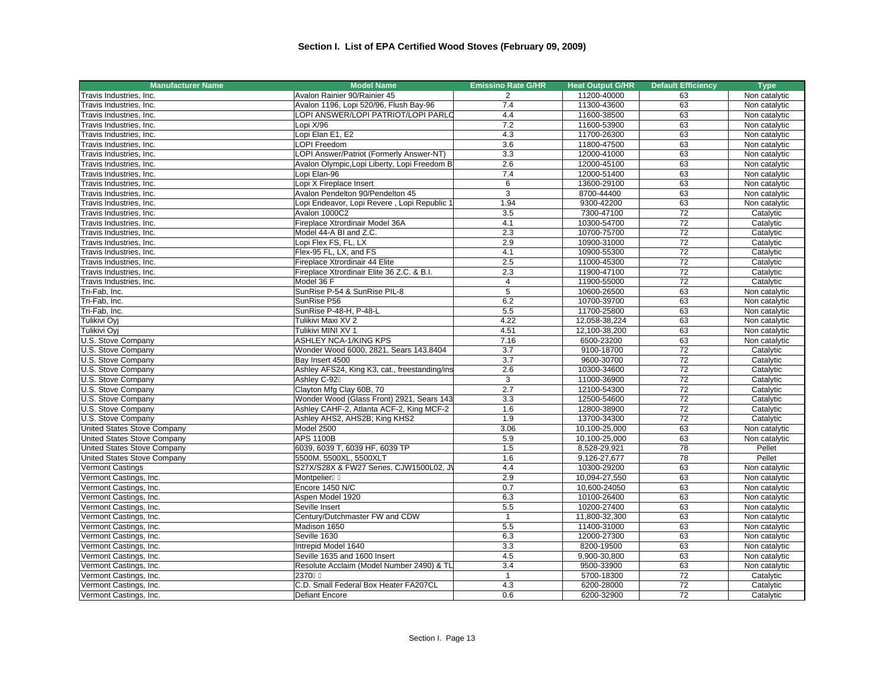| <b>Manufacturer Name</b>    | <b>Model Name</b>                             |                | <b>Heat Output G/HR</b> | <b>Default Efficiency</b> | <b>Type</b>   |
|-----------------------------|-----------------------------------------------|----------------|-------------------------|---------------------------|---------------|
| Travis Industries, Inc.     | Avalon Rainier 90/Rainier 45                  | 2              | 11200-40000             | 63                        | Non catalytic |
| Travis Industries, Inc.     | Avalon 1196, Lopi 520/96, Flush Bay-96        | 7.4            | 11300-43600             | 63                        | Non catalytic |
| Travis Industries, Inc.     | LOPI ANSWER/LOPI PATRIOT/LOPI PARLO           | 4.4            | 11600-38500             | 63                        | Non catalytic |
| Travis Industries, Inc.     | Lopi X/96                                     | 7.2            | 11600-53900             | 63                        | Non catalytic |
| Travis Industries, Inc.     | Lopi Elan E1, E2                              | 4.3            | 11700-26300             | 63                        | Non catalytic |
| Travis Industries, Inc.     | <b>LOPI Freedom</b>                           | 3.6            | 11800-47500             | 63                        | Non catalytic |
| Travis Industries, Inc.     | LOPI Answer/Patriot (Formerly Answer-NT)      | 3.3            | 12000-41000             | 63                        | Non catalytic |
| Travis Industries, Inc.     | Avalon Olympic, Lopi Liberty, Lopi Freedom B  | 2.6            | 12000-45100             | 63                        | Non catalytic |
| Travis Industries, Inc.     | Lopi Elan-96                                  | 7.4            | 12000-51400             | 63                        | Non catalytic |
| Travis Industries, Inc.     | Lopi X Fireplace Insert                       | 6              | 13600-29100             | 63                        | Non catalytic |
| Travis Industries, Inc.     | Avalon Pendelton 90/Pendelton 45              | 3              | 8700-44400              | 63                        | Non catalytic |
| Travis Industries, Inc.     | Lopi Endeavor, Lopi Revere, Lopi Republic 1   | 1.94           | 9300-42200              | 63                        | Non catalytic |
| Travis Industries, Inc.     | Avalon 1000C2                                 | 3.5            | 7300-47100              | 72                        | Catalytic     |
| Travis Industries, Inc.     | Fireplace Xtrordinair Model 36A               | 4.1            | 10300-54700             | 72                        | Catalytic     |
| Travis Industries, Inc.     | Model 44-A BI and Z.C.                        | 2.3            | 10700-75700             | 72                        | Catalytic     |
| Travis Industries, Inc.     | Lopi Flex FS, FL, LX                          | 2.9            | 10900-31000             | 72                        | Catalytic     |
| Travis Industries, Inc.     | Flex-95 FL, LX, and FS                        | 4.1            | 10900-55300             | 72                        | Catalytic     |
| Travis Industries, Inc.     | Fireplace Xtrordinair 44 Elite                | 2.5            | 11000-45300             | $\overline{72}$           | Catalytic     |
| Travis Industries, Inc.     | Fireplace Xtrordinair Elite 36 Z.C. & B.I.    | 2.3            | 11900-47100             | 72                        | Catalytic     |
| Travis Industries, Inc.     | Model 36 F                                    | 4              | 11900-55000             | 72                        | Catalytic     |
| Tri-Fab, Inc.               | SunRise P-54 & SunRise PIL-8                  | $\overline{5}$ | 10600-26500             | 63                        | Non catalytic |
| Tri-Fab. Inc.               | SunRise P56                                   | 6.2            | 10700-39700             | 63                        | Non catalytic |
| Tri-Fab, Inc.               | SunRise P-48-H, P-48-L                        | 5.5            | 11700-25800             | 63                        | Non catalytic |
| Tulikivi Oyj                | Tulikivi Maxi XV 2                            | 4.22           | 12,058-38,224           | 63                        | Non catalytic |
| Tulikivi Oyj                | Tulikivi MINI XV 1                            | 4.51           | 12.100-38.200           | 63                        | Non catalytic |
| U.S. Stove Company          | ASHLEY NCA-1/KING KPS                         | 7.16           | 6500-23200              | 63                        | Non catalytic |
| U.S. Stove Company          | Wonder Wood 6000, 2821, Sears 143.8404        | 3.7            | 9100-18700              | 72                        | Catalytic     |
| U.S. Stove Company          | Bay Insert 4500                               | 3.7            | 9600-30700              | 72                        | Catalytic     |
| U.S. Stove Company          | Ashley AFS24, King K3, cat., freestanding/ins | 2.6            | 10300-34600             | $\overline{72}$           | Catalytic     |
| U.S. Stove Company          | Ashley C-92                                   | 3              | 11000-36900             | 72                        | Catalytic     |
| U.S. Stove Company          | Clayton Mfg Clay 60B, 70                      | 2.7            | 12100-54300             | $\overline{72}$           | Catalytic     |
| U.S. Stove Company          | Wonder Wood (Glass Front) 2921, Sears 143     | 3.3            | 12500-54600             | $\overline{72}$           | Catalytic     |
| U.S. Stove Company          | Ashley CAHF-2, Atlanta ACF-2, King MCF-2      | 1.6            | 12800-38900             | 72                        | Catalytic     |
| U.S. Stove Company          | Ashley AHS2, AHS2B; King KHS2                 | 1.9            | 13700-34300             | 72                        | Catalytic     |
| United States Stove Company | Model 2500                                    | 3.06           | 10,100-25,000           | 63                        | Non catalytic |
| United States Stove Company | <b>APS 1100B</b>                              | 5.9            | 10,100-25,000           | 63                        | Non catalytic |
| United States Stove Company | 6039, 6039 T, 6039 HF, 6039 TP                | 1.5            | 8,528-29,921            | $\overline{78}$           | Pellet        |
| United States Stove Company | 5500M, 5500XL, 5500XLT                        | 1.6            | 9,126-27,677            | 78                        | Pellet        |
| Vermont Castings            | S27X/S28X & FW27 Series, CJW1500L02, J\       | 4.4            | 10300-29200             | 63                        | Non catalytic |
| Vermont Castings, Inc.      | Montpelier                                    | 2.9            | 10,094-27,550           | 63                        | Non catalytic |
| Vermont Castings, Inc.      | Encore 1450 N/C                               | 0.7            | 10,600-24050            | 63                        | Non catalytic |
| Vermont Castings, Inc.      | Aspen Model 1920                              | 6.3            | 10100-26400             | 63                        | Non catalytic |
| Vermont Castings, Inc.      | Seville Insert                                | 5.5            | 10200-27400             | 63                        | Non catalytic |
| Vermont Castings, Inc.      | Century/Dutchmaster FW and CDW                | $\mathbf{1}$   | 11,800-32,300           | 63                        | Non catalytic |
| Vermont Castings, Inc.      | Madison 1650                                  | 5.5            | 11400-31000             | 63                        | Non catalytic |
| Vermont Castings, Inc.      | Seville 1630                                  | 6.3            | 12000-27300             | 63                        | Non catalytic |
| Vermont Castings, Inc.      | Intrepid Model 1640                           | 3.3            | 8200-19500              | 63                        | Non catalytic |
| Vermont Castings, Inc.      | Seville 1635 and 1600 Insert                  | 4.5            | 9,900-30,800            | 63                        | Non catalytic |
| Vermont Castings, Inc.      | Resolute Acclaim (Model Number 2490) & TL     | 3.4            | 9500-33900              | 63                        | Non catalytic |
| Vermont Castings, Inc.      | 2370                                          | $\mathbf{1}$   | 5700-18300              | 72                        | Catalytic     |
| Vermont Castings, Inc.      | C.D. Small Federal Box Heater FA207CL         | 4.3            | 6200-28000              | $\overline{72}$           | Catalytic     |
| Vermont Castings, Inc.      | <b>Defiant Encore</b>                         | 0.6            | 6200-32900              | 72                        | Catalytic     |
|                             |                                               |                |                         |                           |               |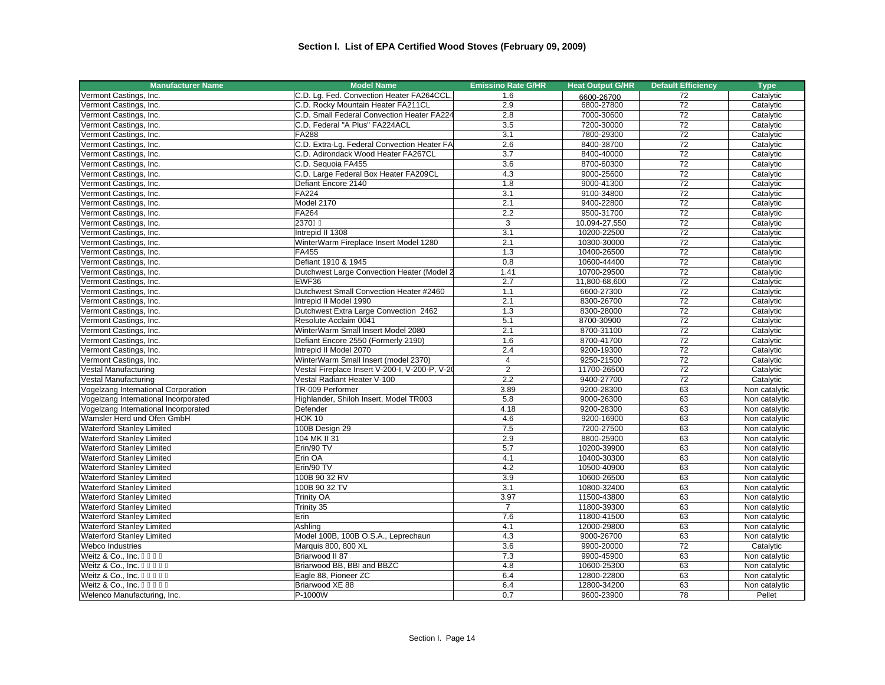| <b>Manufacturer Name</b>             | <b>Model Name</b>                              | <b>Emissino Rate G/HR</b> | <b>Heat Output G/HR</b> | <b>Default Efficiency</b> | <b>Type</b>   |
|--------------------------------------|------------------------------------------------|---------------------------|-------------------------|---------------------------|---------------|
| Vermont Castings, Inc.               | C.D. Lg. Fed. Convection Heater FA264CCL,      | 1.6                       | 6600-26700              | 72                        | Catalytic     |
| Vermont Castings, Inc.               | C.D. Rocky Mountain Heater FA211CL             | 2.9                       | 6800-27800              | 72                        | Catalytic     |
| Vermont Castings, Inc.               | C.D. Small Federal Convection Heater FA224     | 2.8                       | 7000-30600              | 72                        | Catalytic     |
| Vermont Castings, Inc.               | C.D. Federal "A Plus" FA224ACL                 | 3.5                       | 7200-30000              | 72                        | Catalytic     |
| Vermont Castings, Inc.               | FA288                                          | 3.1                       | 7800-29300              | 72                        | Catalytic     |
| Vermont Castings, Inc.               | C.D. Extra-Lg. Federal Convection Heater FA    | 2.6                       | 8400-38700              | 72                        | Catalytic     |
| Vermont Castings, Inc.               | C.D. Adirondack Wood Heater FA267CL            | 3.7                       | 8400-40000              | 72                        | Catalytic     |
| Vermont Castings, Inc.               | C.D. Sequoia FA455                             | 3.6                       | 8700-60300              | 72                        | Catalytic     |
| Vermont Castings, Inc.               | C.D. Large Federal Box Heater FA209CL          | 4.3                       | 9000-25600              | $\overline{72}$           | Catalytic     |
| Vermont Castings, Inc.               | Defiant Encore 2140                            | 1.8                       | 9000-41300              | $\overline{72}$           | Catalytic     |
| Vermont Castings, Inc.               | FA224                                          | 3.1                       | 9100-34800              | $\overline{72}$           | Catalytic     |
| Vermont Castings, Inc.               | Model 2170                                     | 2.1                       | 9400-22800              | 72                        | Catalytic     |
| Vermont Castings, Inc.               | FA264                                          | 2.2                       | 9500-31700              | 72                        | Catalytic     |
| Vermont Castings, Inc.               | 2370                                           | 3                         | 10.094-27,550           | 72                        | Catalytic     |
| Vermont Castings, Inc.               | Intrepid II 1308                               | $\overline{3.1}$          | 10200-22500             | 72                        | Catalytic     |
| Vermont Castings, Inc.               | WinterWarm Fireplace Insert Model 1280         | 2.1                       | 10300-30000             | 72                        | Catalytic     |
| Vermont Castings, Inc.               | FA455                                          | 1.3                       | 10400-26500             | 72                        | Catalytic     |
| Vermont Castings, Inc.               | Defiant 1910 & 1945                            | 0.8                       | 10600-44400             | 72                        | Catalytic     |
| Vermont Castings, Inc.               | Dutchwest Large Convection Heater (Model 2     | 1.41                      | 10700-29500             | $\overline{72}$           | Catalytic     |
| Vermont Castings, Inc.               | EWF36                                          | 2.7                       | 11,800-68,600           | 72                        | Catalytic     |
| Vermont Castings, Inc.               | Dutchwest Small Convection Heater #2460        | 1.1                       | 6600-27300              | 72                        | Catalytic     |
| Vermont Castings, Inc.               | Intrepid II Model 1990                         | 2.1                       | 8300-26700              | 72                        | Catalytic     |
| Vermont Castings, Inc.               | Dutchwest Extra Large Convection 2462          | 1.3                       | 8300-28000              | 72                        | Catalytic     |
| Vermont Castings, Inc.               | Resolute Acclaim 0041                          | 5.1                       | 8700-30900              | 72                        | Catalytic     |
| Vermont Castings, Inc.               | WinterWarm Small Insert Model 2080             | 2.1                       | 8700-31100              | 72                        | Catalytic     |
| Vermont Castings, Inc.               | Defiant Encore 2550 (Formerly 2190)            | 1.6                       | 8700-41700              | 72                        | Catalytic     |
| Vermont Castings, Inc.               | Intrepid II Model 2070                         | 2.4                       | 9200-19300              | $\overline{72}$           | Catalytic     |
| Vermont Castings, Inc.               | WinterWarm Small Insert (model 2370)           | $\overline{4}$            | 9250-21500              | 72                        | Catalytic     |
| Vestal Manufacturing                 | Vestal Fireplace Insert V-200-I, V-200-P, V-20 | $\overline{2}$            | 11700-26500             | $\overline{72}$           | Catalytic     |
| Vestal Manufacturing                 | Vestal Radiant Heater V-100                    | 2.2                       | 9400-27700              | $\overline{72}$           | Catalytic     |
| Vogelzang International Corporation  | TR-009 Performer                               | 3.89                      | 9200-28300              | 63                        | Non catalytic |
| Vogelzang International Incorporated | Highlander, Shiloh Insert, Model TR003         | 5.8                       | 9000-26300              | 63                        | Non catalytic |
| Vogelzang International Incorporated | Defender                                       | 4.18                      | 9200-28300              | 63                        | Non catalytic |
| Wamsler Herd und Ofen GmbH           | $HOK$ 10                                       | 4.6                       | 9200-16900              | 63                        | Non catalytic |
| <b>Waterford Stanley Limited</b>     | 100B Design 29                                 | 7.5                       | 7200-27500              | 63                        | Non catalytic |
| <b>Waterford Stanley Limited</b>     | 104 MK II 31                                   | 2.9                       | 8800-25900              | 63                        | Non catalytic |
| <b>Waterford Stanley Limited</b>     | Erin/90 TV                                     | 5.7                       | 10200-39900             | 63                        | Non catalytic |
| <b>Waterford Stanley Limited</b>     | Erin OA                                        | 4.1                       | 10400-30300             | 63                        | Non catalytic |
| <b>Waterford Stanley Limited</b>     | Erin/90 TV                                     | 4.2                       | 10500-40900             | 63                        | Non catalytic |
| <b>Waterford Stanley Limited</b>     | 100B 90 32 RV                                  | 3.9                       | 10600-26500             | 63                        | Non catalytic |
| <b>Waterford Stanley Limited</b>     | 100B 90 32 TV                                  | 3.1                       | 10800-32400             | 63                        | Non catalytic |
| <b>Waterford Stanley Limited</b>     | <b>Trinity OA</b>                              | 3.97                      | 11500-43800             | 63                        | Non catalytic |
|                                      |                                                | $\overline{7}$            |                         | 63                        |               |
| <b>Waterford Stanley Limited</b>     | Trinity 35                                     |                           | 11800-39300             |                           | Non catalytic |
| <b>Waterford Stanley Limited</b>     | Erin                                           | 7.6                       | 11800-41500             | 63                        | Non catalytic |
| <b>Waterford Stanley Limited</b>     | Ashling                                        | 4.1                       | 12000-29800             | 63                        | Non catalytic |
| <b>Waterford Stanley Limited</b>     | Model 100B, 100B O.S.A., Leprechaun            | 4.3                       | 9000-26700              | 63                        | Non catalytic |
| Webco Industries                     | Marquis 800, 800 XL                            | 3.6                       | 9900-20000              | 72                        | Catalytic     |
| Weitz & Co., Inc.                    | Briarwood II 87                                | 7.3                       | 9900-45900              | 63                        | Non catalytic |
| Weitz & Co., Inc.                    | Briarwood BB, BBI and BBZC                     | 4.8                       | 10600-25300             | 63                        | Non catalytic |
| Weitz & Co., Inc.                    | Eagle 88, Pioneer ZC                           | 6.4                       | 12800-22800             | 63                        | Non catalytic |
| Weitz & Co., Inc.                    | Briarwood XE 88                                | 6.4                       | 12800-34200             | 63                        | Non catalytic |
| Welenco Manufacturing, Inc.          | P-1000W                                        | 0.7                       | 9600-23900              | 78                        | Pellet        |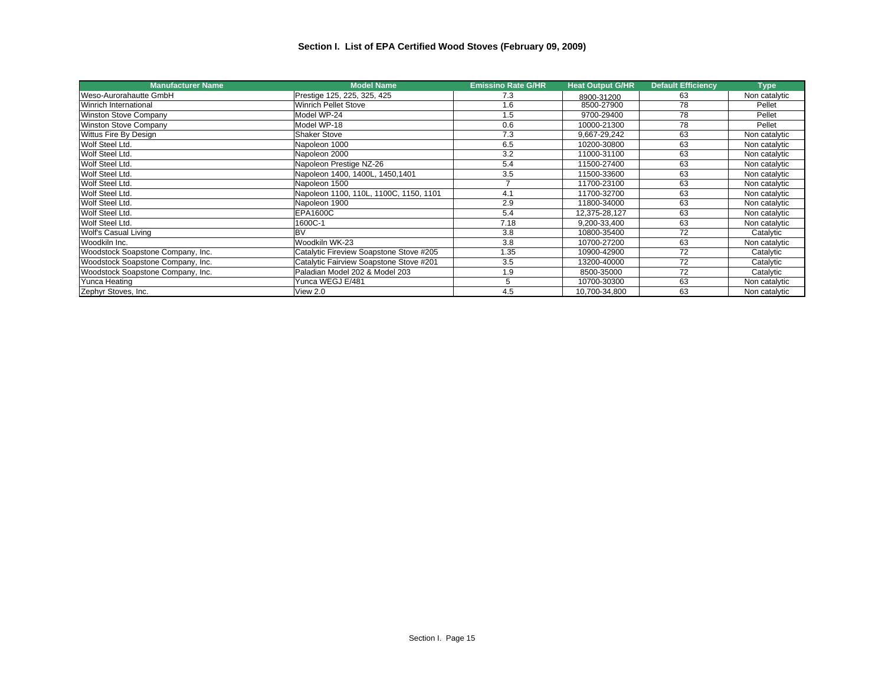## **Section I. List of EPA Certified Wood Stoves (February 09, 2009)**

| <b>Manufacturer Name</b>          | <b>Model Name</b>                       | <b>Emissino Rate G/HR</b> | <b>Heat Output G/HR</b> | <b>Default Efficiency</b> | <b>Type</b>   |
|-----------------------------------|-----------------------------------------|---------------------------|-------------------------|---------------------------|---------------|
| Weso-Aurorahautte GmbH            | Prestige 125, 225, 325, 425             | 7.3                       | 8900-31200              | 63                        | Non catalytic |
| Winrich International             | <b>Winrich Pellet Stove</b>             | 1.6                       | 8500-27900              | 78                        | Pellet        |
| <b>Winston Stove Company</b>      | Model WP-24                             | 1.5                       | 9700-29400              | 78                        | Pellet        |
| <b>Winston Stove Company</b>      | Model WP-18                             | 0.6                       | 10000-21300             | 78                        | Pellet        |
| Wittus Fire By Design             | <b>Shaker Stove</b>                     | 7.3                       | 9,667-29,242            | 63                        | Non catalytic |
| Wolf Steel Ltd.                   | Napoleon 1000                           | 6.5                       | 10200-30800             | 63                        | Non catalytic |
| Wolf Steel Ltd.                   | Napoleon 2000                           | 3.2                       | 11000-31100             | 63                        | Non catalytic |
| Wolf Steel Ltd.                   | Napoleon Prestige NZ-26                 | 5.4                       | 11500-27400             | 63                        | Non catalytic |
| Wolf Steel Ltd.                   | Napoleon 1400, 1400L, 1450, 1401        | 3.5                       | 11500-33600             | 63                        | Non catalytic |
| Wolf Steel Ltd.                   | Napoleon 1500                           | $\overline{\phantom{a}}$  | 11700-23100             | 63                        | Non catalytic |
| Wolf Steel Ltd.                   | Napoleon 1100, 110L, 1100C, 1150, 1101  | 4.1                       | 11700-32700             | 63                        | Non catalytic |
| Wolf Steel Ltd.                   | Napoleon 1900                           | 2.9                       | 11800-34000             | 63                        | Non catalytic |
| Wolf Steel Ltd.                   | <b>EPA1600C</b>                         | 5.4                       | 12.375-28.127           | 63                        | Non catalytic |
| Wolf Steel Ltd.                   | 1600C-1                                 | 7.18                      | 9,200-33,400            | 63                        | Non catalytic |
| Wolf's Casual Living              | <b>BV</b>                               | 3.8                       | 10800-35400             | 72                        | Catalytic     |
| Woodkiln Inc.                     | Woodkiln WK-23                          | 3.8                       | 10700-27200             | 63                        | Non catalytic |
| Woodstock Soapstone Company, Inc. | Catalytic Fireview Soapstone Stove #205 | 1.35                      | 10900-42900             | 72                        | Catalytic     |
| Woodstock Soapstone Company, Inc. | Catalytic Fairview Soapstone Stove #201 | 3.5                       | 13200-40000             | 72                        | Catalytic     |
| Woodstock Soapstone Company, Inc. | Paladian Model 202 & Model 203          | 1.9                       | 8500-35000              | 72                        | Catalytic     |
| Yunca Heating                     | Yunca WEGJ E/481                        | 5                         | 10700-30300             | 63                        | Non catalytic |
| Zephyr Stoves, Inc.               | View 2.0                                | 4.5                       | 10,700-34,800           | 63                        | Non catalytic |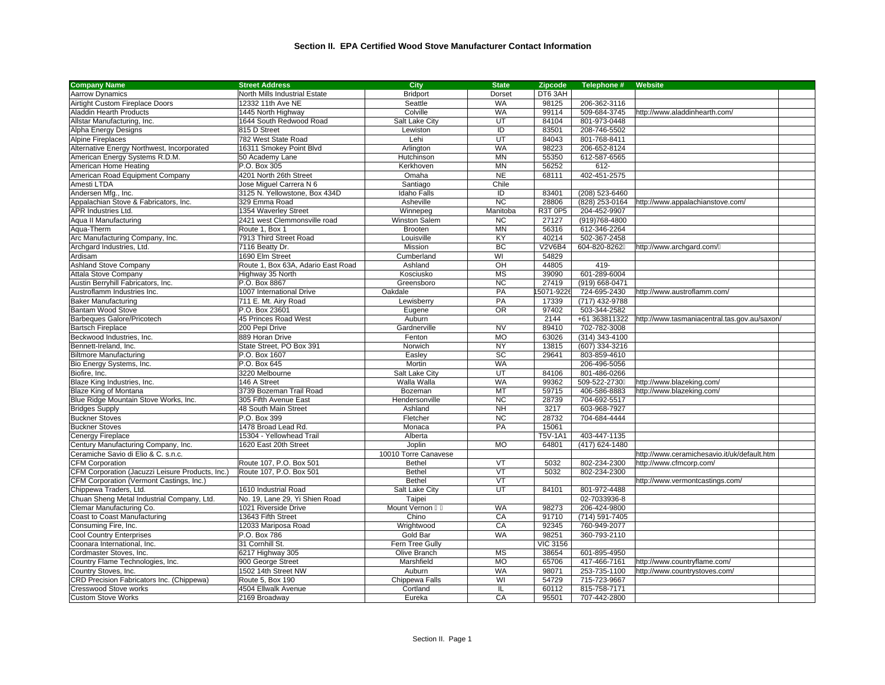| <b>Company Name</b>                              | <b>Street Address</b>              | <b>City</b>          | <b>State</b>             | <b>Zipcode</b>  | Telephone #    | Website                                      |  |
|--------------------------------------------------|------------------------------------|----------------------|--------------------------|-----------------|----------------|----------------------------------------------|--|
| <b>Aarrow Dynamics</b>                           | North Mills Industrial Estate      | <b>Bridport</b>      | Dorset                   | DT6 3AH         |                |                                              |  |
| Airtight Custom Fireplace Doors                  | 12332 11th Ave NE                  | Seattle              | <b>WA</b>                | 98125           | 206-362-3116   |                                              |  |
| <b>Aladdin Hearth Products</b>                   | 1445 North Highway                 | Colville             | <b>WA</b>                | 99114           | 509-684-3745   | http://www.aladdinhearth.com/                |  |
| Allstar Manufacturing, Inc.                      | 1644 South Redwood Road            | Salt Lake City       | UT                       | 84104           | 801-973-0448   |                                              |  |
| Alpha Energy Designs                             | 815 D Street                       | Lewiston             | $\overline{D}$           | 83501           | 208-746-5502   |                                              |  |
| <b>Alpine Fireplaces</b>                         | 782 West State Road                | Lehi                 | UT                       | 84043           | 801-768-8411   |                                              |  |
| Alternative Energy Northwest, Incorporated       | 16311 Smokey Point Blvd            | Arlington            | <b>WA</b>                | 98223           | 206-652-8124   |                                              |  |
| American Energy Systems R.D.M.                   | 50 Academy Lane                    | Hutchinson           | <b>MN</b>                | 55350           | 612-587-6565   |                                              |  |
| American Home Heating                            | P.O. Box 305                       | Kerkhoven            | <b>MN</b>                | 56252           | 612-           |                                              |  |
| American Road Equipment Company                  | 4201 North 26th Street             | Omaha                | <b>NE</b>                | 68111           | 402-451-2575   |                                              |  |
| Amesti LTDA                                      | Jose Miguel Carrera N 6            | Santiago             | Chile                    |                 |                |                                              |  |
| Andersen Mfg., Inc.                              | 3125 N. Yellowstone, Box 434D      | <b>Idaho Falls</b>   | ID                       | 83401           | (208) 523-6460 |                                              |  |
| Appalachian Stove & Fabricators, Inc.            | 329 Emma Road                      | Asheville            | $\overline{NC}$          | 28806           | (828) 253-0164 | http://www.appalachianstove.com/             |  |
| <b>APR Industries Ltd.</b>                       | 1354 Waverley Street               | Winnepeg             | Manitoba                 | R3T 0P5         | 204-452-9907   |                                              |  |
| Aqua II Manufacturing                            | 2421 west Clemmonsville road       | Winston Salem        | <b>NC</b>                | 27127           | (919) 768-4800 |                                              |  |
| Aqua-Therm                                       | Route 1, Box 1                     | <b>Brooten</b>       | <b>MN</b>                | 56316           | 612-346-2264   |                                              |  |
| Arc Manufacturing Company, Inc.                  | 7913 Third Street Road             | Louisville           | KY                       | 40214           | 502-367-2458   |                                              |  |
| Archgard Industries, Ltd.                        | 7116 Beatty Dr.                    | Mission              | <b>BC</b>                | <b>V2V6B4</b>   | 604-820-8262   | http://www.archgard.com/                     |  |
| Ardisam                                          | 1690 Elm Street                    | Cumberland           | WI                       | 54829           |                |                                              |  |
| <b>Ashland Stove Company</b>                     | Route 1, Box 63A, Adario East Road | Ashland              | $\overline{C}$           | 44805           | 419-           |                                              |  |
| Attala Stove Company                             | Highway 35 North                   | Kosciusko            | <b>MS</b>                | 39090           | 601-289-6004   |                                              |  |
| Austin Berryhill Fabricators, Inc.               | P.O. Box 8867                      | Greensboro           | <b>NC</b>                | 27419           | (919) 668-0471 |                                              |  |
| Austroflamm Industries Inc.                      | 1007 International Drive           | Oakdale              | PA                       | 15071-9226      | 724-695-2430   | http://www.austroflamm.com/                  |  |
| <b>Baker Manufacturing</b>                       | 711 E. Mt. Airy Road               | Lewisberry           | PA                       | 17339           | (717) 432-9788 |                                              |  |
| <b>Bantam Wood Stove</b>                         | P.O. Box 23601                     | Eugene               | <b>OR</b>                | 97402           | 503-344-2582   |                                              |  |
| <b>Barbeques Galore/Pricotech</b>                | 45 Princes Road West               | Auburn               |                          | 2144            | +61 363811322  | http://www.tasmaniacentral.tas.gov.au/saxon/ |  |
| <b>Bartsch Fireplace</b>                         | 200 Pepi Drive                     | Gardnerville         | <b>NV</b>                | 89410           | 702-782-3008   |                                              |  |
| Beckwood Industries, Inc.                        | 889 Horan Drive                    | Fenton               | <b>MO</b>                | 63026           | (314) 343-4100 |                                              |  |
| Bennett-Ireland, Inc.                            | State Street, PO Box 391           | Norwich              | <b>NY</b>                | 13815           | (607) 334-3216 |                                              |  |
| <b>Biltmore Manufacturing</b>                    | P.O. Box 1607                      | Easley               | $\overline{SC}$          | 29641           | 803-859-4610   |                                              |  |
| Bio Energy Systems, Inc.                         | P.O. Box 645                       | Mortin               | <b>WA</b>                |                 | 206-496-5056   |                                              |  |
| Biofire, Inc.                                    | 3220 Melbourne                     | Salt Lake City       | UT                       | 84106           | 801-486-0266   |                                              |  |
| Blaze King Industries, Inc.                      | 146 A Street                       | Walla Walla          | <b>WA</b>                | 99362           | 509-522-2730   | http://www.blazeking.com/                    |  |
| Blaze King of Montana                            | 3739 Bozeman Trail Road            | Bozeman              | MT                       | 59715           | 406-586-8883   | http://www.blazeking.com/                    |  |
| Blue Ridge Mountain Stove Works, Inc.            | 305 Fifth Avenue East              | Hendersonville       | <b>NC</b>                | 28739           | 704-692-5517   |                                              |  |
| <b>Bridges Supply</b>                            | 48 South Main Street               | Ashland              | <b>NH</b>                | 3217            | 603-968-7927   |                                              |  |
| <b>Buckner Stoves</b>                            | P.O. Box 399                       | Fletcher             | $\overline{NC}$          | 28732           | 704-684-4444   |                                              |  |
| <b>Buckner Stoves</b>                            | 1478 Broad Lead Rd.                | Monaca               | PA                       | 15061           |                |                                              |  |
| Cenergy Fireplace                                | 15304 - Yellowhead Trail           | Alberta              |                          | <b>T5V-1A1</b>  | 403-447-1135   |                                              |  |
| Century Manufacturing Company, Inc.              | 1620 East 20th Street              | Joplin               | <b>MO</b>                | 64801           | (417) 624-1480 |                                              |  |
| Ceramiche Savio di Elio & C. s.n.c.              |                                    | 10010 Torre Canavese |                          |                 |                | http://www.ceramichesavio.it/uk/default.htm  |  |
| <b>CFM Corporation</b>                           | Route 107, P.O. Box 501            | <b>Bethel</b>        | VT                       | 5032            | 802-234-2300   | http://www.cfmcorp.com/                      |  |
| CFM Corporation (Jacuzzi Leisure Products, Inc.) | Route 107, P.O. Box 501            | <b>Bethel</b>        | VT                       | 5032            | 802-234-2300   |                                              |  |
| CFM Corporation (Vermont Castings, Inc.)         |                                    | <b>Bethel</b>        | $\overline{\mathsf{VT}}$ |                 |                | http://www.vermontcastings.com/              |  |
| Chippewa Traders, Ltd.                           | 1610 Industrial Road               | Salt Lake City       | UT                       | 84101           | 801-972-4488   |                                              |  |
| Chuan Sheng Metal Industrial Company, Ltd.       | No. 19, Lane 29, Yi Shien Road     |                      |                          |                 | 02-7033936-8   |                                              |  |
|                                                  |                                    | Taipei               | <b>WA</b>                |                 |                |                                              |  |
| Clemar Manufacturing Co.                         | 1021 Riverside Drive               | Mount Vernon         |                          | 98273           | 206-424-9800   |                                              |  |
| Coast to Coast Manufacturing                     | 13643 Fifth Street                 | Chino                | CA                       | 91710           | (714) 591-7405 |                                              |  |
| Consuming Fire, Inc.                             | 12033 Mariposa Road                | Wrightwood           | CA<br><b>WA</b>          | 92345           | 760-949-2077   |                                              |  |
| <b>Cool Country Enterprises</b>                  | P.O. Box 786                       | Gold Bar             |                          | 98251           | 360-793-2110   |                                              |  |
| Coonara International, Inc.                      | 31 Cornhill St.                    | Fern Tree Gully      |                          | <b>VIC 3156</b> |                |                                              |  |
| Cordmaster Stoves, Inc.                          | 6217 Highway 305                   | Olive Branch         | <b>MS</b>                | 38654           | 601-895-4950   |                                              |  |
| Country Flame Technologies, Inc.                 | 900 George Street                  | Marshfield           | MO                       | 65706           | 417-466-7161   | http://www.countryflame.com/                 |  |
| Country Stoves, Inc.                             | 1502 14th Street NW                | Auburn               | <b>WA</b>                | 98071           | 253-735-1100   | http://www.countrystoves.com/                |  |
| CRD Precision Fabricators Inc. (Chippewa)        | Route 5, Box 190                   | Chippewa Falls       | WI                       | 54729           | 715-723-9667   |                                              |  |
| <b>Cresswood Stove works</b>                     | 4504 Ellwalk Avenue                | Cortland             | IL.                      | 60112           | 815-758-7171   |                                              |  |
| <b>Custom Stove Works</b>                        | 2169 Broadway                      | Eureka               | CA                       | 95501           | 707-442-2800   |                                              |  |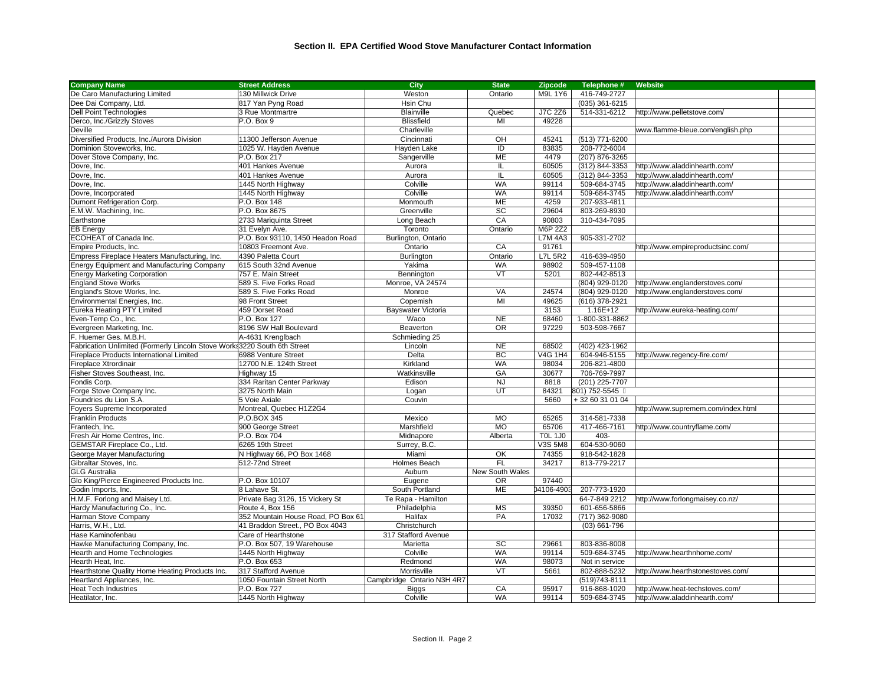| Dee Dai Company, Ltd.<br>817 Yan Pyng Road<br>Hsin Chu<br>$(035)$ 361-6215<br><b>Dell Point Technologies</b><br>J7C 2Z6<br>514-331-6212<br>3 Rue Montmartre<br>Blainville<br>Quebec<br>http://www.pelletstove.com/<br>Derco, Inc./Grizzly Stoves<br>P.O. Box 9<br><b>Blissfield</b><br>MI<br>49228<br>Deville<br>Charleville<br>www.flamme-bleue.com/english.php<br>Diversified Products, Inc./Aurora Division<br>11300 Jefferson Avenue<br>Cincinnati<br>OH<br>45241<br>(513) 771-6200<br>Dominion Stoveworks, Inc.<br>1025 W. Hayden Avenue<br>ID<br>83835<br>208-772-6004<br>Hayden Lake<br>P.O. Box 217<br>ME<br>4479<br>(207) 876-3265<br>Dover Stove Company, Inc.<br>Sangerville<br>401 Hankes Avenue<br>60505<br>Aurora<br>IL.<br>(312) 844-3353<br>http://www.aladdinhearth.com/<br>Dovre, Inc.<br>$\overline{(312) 844}$ -3353<br>Dovre, Inc.<br>401 Hankes Avenue<br>Aurora<br>IL.<br>60505<br>http://www.aladdinhearth.com/<br>Colville<br><b>WA</b><br>99114<br>509-684-3745<br>Dovre, Inc.<br>1445 North Highway<br>http://www.aladdinhearth.com/<br>Dovre, Incorporated<br>1445 North Highway<br>Colville<br><b>WA</b><br>99114<br>509-684-3745<br>http://www.aladdinhearth.com/<br>Dumont Refrigeration Corp.<br>P.O. Box 148<br><b>ME</b><br>4259<br>207-933-4811<br>Monmouth<br>SC<br>P.O. Box 8675<br>29604<br>803-269-8930<br>E.M.W. Machining, Inc.<br>Greenville<br>CA<br>90803<br>2733 Mariquinta Street<br>Long Beach<br>310-434-7095<br>Earthstone<br>M6P 2Z2<br>Ontario<br><b>EB Energy</b><br>31 Evelyn Ave.<br>Toronto<br>ECOHEAT of Canada Inc.<br>P.O. Box 93110, 1450 Headon Road<br>Burlington, Ontario<br><b>L7M 4A3</b><br>905-331-2702<br>CA<br>Empire Products, Inc.<br>10803 Freemont Ave.<br>Ontario<br>91761<br>http://www.empireproductsinc.com/<br>Empress Fireplace Heaters Manufacturing, Inc.<br>4390 Paletta Court<br>Ontario<br><b>L7L 5R2</b><br>416-639-4950<br>Burlington<br><b>WA</b><br>509-457-1108<br><b>Energy Equipment and Manufacturing Company</b><br>615 South 32nd Avenue<br>Yakima<br>98902<br>$\overline{VT}$<br><b>Energy Marketing Corporation</b><br>757 E. Main Street<br>802-442-8513<br>Bennington<br>5201<br><b>England Stove Works</b><br>589 S. Five Forks Road<br>Monroe, VA 24574<br>(804) 929-0120<br>http://www.englanderstoves.com/<br>England's Stove Works, Inc.<br>589 S. Five Forks Road<br>Monroe<br>VA<br>24574<br>(804) 929-0120<br>http://www.englanderstoves.com/<br>MI<br>Environmental Energies, Inc.<br>98 Front Street<br>Copemish<br>49625<br>(616) 378-2921<br>Eureka Heating PTY Limited<br>459 Dorset Road<br>Bayswater Victoria<br>3153<br>$1.16E+12$<br>http://www.eureka-heating.com/<br>68460<br>1-800-331-8862<br>Even-Temp Co., Inc.<br>P.O. Box 127<br>Waco<br><b>NE</b><br>Evergreen Marketing, Inc.<br>8196 SW Hall Boulevard<br><b>OR</b><br>503-598-7667<br>Beaverton<br>97229<br>F. Huemer Ges. M.B.H.<br>A-4631 Krenglbach<br>Schmieding 25<br><b>NE</b><br>Fabrication Unlimited (Formerly Lincoln Stove Work: 3220 South 6th Street<br>Lincoln<br>68502<br>(402) 423-1962<br>BC<br>Fireplace Products International Limited<br>6988 Venture Street<br>Delta<br>V4G 1H4<br>604-946-5155<br>http://www.regency-fire.com/<br><b>WA</b><br>Fireplace Xtrordinair<br>12700 N.E. 124th Street<br>Kirkland<br>98034<br>206-821-4800<br>Fisher Stoves Southeast, Inc.<br>Watkinsville<br>GA<br>30677<br>706-769-7997<br>Highway 15<br>334 Raritan Center Parkway<br><b>NJ</b><br>8818<br>(201) 225-7707<br>Fondis Corp.<br>Edison<br>3275 North Main<br>UT<br>801) 752-5545<br>Forge Stove Company Inc.<br>84321<br>Logan<br>Foundries du Lion S.A.<br>5 Voie Axiale<br>Couvin<br>5660<br>+32 60 31 01 04<br>Montreal, Quebec H1Z2G4<br>Foyers Supreme Incorporated<br>http://www.supremem.com/index.html<br><b>Franklin Products</b><br>P.O.BOX 345<br><b>MO</b><br>65265<br>314-581-7338<br>Mexico<br><b>MO</b><br>65706<br>417-466-7161<br>Frantech, Inc.<br>900 George Street<br>Marshfield<br>http://www.countryflame.com/<br>Fresh Air Home Centres, Inc.<br>403-<br>P.O. Box 704<br>Midnapore<br>Alberta<br><b>TOL 1J0</b><br>604-530-9060<br>GEMSTAR Fireplace Co., Ltd.<br>6265 19th Street<br>Surrey, B.C.<br>V3S 5M8<br>OK<br>George Mayer Manufacturing<br>N Highway 66, PO Box 1468<br>Miami<br>74355<br>918-542-1828<br>Gibraltar Stoves, Inc.<br>Holmes Beach<br><b>FL</b><br>34217<br>512-72nd Street<br>813-779-2217<br><b>GLG Australia</b><br>Auburn<br>New South Wales<br>Glo King/Pierce Engineered Products Inc.<br>P.O. Box 10107<br>97440<br>Eugene<br><b>OR</b><br><b>ME</b><br>8 Lahave St.<br>04106-4903<br>207-773-1920<br>Godin Imports, Inc.<br>South Portland<br>H.M.F. Forlong and Maisey Ltd.<br>Private Bag 3126, 15 Vickery St<br>64-7-849 2212<br>Te Rapa - Hamilton<br>http://www.forlongmaisey.co.nz/<br><b>MS</b><br>601-656-5866<br>Hardy Manufacturing Co., Inc.<br>Route 4, Box 156<br>Philadelphia<br>39350<br>Harman Stove Company<br>352 Mountain House Road, PO Box 61<br>PA<br>17032<br>(717) 362-9080<br>Halifax<br>Harris, W.H., Ltd.<br>41 Braddon Street., PO Box 4043<br>Christchurch<br>$(03)$ 661-796<br>Hase Kaminofenbau<br>Care of Hearthstone<br>317 Stafford Avenue<br>SC<br>Hawke Manufacturing Company, Inc.<br>P.O. Box 507, 19 Warehouse<br>29661<br>803-836-8008<br>Marietta<br><b>WA</b><br>Colville<br>Hearth and Home Technologies<br>1445 North Highway<br>99114<br>509-684-3745<br>http://www.hearthnhome.com/<br>Hearth Heat, Inc.<br>P.O. Box 653<br>Redmond<br><b>WA</b><br>98073<br>Not in service<br>Hearthstone Quality Home Heating Products Inc.<br>317 Stafford Avenue<br>VT<br>5661<br>802-888-5232<br>Morrisville<br>http://www.hearthstonestoves.com/<br>1050 Fountain Street North<br>Campbridge Ontario N3H 4R7<br>$\overline{(519)}$ 743-8111<br>Heartland Appliances, Inc.<br>CA<br>95917<br>916-868-1020<br><b>Heat Tech Industries</b><br>P.O. Box 727<br><b>Biggs</b><br>http://www.heat-techstoves.com/<br><b>WA</b><br>99114 | <b>Company Name</b>           | <b>Street Address</b> | City     | <b>State</b> | <b>Zipcode</b> | Telephone #  | Website                       |
|----------------------------------------------------------------------------------------------------------------------------------------------------------------------------------------------------------------------------------------------------------------------------------------------------------------------------------------------------------------------------------------------------------------------------------------------------------------------------------------------------------------------------------------------------------------------------------------------------------------------------------------------------------------------------------------------------------------------------------------------------------------------------------------------------------------------------------------------------------------------------------------------------------------------------------------------------------------------------------------------------------------------------------------------------------------------------------------------------------------------------------------------------------------------------------------------------------------------------------------------------------------------------------------------------------------------------------------------------------------------------------------------------------------------------------------------------------------------------------------------------------------------------------------------------------------------------------------------------------------------------------------------------------------------------------------------------------------------------------------------------------------------------------------------------------------------------------------------------------------------------------------------------------------------------------------------------------------------------------------------------------------------------------------------------------------------------------------------------------------------------------------------------------------------------------------------------------------------------------------------------------------------------------------------------------------------------------------------------------------------------------------------------------------------------------------------------------------------------------------------------------------------------------------------------------------------------------------------------------------------------------------------------------------------------------------------------------------------------------------------------------------------------------------------------------------------------------------------------------------------------------------------------------------------------------------------------------------------------------------------------------------------------------------------------------------------------------------------------------------------------------------------------------------------------------------------------------------------------------------------------------------------------------------------------------------------------------------------------------------------------------------------------------------------------------------------------------------------------------------------------------------------------------------------------------------------------------------------------------------------------------------------------------------------------------------------------------------------------------------------------------------------------------------------------------------------------------------------------------------------------------------------------------------------------------------------------------------------------------------------------------------------------------------------------------------------------------------------------------------------------------------------------------------------------------------------------------------------------------------------------------------------------------------------------------------------------------------------------------------------------------------------------------------------------------------------------------------------------------------------------------------------------------------------------------------------------------------------------------------------------------------------------------------------------------------------------------------------------------------------------------------------------------------------------------------------------------------------------------------------------------------------------------------------------------------------------------------------------------------------------------------------------------------------------------------------------------------------------------------------------------------------------------------------------------------------------------------------------------------------------------------------------------------------------------------------------------------------------------------------------------------------------------------------------------------------------------------------------------------------------------------------------------------------------------------------------------------------------------------------------------------------------------------------------------------------------------------------------------------------------------------------------------------------------------------------------------------------------------------------------------------------------------------------------------------------------------------------------------------------------------------------------|-------------------------------|-----------------------|----------|--------------|----------------|--------------|-------------------------------|
|                                                                                                                                                                                                                                                                                                                                                                                                                                                                                                                                                                                                                                                                                                                                                                                                                                                                                                                                                                                                                                                                                                                                                                                                                                                                                                                                                                                                                                                                                                                                                                                                                                                                                                                                                                                                                                                                                                                                                                                                                                                                                                                                                                                                                                                                                                                                                                                                                                                                                                                                                                                                                                                                                                                                                                                                                                                                                                                                                                                                                                                                                                                                                                                                                                                                                                                                                                                                                                                                                                                                                                                                                                                                                                                                                                                                                                                                                                                                                                                                                                                                                                                                                                                                                                                                                                                                                                                                                                                                                                                                                                                                                                                                                                                                                                                                                                                                                                                                                                                                                                                                                                                                                                                                                                                                                                                                                                                                                                                                                                                                                                                                                                                                                                                                                                                                                                                                                                                                                                                                                            | De Caro Manufacturing Limited | 130 Millwick Drive    | Weston   | Ontario      | M9L 1Y6        | 416-749-2727 |                               |
|                                                                                                                                                                                                                                                                                                                                                                                                                                                                                                                                                                                                                                                                                                                                                                                                                                                                                                                                                                                                                                                                                                                                                                                                                                                                                                                                                                                                                                                                                                                                                                                                                                                                                                                                                                                                                                                                                                                                                                                                                                                                                                                                                                                                                                                                                                                                                                                                                                                                                                                                                                                                                                                                                                                                                                                                                                                                                                                                                                                                                                                                                                                                                                                                                                                                                                                                                                                                                                                                                                                                                                                                                                                                                                                                                                                                                                                                                                                                                                                                                                                                                                                                                                                                                                                                                                                                                                                                                                                                                                                                                                                                                                                                                                                                                                                                                                                                                                                                                                                                                                                                                                                                                                                                                                                                                                                                                                                                                                                                                                                                                                                                                                                                                                                                                                                                                                                                                                                                                                                                                            |                               |                       |          |              |                |              |                               |
|                                                                                                                                                                                                                                                                                                                                                                                                                                                                                                                                                                                                                                                                                                                                                                                                                                                                                                                                                                                                                                                                                                                                                                                                                                                                                                                                                                                                                                                                                                                                                                                                                                                                                                                                                                                                                                                                                                                                                                                                                                                                                                                                                                                                                                                                                                                                                                                                                                                                                                                                                                                                                                                                                                                                                                                                                                                                                                                                                                                                                                                                                                                                                                                                                                                                                                                                                                                                                                                                                                                                                                                                                                                                                                                                                                                                                                                                                                                                                                                                                                                                                                                                                                                                                                                                                                                                                                                                                                                                                                                                                                                                                                                                                                                                                                                                                                                                                                                                                                                                                                                                                                                                                                                                                                                                                                                                                                                                                                                                                                                                                                                                                                                                                                                                                                                                                                                                                                                                                                                                                            |                               |                       |          |              |                |              |                               |
|                                                                                                                                                                                                                                                                                                                                                                                                                                                                                                                                                                                                                                                                                                                                                                                                                                                                                                                                                                                                                                                                                                                                                                                                                                                                                                                                                                                                                                                                                                                                                                                                                                                                                                                                                                                                                                                                                                                                                                                                                                                                                                                                                                                                                                                                                                                                                                                                                                                                                                                                                                                                                                                                                                                                                                                                                                                                                                                                                                                                                                                                                                                                                                                                                                                                                                                                                                                                                                                                                                                                                                                                                                                                                                                                                                                                                                                                                                                                                                                                                                                                                                                                                                                                                                                                                                                                                                                                                                                                                                                                                                                                                                                                                                                                                                                                                                                                                                                                                                                                                                                                                                                                                                                                                                                                                                                                                                                                                                                                                                                                                                                                                                                                                                                                                                                                                                                                                                                                                                                                                            |                               |                       |          |              |                |              |                               |
|                                                                                                                                                                                                                                                                                                                                                                                                                                                                                                                                                                                                                                                                                                                                                                                                                                                                                                                                                                                                                                                                                                                                                                                                                                                                                                                                                                                                                                                                                                                                                                                                                                                                                                                                                                                                                                                                                                                                                                                                                                                                                                                                                                                                                                                                                                                                                                                                                                                                                                                                                                                                                                                                                                                                                                                                                                                                                                                                                                                                                                                                                                                                                                                                                                                                                                                                                                                                                                                                                                                                                                                                                                                                                                                                                                                                                                                                                                                                                                                                                                                                                                                                                                                                                                                                                                                                                                                                                                                                                                                                                                                                                                                                                                                                                                                                                                                                                                                                                                                                                                                                                                                                                                                                                                                                                                                                                                                                                                                                                                                                                                                                                                                                                                                                                                                                                                                                                                                                                                                                                            |                               |                       |          |              |                |              |                               |
|                                                                                                                                                                                                                                                                                                                                                                                                                                                                                                                                                                                                                                                                                                                                                                                                                                                                                                                                                                                                                                                                                                                                                                                                                                                                                                                                                                                                                                                                                                                                                                                                                                                                                                                                                                                                                                                                                                                                                                                                                                                                                                                                                                                                                                                                                                                                                                                                                                                                                                                                                                                                                                                                                                                                                                                                                                                                                                                                                                                                                                                                                                                                                                                                                                                                                                                                                                                                                                                                                                                                                                                                                                                                                                                                                                                                                                                                                                                                                                                                                                                                                                                                                                                                                                                                                                                                                                                                                                                                                                                                                                                                                                                                                                                                                                                                                                                                                                                                                                                                                                                                                                                                                                                                                                                                                                                                                                                                                                                                                                                                                                                                                                                                                                                                                                                                                                                                                                                                                                                                                            |                               |                       |          |              |                |              |                               |
|                                                                                                                                                                                                                                                                                                                                                                                                                                                                                                                                                                                                                                                                                                                                                                                                                                                                                                                                                                                                                                                                                                                                                                                                                                                                                                                                                                                                                                                                                                                                                                                                                                                                                                                                                                                                                                                                                                                                                                                                                                                                                                                                                                                                                                                                                                                                                                                                                                                                                                                                                                                                                                                                                                                                                                                                                                                                                                                                                                                                                                                                                                                                                                                                                                                                                                                                                                                                                                                                                                                                                                                                                                                                                                                                                                                                                                                                                                                                                                                                                                                                                                                                                                                                                                                                                                                                                                                                                                                                                                                                                                                                                                                                                                                                                                                                                                                                                                                                                                                                                                                                                                                                                                                                                                                                                                                                                                                                                                                                                                                                                                                                                                                                                                                                                                                                                                                                                                                                                                                                                            |                               |                       |          |              |                |              |                               |
|                                                                                                                                                                                                                                                                                                                                                                                                                                                                                                                                                                                                                                                                                                                                                                                                                                                                                                                                                                                                                                                                                                                                                                                                                                                                                                                                                                                                                                                                                                                                                                                                                                                                                                                                                                                                                                                                                                                                                                                                                                                                                                                                                                                                                                                                                                                                                                                                                                                                                                                                                                                                                                                                                                                                                                                                                                                                                                                                                                                                                                                                                                                                                                                                                                                                                                                                                                                                                                                                                                                                                                                                                                                                                                                                                                                                                                                                                                                                                                                                                                                                                                                                                                                                                                                                                                                                                                                                                                                                                                                                                                                                                                                                                                                                                                                                                                                                                                                                                                                                                                                                                                                                                                                                                                                                                                                                                                                                                                                                                                                                                                                                                                                                                                                                                                                                                                                                                                                                                                                                                            |                               |                       |          |              |                |              |                               |
|                                                                                                                                                                                                                                                                                                                                                                                                                                                                                                                                                                                                                                                                                                                                                                                                                                                                                                                                                                                                                                                                                                                                                                                                                                                                                                                                                                                                                                                                                                                                                                                                                                                                                                                                                                                                                                                                                                                                                                                                                                                                                                                                                                                                                                                                                                                                                                                                                                                                                                                                                                                                                                                                                                                                                                                                                                                                                                                                                                                                                                                                                                                                                                                                                                                                                                                                                                                                                                                                                                                                                                                                                                                                                                                                                                                                                                                                                                                                                                                                                                                                                                                                                                                                                                                                                                                                                                                                                                                                                                                                                                                                                                                                                                                                                                                                                                                                                                                                                                                                                                                                                                                                                                                                                                                                                                                                                                                                                                                                                                                                                                                                                                                                                                                                                                                                                                                                                                                                                                                                                            |                               |                       |          |              |                |              |                               |
|                                                                                                                                                                                                                                                                                                                                                                                                                                                                                                                                                                                                                                                                                                                                                                                                                                                                                                                                                                                                                                                                                                                                                                                                                                                                                                                                                                                                                                                                                                                                                                                                                                                                                                                                                                                                                                                                                                                                                                                                                                                                                                                                                                                                                                                                                                                                                                                                                                                                                                                                                                                                                                                                                                                                                                                                                                                                                                                                                                                                                                                                                                                                                                                                                                                                                                                                                                                                                                                                                                                                                                                                                                                                                                                                                                                                                                                                                                                                                                                                                                                                                                                                                                                                                                                                                                                                                                                                                                                                                                                                                                                                                                                                                                                                                                                                                                                                                                                                                                                                                                                                                                                                                                                                                                                                                                                                                                                                                                                                                                                                                                                                                                                                                                                                                                                                                                                                                                                                                                                                                            |                               |                       |          |              |                |              |                               |
|                                                                                                                                                                                                                                                                                                                                                                                                                                                                                                                                                                                                                                                                                                                                                                                                                                                                                                                                                                                                                                                                                                                                                                                                                                                                                                                                                                                                                                                                                                                                                                                                                                                                                                                                                                                                                                                                                                                                                                                                                                                                                                                                                                                                                                                                                                                                                                                                                                                                                                                                                                                                                                                                                                                                                                                                                                                                                                                                                                                                                                                                                                                                                                                                                                                                                                                                                                                                                                                                                                                                                                                                                                                                                                                                                                                                                                                                                                                                                                                                                                                                                                                                                                                                                                                                                                                                                                                                                                                                                                                                                                                                                                                                                                                                                                                                                                                                                                                                                                                                                                                                                                                                                                                                                                                                                                                                                                                                                                                                                                                                                                                                                                                                                                                                                                                                                                                                                                                                                                                                                            |                               |                       |          |              |                |              |                               |
|                                                                                                                                                                                                                                                                                                                                                                                                                                                                                                                                                                                                                                                                                                                                                                                                                                                                                                                                                                                                                                                                                                                                                                                                                                                                                                                                                                                                                                                                                                                                                                                                                                                                                                                                                                                                                                                                                                                                                                                                                                                                                                                                                                                                                                                                                                                                                                                                                                                                                                                                                                                                                                                                                                                                                                                                                                                                                                                                                                                                                                                                                                                                                                                                                                                                                                                                                                                                                                                                                                                                                                                                                                                                                                                                                                                                                                                                                                                                                                                                                                                                                                                                                                                                                                                                                                                                                                                                                                                                                                                                                                                                                                                                                                                                                                                                                                                                                                                                                                                                                                                                                                                                                                                                                                                                                                                                                                                                                                                                                                                                                                                                                                                                                                                                                                                                                                                                                                                                                                                                                            |                               |                       |          |              |                |              |                               |
|                                                                                                                                                                                                                                                                                                                                                                                                                                                                                                                                                                                                                                                                                                                                                                                                                                                                                                                                                                                                                                                                                                                                                                                                                                                                                                                                                                                                                                                                                                                                                                                                                                                                                                                                                                                                                                                                                                                                                                                                                                                                                                                                                                                                                                                                                                                                                                                                                                                                                                                                                                                                                                                                                                                                                                                                                                                                                                                                                                                                                                                                                                                                                                                                                                                                                                                                                                                                                                                                                                                                                                                                                                                                                                                                                                                                                                                                                                                                                                                                                                                                                                                                                                                                                                                                                                                                                                                                                                                                                                                                                                                                                                                                                                                                                                                                                                                                                                                                                                                                                                                                                                                                                                                                                                                                                                                                                                                                                                                                                                                                                                                                                                                                                                                                                                                                                                                                                                                                                                                                                            |                               |                       |          |              |                |              |                               |
|                                                                                                                                                                                                                                                                                                                                                                                                                                                                                                                                                                                                                                                                                                                                                                                                                                                                                                                                                                                                                                                                                                                                                                                                                                                                                                                                                                                                                                                                                                                                                                                                                                                                                                                                                                                                                                                                                                                                                                                                                                                                                                                                                                                                                                                                                                                                                                                                                                                                                                                                                                                                                                                                                                                                                                                                                                                                                                                                                                                                                                                                                                                                                                                                                                                                                                                                                                                                                                                                                                                                                                                                                                                                                                                                                                                                                                                                                                                                                                                                                                                                                                                                                                                                                                                                                                                                                                                                                                                                                                                                                                                                                                                                                                                                                                                                                                                                                                                                                                                                                                                                                                                                                                                                                                                                                                                                                                                                                                                                                                                                                                                                                                                                                                                                                                                                                                                                                                                                                                                                                            |                               |                       |          |              |                |              |                               |
|                                                                                                                                                                                                                                                                                                                                                                                                                                                                                                                                                                                                                                                                                                                                                                                                                                                                                                                                                                                                                                                                                                                                                                                                                                                                                                                                                                                                                                                                                                                                                                                                                                                                                                                                                                                                                                                                                                                                                                                                                                                                                                                                                                                                                                                                                                                                                                                                                                                                                                                                                                                                                                                                                                                                                                                                                                                                                                                                                                                                                                                                                                                                                                                                                                                                                                                                                                                                                                                                                                                                                                                                                                                                                                                                                                                                                                                                                                                                                                                                                                                                                                                                                                                                                                                                                                                                                                                                                                                                                                                                                                                                                                                                                                                                                                                                                                                                                                                                                                                                                                                                                                                                                                                                                                                                                                                                                                                                                                                                                                                                                                                                                                                                                                                                                                                                                                                                                                                                                                                                                            |                               |                       |          |              |                |              |                               |
|                                                                                                                                                                                                                                                                                                                                                                                                                                                                                                                                                                                                                                                                                                                                                                                                                                                                                                                                                                                                                                                                                                                                                                                                                                                                                                                                                                                                                                                                                                                                                                                                                                                                                                                                                                                                                                                                                                                                                                                                                                                                                                                                                                                                                                                                                                                                                                                                                                                                                                                                                                                                                                                                                                                                                                                                                                                                                                                                                                                                                                                                                                                                                                                                                                                                                                                                                                                                                                                                                                                                                                                                                                                                                                                                                                                                                                                                                                                                                                                                                                                                                                                                                                                                                                                                                                                                                                                                                                                                                                                                                                                                                                                                                                                                                                                                                                                                                                                                                                                                                                                                                                                                                                                                                                                                                                                                                                                                                                                                                                                                                                                                                                                                                                                                                                                                                                                                                                                                                                                                                            |                               |                       |          |              |                |              |                               |
|                                                                                                                                                                                                                                                                                                                                                                                                                                                                                                                                                                                                                                                                                                                                                                                                                                                                                                                                                                                                                                                                                                                                                                                                                                                                                                                                                                                                                                                                                                                                                                                                                                                                                                                                                                                                                                                                                                                                                                                                                                                                                                                                                                                                                                                                                                                                                                                                                                                                                                                                                                                                                                                                                                                                                                                                                                                                                                                                                                                                                                                                                                                                                                                                                                                                                                                                                                                                                                                                                                                                                                                                                                                                                                                                                                                                                                                                                                                                                                                                                                                                                                                                                                                                                                                                                                                                                                                                                                                                                                                                                                                                                                                                                                                                                                                                                                                                                                                                                                                                                                                                                                                                                                                                                                                                                                                                                                                                                                                                                                                                                                                                                                                                                                                                                                                                                                                                                                                                                                                                                            |                               |                       |          |              |                |              |                               |
|                                                                                                                                                                                                                                                                                                                                                                                                                                                                                                                                                                                                                                                                                                                                                                                                                                                                                                                                                                                                                                                                                                                                                                                                                                                                                                                                                                                                                                                                                                                                                                                                                                                                                                                                                                                                                                                                                                                                                                                                                                                                                                                                                                                                                                                                                                                                                                                                                                                                                                                                                                                                                                                                                                                                                                                                                                                                                                                                                                                                                                                                                                                                                                                                                                                                                                                                                                                                                                                                                                                                                                                                                                                                                                                                                                                                                                                                                                                                                                                                                                                                                                                                                                                                                                                                                                                                                                                                                                                                                                                                                                                                                                                                                                                                                                                                                                                                                                                                                                                                                                                                                                                                                                                                                                                                                                                                                                                                                                                                                                                                                                                                                                                                                                                                                                                                                                                                                                                                                                                                                            |                               |                       |          |              |                |              |                               |
|                                                                                                                                                                                                                                                                                                                                                                                                                                                                                                                                                                                                                                                                                                                                                                                                                                                                                                                                                                                                                                                                                                                                                                                                                                                                                                                                                                                                                                                                                                                                                                                                                                                                                                                                                                                                                                                                                                                                                                                                                                                                                                                                                                                                                                                                                                                                                                                                                                                                                                                                                                                                                                                                                                                                                                                                                                                                                                                                                                                                                                                                                                                                                                                                                                                                                                                                                                                                                                                                                                                                                                                                                                                                                                                                                                                                                                                                                                                                                                                                                                                                                                                                                                                                                                                                                                                                                                                                                                                                                                                                                                                                                                                                                                                                                                                                                                                                                                                                                                                                                                                                                                                                                                                                                                                                                                                                                                                                                                                                                                                                                                                                                                                                                                                                                                                                                                                                                                                                                                                                                            |                               |                       |          |              |                |              |                               |
|                                                                                                                                                                                                                                                                                                                                                                                                                                                                                                                                                                                                                                                                                                                                                                                                                                                                                                                                                                                                                                                                                                                                                                                                                                                                                                                                                                                                                                                                                                                                                                                                                                                                                                                                                                                                                                                                                                                                                                                                                                                                                                                                                                                                                                                                                                                                                                                                                                                                                                                                                                                                                                                                                                                                                                                                                                                                                                                                                                                                                                                                                                                                                                                                                                                                                                                                                                                                                                                                                                                                                                                                                                                                                                                                                                                                                                                                                                                                                                                                                                                                                                                                                                                                                                                                                                                                                                                                                                                                                                                                                                                                                                                                                                                                                                                                                                                                                                                                                                                                                                                                                                                                                                                                                                                                                                                                                                                                                                                                                                                                                                                                                                                                                                                                                                                                                                                                                                                                                                                                                            |                               |                       |          |              |                |              |                               |
|                                                                                                                                                                                                                                                                                                                                                                                                                                                                                                                                                                                                                                                                                                                                                                                                                                                                                                                                                                                                                                                                                                                                                                                                                                                                                                                                                                                                                                                                                                                                                                                                                                                                                                                                                                                                                                                                                                                                                                                                                                                                                                                                                                                                                                                                                                                                                                                                                                                                                                                                                                                                                                                                                                                                                                                                                                                                                                                                                                                                                                                                                                                                                                                                                                                                                                                                                                                                                                                                                                                                                                                                                                                                                                                                                                                                                                                                                                                                                                                                                                                                                                                                                                                                                                                                                                                                                                                                                                                                                                                                                                                                                                                                                                                                                                                                                                                                                                                                                                                                                                                                                                                                                                                                                                                                                                                                                                                                                                                                                                                                                                                                                                                                                                                                                                                                                                                                                                                                                                                                                            |                               |                       |          |              |                |              |                               |
|                                                                                                                                                                                                                                                                                                                                                                                                                                                                                                                                                                                                                                                                                                                                                                                                                                                                                                                                                                                                                                                                                                                                                                                                                                                                                                                                                                                                                                                                                                                                                                                                                                                                                                                                                                                                                                                                                                                                                                                                                                                                                                                                                                                                                                                                                                                                                                                                                                                                                                                                                                                                                                                                                                                                                                                                                                                                                                                                                                                                                                                                                                                                                                                                                                                                                                                                                                                                                                                                                                                                                                                                                                                                                                                                                                                                                                                                                                                                                                                                                                                                                                                                                                                                                                                                                                                                                                                                                                                                                                                                                                                                                                                                                                                                                                                                                                                                                                                                                                                                                                                                                                                                                                                                                                                                                                                                                                                                                                                                                                                                                                                                                                                                                                                                                                                                                                                                                                                                                                                                                            |                               |                       |          |              |                |              |                               |
|                                                                                                                                                                                                                                                                                                                                                                                                                                                                                                                                                                                                                                                                                                                                                                                                                                                                                                                                                                                                                                                                                                                                                                                                                                                                                                                                                                                                                                                                                                                                                                                                                                                                                                                                                                                                                                                                                                                                                                                                                                                                                                                                                                                                                                                                                                                                                                                                                                                                                                                                                                                                                                                                                                                                                                                                                                                                                                                                                                                                                                                                                                                                                                                                                                                                                                                                                                                                                                                                                                                                                                                                                                                                                                                                                                                                                                                                                                                                                                                                                                                                                                                                                                                                                                                                                                                                                                                                                                                                                                                                                                                                                                                                                                                                                                                                                                                                                                                                                                                                                                                                                                                                                                                                                                                                                                                                                                                                                                                                                                                                                                                                                                                                                                                                                                                                                                                                                                                                                                                                                            |                               |                       |          |              |                |              |                               |
|                                                                                                                                                                                                                                                                                                                                                                                                                                                                                                                                                                                                                                                                                                                                                                                                                                                                                                                                                                                                                                                                                                                                                                                                                                                                                                                                                                                                                                                                                                                                                                                                                                                                                                                                                                                                                                                                                                                                                                                                                                                                                                                                                                                                                                                                                                                                                                                                                                                                                                                                                                                                                                                                                                                                                                                                                                                                                                                                                                                                                                                                                                                                                                                                                                                                                                                                                                                                                                                                                                                                                                                                                                                                                                                                                                                                                                                                                                                                                                                                                                                                                                                                                                                                                                                                                                                                                                                                                                                                                                                                                                                                                                                                                                                                                                                                                                                                                                                                                                                                                                                                                                                                                                                                                                                                                                                                                                                                                                                                                                                                                                                                                                                                                                                                                                                                                                                                                                                                                                                                                            |                               |                       |          |              |                |              |                               |
|                                                                                                                                                                                                                                                                                                                                                                                                                                                                                                                                                                                                                                                                                                                                                                                                                                                                                                                                                                                                                                                                                                                                                                                                                                                                                                                                                                                                                                                                                                                                                                                                                                                                                                                                                                                                                                                                                                                                                                                                                                                                                                                                                                                                                                                                                                                                                                                                                                                                                                                                                                                                                                                                                                                                                                                                                                                                                                                                                                                                                                                                                                                                                                                                                                                                                                                                                                                                                                                                                                                                                                                                                                                                                                                                                                                                                                                                                                                                                                                                                                                                                                                                                                                                                                                                                                                                                                                                                                                                                                                                                                                                                                                                                                                                                                                                                                                                                                                                                                                                                                                                                                                                                                                                                                                                                                                                                                                                                                                                                                                                                                                                                                                                                                                                                                                                                                                                                                                                                                                                                            |                               |                       |          |              |                |              |                               |
|                                                                                                                                                                                                                                                                                                                                                                                                                                                                                                                                                                                                                                                                                                                                                                                                                                                                                                                                                                                                                                                                                                                                                                                                                                                                                                                                                                                                                                                                                                                                                                                                                                                                                                                                                                                                                                                                                                                                                                                                                                                                                                                                                                                                                                                                                                                                                                                                                                                                                                                                                                                                                                                                                                                                                                                                                                                                                                                                                                                                                                                                                                                                                                                                                                                                                                                                                                                                                                                                                                                                                                                                                                                                                                                                                                                                                                                                                                                                                                                                                                                                                                                                                                                                                                                                                                                                                                                                                                                                                                                                                                                                                                                                                                                                                                                                                                                                                                                                                                                                                                                                                                                                                                                                                                                                                                                                                                                                                                                                                                                                                                                                                                                                                                                                                                                                                                                                                                                                                                                                                            |                               |                       |          |              |                |              |                               |
|                                                                                                                                                                                                                                                                                                                                                                                                                                                                                                                                                                                                                                                                                                                                                                                                                                                                                                                                                                                                                                                                                                                                                                                                                                                                                                                                                                                                                                                                                                                                                                                                                                                                                                                                                                                                                                                                                                                                                                                                                                                                                                                                                                                                                                                                                                                                                                                                                                                                                                                                                                                                                                                                                                                                                                                                                                                                                                                                                                                                                                                                                                                                                                                                                                                                                                                                                                                                                                                                                                                                                                                                                                                                                                                                                                                                                                                                                                                                                                                                                                                                                                                                                                                                                                                                                                                                                                                                                                                                                                                                                                                                                                                                                                                                                                                                                                                                                                                                                                                                                                                                                                                                                                                                                                                                                                                                                                                                                                                                                                                                                                                                                                                                                                                                                                                                                                                                                                                                                                                                                            |                               |                       |          |              |                |              |                               |
|                                                                                                                                                                                                                                                                                                                                                                                                                                                                                                                                                                                                                                                                                                                                                                                                                                                                                                                                                                                                                                                                                                                                                                                                                                                                                                                                                                                                                                                                                                                                                                                                                                                                                                                                                                                                                                                                                                                                                                                                                                                                                                                                                                                                                                                                                                                                                                                                                                                                                                                                                                                                                                                                                                                                                                                                                                                                                                                                                                                                                                                                                                                                                                                                                                                                                                                                                                                                                                                                                                                                                                                                                                                                                                                                                                                                                                                                                                                                                                                                                                                                                                                                                                                                                                                                                                                                                                                                                                                                                                                                                                                                                                                                                                                                                                                                                                                                                                                                                                                                                                                                                                                                                                                                                                                                                                                                                                                                                                                                                                                                                                                                                                                                                                                                                                                                                                                                                                                                                                                                                            |                               |                       |          |              |                |              |                               |
|                                                                                                                                                                                                                                                                                                                                                                                                                                                                                                                                                                                                                                                                                                                                                                                                                                                                                                                                                                                                                                                                                                                                                                                                                                                                                                                                                                                                                                                                                                                                                                                                                                                                                                                                                                                                                                                                                                                                                                                                                                                                                                                                                                                                                                                                                                                                                                                                                                                                                                                                                                                                                                                                                                                                                                                                                                                                                                                                                                                                                                                                                                                                                                                                                                                                                                                                                                                                                                                                                                                                                                                                                                                                                                                                                                                                                                                                                                                                                                                                                                                                                                                                                                                                                                                                                                                                                                                                                                                                                                                                                                                                                                                                                                                                                                                                                                                                                                                                                                                                                                                                                                                                                                                                                                                                                                                                                                                                                                                                                                                                                                                                                                                                                                                                                                                                                                                                                                                                                                                                                            |                               |                       |          |              |                |              |                               |
|                                                                                                                                                                                                                                                                                                                                                                                                                                                                                                                                                                                                                                                                                                                                                                                                                                                                                                                                                                                                                                                                                                                                                                                                                                                                                                                                                                                                                                                                                                                                                                                                                                                                                                                                                                                                                                                                                                                                                                                                                                                                                                                                                                                                                                                                                                                                                                                                                                                                                                                                                                                                                                                                                                                                                                                                                                                                                                                                                                                                                                                                                                                                                                                                                                                                                                                                                                                                                                                                                                                                                                                                                                                                                                                                                                                                                                                                                                                                                                                                                                                                                                                                                                                                                                                                                                                                                                                                                                                                                                                                                                                                                                                                                                                                                                                                                                                                                                                                                                                                                                                                                                                                                                                                                                                                                                                                                                                                                                                                                                                                                                                                                                                                                                                                                                                                                                                                                                                                                                                                                            |                               |                       |          |              |                |              |                               |
|                                                                                                                                                                                                                                                                                                                                                                                                                                                                                                                                                                                                                                                                                                                                                                                                                                                                                                                                                                                                                                                                                                                                                                                                                                                                                                                                                                                                                                                                                                                                                                                                                                                                                                                                                                                                                                                                                                                                                                                                                                                                                                                                                                                                                                                                                                                                                                                                                                                                                                                                                                                                                                                                                                                                                                                                                                                                                                                                                                                                                                                                                                                                                                                                                                                                                                                                                                                                                                                                                                                                                                                                                                                                                                                                                                                                                                                                                                                                                                                                                                                                                                                                                                                                                                                                                                                                                                                                                                                                                                                                                                                                                                                                                                                                                                                                                                                                                                                                                                                                                                                                                                                                                                                                                                                                                                                                                                                                                                                                                                                                                                                                                                                                                                                                                                                                                                                                                                                                                                                                                            |                               |                       |          |              |                |              |                               |
|                                                                                                                                                                                                                                                                                                                                                                                                                                                                                                                                                                                                                                                                                                                                                                                                                                                                                                                                                                                                                                                                                                                                                                                                                                                                                                                                                                                                                                                                                                                                                                                                                                                                                                                                                                                                                                                                                                                                                                                                                                                                                                                                                                                                                                                                                                                                                                                                                                                                                                                                                                                                                                                                                                                                                                                                                                                                                                                                                                                                                                                                                                                                                                                                                                                                                                                                                                                                                                                                                                                                                                                                                                                                                                                                                                                                                                                                                                                                                                                                                                                                                                                                                                                                                                                                                                                                                                                                                                                                                                                                                                                                                                                                                                                                                                                                                                                                                                                                                                                                                                                                                                                                                                                                                                                                                                                                                                                                                                                                                                                                                                                                                                                                                                                                                                                                                                                                                                                                                                                                                            |                               |                       |          |              |                |              |                               |
|                                                                                                                                                                                                                                                                                                                                                                                                                                                                                                                                                                                                                                                                                                                                                                                                                                                                                                                                                                                                                                                                                                                                                                                                                                                                                                                                                                                                                                                                                                                                                                                                                                                                                                                                                                                                                                                                                                                                                                                                                                                                                                                                                                                                                                                                                                                                                                                                                                                                                                                                                                                                                                                                                                                                                                                                                                                                                                                                                                                                                                                                                                                                                                                                                                                                                                                                                                                                                                                                                                                                                                                                                                                                                                                                                                                                                                                                                                                                                                                                                                                                                                                                                                                                                                                                                                                                                                                                                                                                                                                                                                                                                                                                                                                                                                                                                                                                                                                                                                                                                                                                                                                                                                                                                                                                                                                                                                                                                                                                                                                                                                                                                                                                                                                                                                                                                                                                                                                                                                                                                            |                               |                       |          |              |                |              |                               |
|                                                                                                                                                                                                                                                                                                                                                                                                                                                                                                                                                                                                                                                                                                                                                                                                                                                                                                                                                                                                                                                                                                                                                                                                                                                                                                                                                                                                                                                                                                                                                                                                                                                                                                                                                                                                                                                                                                                                                                                                                                                                                                                                                                                                                                                                                                                                                                                                                                                                                                                                                                                                                                                                                                                                                                                                                                                                                                                                                                                                                                                                                                                                                                                                                                                                                                                                                                                                                                                                                                                                                                                                                                                                                                                                                                                                                                                                                                                                                                                                                                                                                                                                                                                                                                                                                                                                                                                                                                                                                                                                                                                                                                                                                                                                                                                                                                                                                                                                                                                                                                                                                                                                                                                                                                                                                                                                                                                                                                                                                                                                                                                                                                                                                                                                                                                                                                                                                                                                                                                                                            |                               |                       |          |              |                |              |                               |
|                                                                                                                                                                                                                                                                                                                                                                                                                                                                                                                                                                                                                                                                                                                                                                                                                                                                                                                                                                                                                                                                                                                                                                                                                                                                                                                                                                                                                                                                                                                                                                                                                                                                                                                                                                                                                                                                                                                                                                                                                                                                                                                                                                                                                                                                                                                                                                                                                                                                                                                                                                                                                                                                                                                                                                                                                                                                                                                                                                                                                                                                                                                                                                                                                                                                                                                                                                                                                                                                                                                                                                                                                                                                                                                                                                                                                                                                                                                                                                                                                                                                                                                                                                                                                                                                                                                                                                                                                                                                                                                                                                                                                                                                                                                                                                                                                                                                                                                                                                                                                                                                                                                                                                                                                                                                                                                                                                                                                                                                                                                                                                                                                                                                                                                                                                                                                                                                                                                                                                                                                            |                               |                       |          |              |                |              |                               |
|                                                                                                                                                                                                                                                                                                                                                                                                                                                                                                                                                                                                                                                                                                                                                                                                                                                                                                                                                                                                                                                                                                                                                                                                                                                                                                                                                                                                                                                                                                                                                                                                                                                                                                                                                                                                                                                                                                                                                                                                                                                                                                                                                                                                                                                                                                                                                                                                                                                                                                                                                                                                                                                                                                                                                                                                                                                                                                                                                                                                                                                                                                                                                                                                                                                                                                                                                                                                                                                                                                                                                                                                                                                                                                                                                                                                                                                                                                                                                                                                                                                                                                                                                                                                                                                                                                                                                                                                                                                                                                                                                                                                                                                                                                                                                                                                                                                                                                                                                                                                                                                                                                                                                                                                                                                                                                                                                                                                                                                                                                                                                                                                                                                                                                                                                                                                                                                                                                                                                                                                                            |                               |                       |          |              |                |              |                               |
|                                                                                                                                                                                                                                                                                                                                                                                                                                                                                                                                                                                                                                                                                                                                                                                                                                                                                                                                                                                                                                                                                                                                                                                                                                                                                                                                                                                                                                                                                                                                                                                                                                                                                                                                                                                                                                                                                                                                                                                                                                                                                                                                                                                                                                                                                                                                                                                                                                                                                                                                                                                                                                                                                                                                                                                                                                                                                                                                                                                                                                                                                                                                                                                                                                                                                                                                                                                                                                                                                                                                                                                                                                                                                                                                                                                                                                                                                                                                                                                                                                                                                                                                                                                                                                                                                                                                                                                                                                                                                                                                                                                                                                                                                                                                                                                                                                                                                                                                                                                                                                                                                                                                                                                                                                                                                                                                                                                                                                                                                                                                                                                                                                                                                                                                                                                                                                                                                                                                                                                                                            |                               |                       |          |              |                |              |                               |
|                                                                                                                                                                                                                                                                                                                                                                                                                                                                                                                                                                                                                                                                                                                                                                                                                                                                                                                                                                                                                                                                                                                                                                                                                                                                                                                                                                                                                                                                                                                                                                                                                                                                                                                                                                                                                                                                                                                                                                                                                                                                                                                                                                                                                                                                                                                                                                                                                                                                                                                                                                                                                                                                                                                                                                                                                                                                                                                                                                                                                                                                                                                                                                                                                                                                                                                                                                                                                                                                                                                                                                                                                                                                                                                                                                                                                                                                                                                                                                                                                                                                                                                                                                                                                                                                                                                                                                                                                                                                                                                                                                                                                                                                                                                                                                                                                                                                                                                                                                                                                                                                                                                                                                                                                                                                                                                                                                                                                                                                                                                                                                                                                                                                                                                                                                                                                                                                                                                                                                                                                            |                               |                       |          |              |                |              |                               |
|                                                                                                                                                                                                                                                                                                                                                                                                                                                                                                                                                                                                                                                                                                                                                                                                                                                                                                                                                                                                                                                                                                                                                                                                                                                                                                                                                                                                                                                                                                                                                                                                                                                                                                                                                                                                                                                                                                                                                                                                                                                                                                                                                                                                                                                                                                                                                                                                                                                                                                                                                                                                                                                                                                                                                                                                                                                                                                                                                                                                                                                                                                                                                                                                                                                                                                                                                                                                                                                                                                                                                                                                                                                                                                                                                                                                                                                                                                                                                                                                                                                                                                                                                                                                                                                                                                                                                                                                                                                                                                                                                                                                                                                                                                                                                                                                                                                                                                                                                                                                                                                                                                                                                                                                                                                                                                                                                                                                                                                                                                                                                                                                                                                                                                                                                                                                                                                                                                                                                                                                                            |                               |                       |          |              |                |              |                               |
|                                                                                                                                                                                                                                                                                                                                                                                                                                                                                                                                                                                                                                                                                                                                                                                                                                                                                                                                                                                                                                                                                                                                                                                                                                                                                                                                                                                                                                                                                                                                                                                                                                                                                                                                                                                                                                                                                                                                                                                                                                                                                                                                                                                                                                                                                                                                                                                                                                                                                                                                                                                                                                                                                                                                                                                                                                                                                                                                                                                                                                                                                                                                                                                                                                                                                                                                                                                                                                                                                                                                                                                                                                                                                                                                                                                                                                                                                                                                                                                                                                                                                                                                                                                                                                                                                                                                                                                                                                                                                                                                                                                                                                                                                                                                                                                                                                                                                                                                                                                                                                                                                                                                                                                                                                                                                                                                                                                                                                                                                                                                                                                                                                                                                                                                                                                                                                                                                                                                                                                                                            |                               |                       |          |              |                |              |                               |
|                                                                                                                                                                                                                                                                                                                                                                                                                                                                                                                                                                                                                                                                                                                                                                                                                                                                                                                                                                                                                                                                                                                                                                                                                                                                                                                                                                                                                                                                                                                                                                                                                                                                                                                                                                                                                                                                                                                                                                                                                                                                                                                                                                                                                                                                                                                                                                                                                                                                                                                                                                                                                                                                                                                                                                                                                                                                                                                                                                                                                                                                                                                                                                                                                                                                                                                                                                                                                                                                                                                                                                                                                                                                                                                                                                                                                                                                                                                                                                                                                                                                                                                                                                                                                                                                                                                                                                                                                                                                                                                                                                                                                                                                                                                                                                                                                                                                                                                                                                                                                                                                                                                                                                                                                                                                                                                                                                                                                                                                                                                                                                                                                                                                                                                                                                                                                                                                                                                                                                                                                            |                               |                       |          |              |                |              |                               |
|                                                                                                                                                                                                                                                                                                                                                                                                                                                                                                                                                                                                                                                                                                                                                                                                                                                                                                                                                                                                                                                                                                                                                                                                                                                                                                                                                                                                                                                                                                                                                                                                                                                                                                                                                                                                                                                                                                                                                                                                                                                                                                                                                                                                                                                                                                                                                                                                                                                                                                                                                                                                                                                                                                                                                                                                                                                                                                                                                                                                                                                                                                                                                                                                                                                                                                                                                                                                                                                                                                                                                                                                                                                                                                                                                                                                                                                                                                                                                                                                                                                                                                                                                                                                                                                                                                                                                                                                                                                                                                                                                                                                                                                                                                                                                                                                                                                                                                                                                                                                                                                                                                                                                                                                                                                                                                                                                                                                                                                                                                                                                                                                                                                                                                                                                                                                                                                                                                                                                                                                                            |                               |                       |          |              |                |              |                               |
|                                                                                                                                                                                                                                                                                                                                                                                                                                                                                                                                                                                                                                                                                                                                                                                                                                                                                                                                                                                                                                                                                                                                                                                                                                                                                                                                                                                                                                                                                                                                                                                                                                                                                                                                                                                                                                                                                                                                                                                                                                                                                                                                                                                                                                                                                                                                                                                                                                                                                                                                                                                                                                                                                                                                                                                                                                                                                                                                                                                                                                                                                                                                                                                                                                                                                                                                                                                                                                                                                                                                                                                                                                                                                                                                                                                                                                                                                                                                                                                                                                                                                                                                                                                                                                                                                                                                                                                                                                                                                                                                                                                                                                                                                                                                                                                                                                                                                                                                                                                                                                                                                                                                                                                                                                                                                                                                                                                                                                                                                                                                                                                                                                                                                                                                                                                                                                                                                                                                                                                                                            |                               |                       |          |              |                |              |                               |
|                                                                                                                                                                                                                                                                                                                                                                                                                                                                                                                                                                                                                                                                                                                                                                                                                                                                                                                                                                                                                                                                                                                                                                                                                                                                                                                                                                                                                                                                                                                                                                                                                                                                                                                                                                                                                                                                                                                                                                                                                                                                                                                                                                                                                                                                                                                                                                                                                                                                                                                                                                                                                                                                                                                                                                                                                                                                                                                                                                                                                                                                                                                                                                                                                                                                                                                                                                                                                                                                                                                                                                                                                                                                                                                                                                                                                                                                                                                                                                                                                                                                                                                                                                                                                                                                                                                                                                                                                                                                                                                                                                                                                                                                                                                                                                                                                                                                                                                                                                                                                                                                                                                                                                                                                                                                                                                                                                                                                                                                                                                                                                                                                                                                                                                                                                                                                                                                                                                                                                                                                            |                               |                       |          |              |                |              |                               |
|                                                                                                                                                                                                                                                                                                                                                                                                                                                                                                                                                                                                                                                                                                                                                                                                                                                                                                                                                                                                                                                                                                                                                                                                                                                                                                                                                                                                                                                                                                                                                                                                                                                                                                                                                                                                                                                                                                                                                                                                                                                                                                                                                                                                                                                                                                                                                                                                                                                                                                                                                                                                                                                                                                                                                                                                                                                                                                                                                                                                                                                                                                                                                                                                                                                                                                                                                                                                                                                                                                                                                                                                                                                                                                                                                                                                                                                                                                                                                                                                                                                                                                                                                                                                                                                                                                                                                                                                                                                                                                                                                                                                                                                                                                                                                                                                                                                                                                                                                                                                                                                                                                                                                                                                                                                                                                                                                                                                                                                                                                                                                                                                                                                                                                                                                                                                                                                                                                                                                                                                                            |                               |                       |          |              |                |              |                               |
|                                                                                                                                                                                                                                                                                                                                                                                                                                                                                                                                                                                                                                                                                                                                                                                                                                                                                                                                                                                                                                                                                                                                                                                                                                                                                                                                                                                                                                                                                                                                                                                                                                                                                                                                                                                                                                                                                                                                                                                                                                                                                                                                                                                                                                                                                                                                                                                                                                                                                                                                                                                                                                                                                                                                                                                                                                                                                                                                                                                                                                                                                                                                                                                                                                                                                                                                                                                                                                                                                                                                                                                                                                                                                                                                                                                                                                                                                                                                                                                                                                                                                                                                                                                                                                                                                                                                                                                                                                                                                                                                                                                                                                                                                                                                                                                                                                                                                                                                                                                                                                                                                                                                                                                                                                                                                                                                                                                                                                                                                                                                                                                                                                                                                                                                                                                                                                                                                                                                                                                                                            |                               |                       |          |              |                |              |                               |
|                                                                                                                                                                                                                                                                                                                                                                                                                                                                                                                                                                                                                                                                                                                                                                                                                                                                                                                                                                                                                                                                                                                                                                                                                                                                                                                                                                                                                                                                                                                                                                                                                                                                                                                                                                                                                                                                                                                                                                                                                                                                                                                                                                                                                                                                                                                                                                                                                                                                                                                                                                                                                                                                                                                                                                                                                                                                                                                                                                                                                                                                                                                                                                                                                                                                                                                                                                                                                                                                                                                                                                                                                                                                                                                                                                                                                                                                                                                                                                                                                                                                                                                                                                                                                                                                                                                                                                                                                                                                                                                                                                                                                                                                                                                                                                                                                                                                                                                                                                                                                                                                                                                                                                                                                                                                                                                                                                                                                                                                                                                                                                                                                                                                                                                                                                                                                                                                                                                                                                                                                            |                               |                       |          |              |                |              |                               |
|                                                                                                                                                                                                                                                                                                                                                                                                                                                                                                                                                                                                                                                                                                                                                                                                                                                                                                                                                                                                                                                                                                                                                                                                                                                                                                                                                                                                                                                                                                                                                                                                                                                                                                                                                                                                                                                                                                                                                                                                                                                                                                                                                                                                                                                                                                                                                                                                                                                                                                                                                                                                                                                                                                                                                                                                                                                                                                                                                                                                                                                                                                                                                                                                                                                                                                                                                                                                                                                                                                                                                                                                                                                                                                                                                                                                                                                                                                                                                                                                                                                                                                                                                                                                                                                                                                                                                                                                                                                                                                                                                                                                                                                                                                                                                                                                                                                                                                                                                                                                                                                                                                                                                                                                                                                                                                                                                                                                                                                                                                                                                                                                                                                                                                                                                                                                                                                                                                                                                                                                                            |                               |                       |          |              |                |              |                               |
|                                                                                                                                                                                                                                                                                                                                                                                                                                                                                                                                                                                                                                                                                                                                                                                                                                                                                                                                                                                                                                                                                                                                                                                                                                                                                                                                                                                                                                                                                                                                                                                                                                                                                                                                                                                                                                                                                                                                                                                                                                                                                                                                                                                                                                                                                                                                                                                                                                                                                                                                                                                                                                                                                                                                                                                                                                                                                                                                                                                                                                                                                                                                                                                                                                                                                                                                                                                                                                                                                                                                                                                                                                                                                                                                                                                                                                                                                                                                                                                                                                                                                                                                                                                                                                                                                                                                                                                                                                                                                                                                                                                                                                                                                                                                                                                                                                                                                                                                                                                                                                                                                                                                                                                                                                                                                                                                                                                                                                                                                                                                                                                                                                                                                                                                                                                                                                                                                                                                                                                                                            |                               |                       |          |              |                |              |                               |
|                                                                                                                                                                                                                                                                                                                                                                                                                                                                                                                                                                                                                                                                                                                                                                                                                                                                                                                                                                                                                                                                                                                                                                                                                                                                                                                                                                                                                                                                                                                                                                                                                                                                                                                                                                                                                                                                                                                                                                                                                                                                                                                                                                                                                                                                                                                                                                                                                                                                                                                                                                                                                                                                                                                                                                                                                                                                                                                                                                                                                                                                                                                                                                                                                                                                                                                                                                                                                                                                                                                                                                                                                                                                                                                                                                                                                                                                                                                                                                                                                                                                                                                                                                                                                                                                                                                                                                                                                                                                                                                                                                                                                                                                                                                                                                                                                                                                                                                                                                                                                                                                                                                                                                                                                                                                                                                                                                                                                                                                                                                                                                                                                                                                                                                                                                                                                                                                                                                                                                                                                            |                               |                       |          |              |                |              |                               |
|                                                                                                                                                                                                                                                                                                                                                                                                                                                                                                                                                                                                                                                                                                                                                                                                                                                                                                                                                                                                                                                                                                                                                                                                                                                                                                                                                                                                                                                                                                                                                                                                                                                                                                                                                                                                                                                                                                                                                                                                                                                                                                                                                                                                                                                                                                                                                                                                                                                                                                                                                                                                                                                                                                                                                                                                                                                                                                                                                                                                                                                                                                                                                                                                                                                                                                                                                                                                                                                                                                                                                                                                                                                                                                                                                                                                                                                                                                                                                                                                                                                                                                                                                                                                                                                                                                                                                                                                                                                                                                                                                                                                                                                                                                                                                                                                                                                                                                                                                                                                                                                                                                                                                                                                                                                                                                                                                                                                                                                                                                                                                                                                                                                                                                                                                                                                                                                                                                                                                                                                                            |                               |                       |          |              |                |              |                               |
|                                                                                                                                                                                                                                                                                                                                                                                                                                                                                                                                                                                                                                                                                                                                                                                                                                                                                                                                                                                                                                                                                                                                                                                                                                                                                                                                                                                                                                                                                                                                                                                                                                                                                                                                                                                                                                                                                                                                                                                                                                                                                                                                                                                                                                                                                                                                                                                                                                                                                                                                                                                                                                                                                                                                                                                                                                                                                                                                                                                                                                                                                                                                                                                                                                                                                                                                                                                                                                                                                                                                                                                                                                                                                                                                                                                                                                                                                                                                                                                                                                                                                                                                                                                                                                                                                                                                                                                                                                                                                                                                                                                                                                                                                                                                                                                                                                                                                                                                                                                                                                                                                                                                                                                                                                                                                                                                                                                                                                                                                                                                                                                                                                                                                                                                                                                                                                                                                                                                                                                                                            |                               |                       |          |              |                |              |                               |
|                                                                                                                                                                                                                                                                                                                                                                                                                                                                                                                                                                                                                                                                                                                                                                                                                                                                                                                                                                                                                                                                                                                                                                                                                                                                                                                                                                                                                                                                                                                                                                                                                                                                                                                                                                                                                                                                                                                                                                                                                                                                                                                                                                                                                                                                                                                                                                                                                                                                                                                                                                                                                                                                                                                                                                                                                                                                                                                                                                                                                                                                                                                                                                                                                                                                                                                                                                                                                                                                                                                                                                                                                                                                                                                                                                                                                                                                                                                                                                                                                                                                                                                                                                                                                                                                                                                                                                                                                                                                                                                                                                                                                                                                                                                                                                                                                                                                                                                                                                                                                                                                                                                                                                                                                                                                                                                                                                                                                                                                                                                                                                                                                                                                                                                                                                                                                                                                                                                                                                                                                            |                               |                       |          |              |                |              |                               |
|                                                                                                                                                                                                                                                                                                                                                                                                                                                                                                                                                                                                                                                                                                                                                                                                                                                                                                                                                                                                                                                                                                                                                                                                                                                                                                                                                                                                                                                                                                                                                                                                                                                                                                                                                                                                                                                                                                                                                                                                                                                                                                                                                                                                                                                                                                                                                                                                                                                                                                                                                                                                                                                                                                                                                                                                                                                                                                                                                                                                                                                                                                                                                                                                                                                                                                                                                                                                                                                                                                                                                                                                                                                                                                                                                                                                                                                                                                                                                                                                                                                                                                                                                                                                                                                                                                                                                                                                                                                                                                                                                                                                                                                                                                                                                                                                                                                                                                                                                                                                                                                                                                                                                                                                                                                                                                                                                                                                                                                                                                                                                                                                                                                                                                                                                                                                                                                                                                                                                                                                                            |                               |                       |          |              |                |              |                               |
|                                                                                                                                                                                                                                                                                                                                                                                                                                                                                                                                                                                                                                                                                                                                                                                                                                                                                                                                                                                                                                                                                                                                                                                                                                                                                                                                                                                                                                                                                                                                                                                                                                                                                                                                                                                                                                                                                                                                                                                                                                                                                                                                                                                                                                                                                                                                                                                                                                                                                                                                                                                                                                                                                                                                                                                                                                                                                                                                                                                                                                                                                                                                                                                                                                                                                                                                                                                                                                                                                                                                                                                                                                                                                                                                                                                                                                                                                                                                                                                                                                                                                                                                                                                                                                                                                                                                                                                                                                                                                                                                                                                                                                                                                                                                                                                                                                                                                                                                                                                                                                                                                                                                                                                                                                                                                                                                                                                                                                                                                                                                                                                                                                                                                                                                                                                                                                                                                                                                                                                                                            |                               |                       |          |              |                |              |                               |
|                                                                                                                                                                                                                                                                                                                                                                                                                                                                                                                                                                                                                                                                                                                                                                                                                                                                                                                                                                                                                                                                                                                                                                                                                                                                                                                                                                                                                                                                                                                                                                                                                                                                                                                                                                                                                                                                                                                                                                                                                                                                                                                                                                                                                                                                                                                                                                                                                                                                                                                                                                                                                                                                                                                                                                                                                                                                                                                                                                                                                                                                                                                                                                                                                                                                                                                                                                                                                                                                                                                                                                                                                                                                                                                                                                                                                                                                                                                                                                                                                                                                                                                                                                                                                                                                                                                                                                                                                                                                                                                                                                                                                                                                                                                                                                                                                                                                                                                                                                                                                                                                                                                                                                                                                                                                                                                                                                                                                                                                                                                                                                                                                                                                                                                                                                                                                                                                                                                                                                                                                            |                               |                       |          |              |                |              |                               |
|                                                                                                                                                                                                                                                                                                                                                                                                                                                                                                                                                                                                                                                                                                                                                                                                                                                                                                                                                                                                                                                                                                                                                                                                                                                                                                                                                                                                                                                                                                                                                                                                                                                                                                                                                                                                                                                                                                                                                                                                                                                                                                                                                                                                                                                                                                                                                                                                                                                                                                                                                                                                                                                                                                                                                                                                                                                                                                                                                                                                                                                                                                                                                                                                                                                                                                                                                                                                                                                                                                                                                                                                                                                                                                                                                                                                                                                                                                                                                                                                                                                                                                                                                                                                                                                                                                                                                                                                                                                                                                                                                                                                                                                                                                                                                                                                                                                                                                                                                                                                                                                                                                                                                                                                                                                                                                                                                                                                                                                                                                                                                                                                                                                                                                                                                                                                                                                                                                                                                                                                                            | Heatilator, Inc.              | 1445 North Highway    | Colville |              |                | 509-684-3745 | http://www.aladdinhearth.com/ |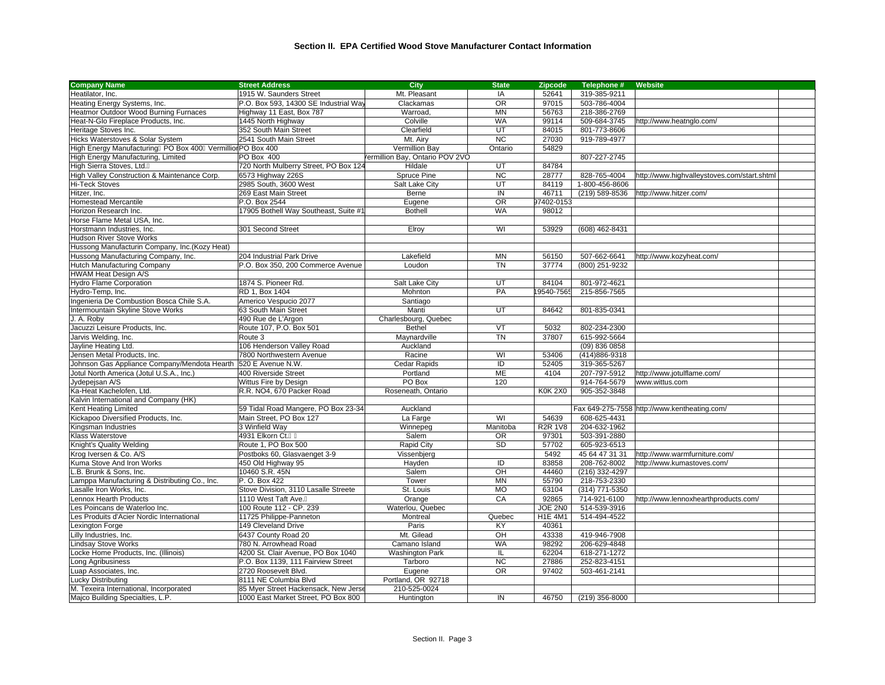| <b>Company Name</b>                                            | <b>Street Address</b>                 | City                           | <b>State</b>    | <b>Zipcode</b> | Telephone #    | Website                                      |  |
|----------------------------------------------------------------|---------------------------------------|--------------------------------|-----------------|----------------|----------------|----------------------------------------------|--|
| Heatilator, Inc.                                               | 1915 W. Saunders Street               | Mt. Pleasant                   | <b>IA</b>       | 52641          | 319-385-9211   |                                              |  |
| Heating Energy Systems, Inc.                                   | P.O. Box 593, 14300 SE Industrial Way | Clackamas                      | $\overline{OR}$ | 97015          | 503-786-4004   |                                              |  |
| Heatmor Outdoor Wood Burning Furnaces                          | Highway 11 East, Box 787              | Warroad,                       | <b>MN</b>       | 56763          | 218-386-2769   |                                              |  |
| Heat-N-Glo Fireplace Products, Inc.                            | 1445 North Highway                    | Colville                       | <b>WA</b>       | 99114          | 509-684-3745   | http://www.heatnglo.com/                     |  |
| Heritage Stoves Inc.                                           | 352 South Main Street                 | Clearfield                     | UT              | 84015          | 801-773-8606   |                                              |  |
| Hicks Waterstoves & Solar System                               | 2541 South Main Street                | Mt. Airy                       | $\overline{NC}$ | 27030          | 919-789-4977   |                                              |  |
| High Energy Manufacturing PO Box 400 Vermillio PO Box 400      |                                       | Vermillion Bay                 | Ontario         | 54829          |                |                                              |  |
| High Energy Manufacturing, Limited                             | PO Box 400                            | ermillion Bay, Ontario POV 2VO |                 |                | 807-227-2745   |                                              |  |
| High Sierra Stoves, Ltd.                                       | 720 North Mulberry Street, PO Box 124 | Hildale                        | UT              | 84784          |                |                                              |  |
| High Valley Construction & Maintenance Corp.                   | 6573 Highway 226S                     | Spruce Pine                    | <b>NC</b>       | 28777          | 828-765-4004   | http://www.highvalleystoves.com/start.shtml  |  |
| <b>Hi-Teck Stoves</b>                                          | 2985 South, 3600 West                 | Salt Lake City                 | UT              | 84119          | 1-800-456-8606 |                                              |  |
| Hitzer, Inc.                                                   | 269 East Main Street                  | Berne                          | $\overline{N}$  | 46711          | (219) 589-8536 | http://www.hitzer.com/                       |  |
| <b>Homestead Mercantile</b>                                    | P.O. Box 2544                         | Eugene                         | $\overline{OR}$ | 97402-0153     |                |                                              |  |
| Horizon Research Inc.                                          | 17905 Bothell Way Southeast, Suite #1 | <b>Bothell</b>                 | <b>WA</b>       | 98012          |                |                                              |  |
| Horse Flame Metal USA, Inc.                                    |                                       |                                |                 |                |                |                                              |  |
| Horstmann Industries, Inc.                                     | 301 Second Street                     | Elroy                          | WI              | 53929          | (608) 462-8431 |                                              |  |
| <b>Hudson River Stove Works</b>                                |                                       |                                |                 |                |                |                                              |  |
| Hussong Manufacturin Company, Inc. (Kozy Heat)                 |                                       |                                |                 |                |                |                                              |  |
| Hussong Manufacturing Company, Inc.                            | 204 Industrial Park Drive             | Lakefield                      | <b>MN</b>       | 56150          | 507-662-6641   | http://www.kozyheat.com/                     |  |
| Hutch Manufacturing Company                                    | P.O. Box 350, 200 Commerce Avenue     | Loudon                         | <b>TN</b>       | 37774          | (800) 251-9232 |                                              |  |
| HWAM Heat Design A/S                                           |                                       |                                |                 |                |                |                                              |  |
| Hydro Flame Corporation                                        | 1874 S. Pioneer Rd.                   | Salt Lake City                 | UT              | 84104          | 801-972-4621   |                                              |  |
| Hydro-Temp, Inc.                                               | RD 1, Box 1404                        | Mohnton                        | PA              | 19540-7565     | 215-856-7565   |                                              |  |
| Ingenieria De Combustion Bosca Chile S.A.                      | Americo Vespucio 2077                 |                                |                 |                |                |                                              |  |
| Intermountain Skyline Stove Works                              | 63 South Main Street                  | Santiago<br>Manti              | <b>UT</b>       | 84642          | 801-835-0341   |                                              |  |
|                                                                |                                       |                                |                 |                |                |                                              |  |
| J. A. Roby                                                     | 490 Rue de L'Argon                    | Charlesbourg, Quebec           |                 | 5032           | 802-234-2300   |                                              |  |
| Jacuzzi Leisure Products, Inc.                                 | Route 107, P.O. Box 501               | <b>Bethel</b>                  | VT              |                |                |                                              |  |
| Jarvis Welding, Inc.                                           | Route 3                               | Maynardville                   | <b>TN</b>       | 37807          | 615-992-5664   |                                              |  |
| Jayline Heating Ltd.                                           | 106 Henderson Valley Road             | Auckland                       |                 |                | (09) 836 0858  |                                              |  |
| Jensen Metal Products, Inc.                                    | 7800 Northwestern Avenue              | Racine                         | WI              | 53406          | (414) 886-9318 |                                              |  |
| Johnson Gas Appliance Company/Mendota Hearth 520 E Avenue N.W. |                                       | Cedar Rapids                   | ID              | 52405          | 319-365-5267   |                                              |  |
| Jotul North America (Jotul U.S.A., Inc.)                       | 400 Riverside Street                  | Portland                       | ME              | 4104           | 207-797-5912   | http://www.jotulflame.com/                   |  |
| Jydepejsan A/S                                                 | Wittus Fire by Design                 | PO Box                         | 120             |                | 914-764-5679   | www.wittus.com                               |  |
| Ka-Heat Kachelofen, Ltd.                                       | R.R. NO4, 670 Packer Road             | Roseneath, Ontario             |                 | <b>K0K 2X0</b> | 905-352-3848   |                                              |  |
| Kalvin International and Company (HK)                          |                                       |                                |                 |                |                |                                              |  |
| Kent Heating Limited                                           | 59 Tidal Road Mangere, PO Box 23-34   | Auckland                       |                 |                |                | Fax 649-275-7558 http://www.kentheating.com/ |  |
| Kickapoo Diversified Products, Inc.                            | Main Street, PO Box 127               | La Farge                       | WI              | 54639          | 608-625-4431   |                                              |  |
| Kingsman Industries                                            | 3 Winfield Way                        | Winnepeg                       | Manitoba        | <b>R2R 1V8</b> | 204-632-1962   |                                              |  |
| Klass Waterstove                                               | 4931 Elkorn Ct.                       | Salem                          | <b>OR</b>       | 97301          | 503-391-2880   |                                              |  |
| Knight's Quality Welding                                       | Route 1, PO Box 500                   | Rapid City                     | SD              | 57702          | 605-923-6513   |                                              |  |
| Krog Iversen & Co. A/S                                         | Postboks 60, Glasvaenget 3-9          | Vissenbjerg                    |                 | 5492           | 45 64 47 31 31 | http://www.warmfurniture.com/                |  |
| Kuma Stove And Iron Works                                      | 450 Old Highway 95                    | Hayden                         | ID              | 83858          | 208-762-8002   | http://www.kumastoves.com/                   |  |
| B. Brunk & Sons, Inc.                                          | 10460 S.R. 45N                        | Salem                          | OH              | 44460          | (216) 332-4297 |                                              |  |
| Lamppa Manufacturing & Distributing Co., Inc.                  | P. O. Box 422                         | Tower                          | <b>MN</b>       | 55790          | 218-753-2330   |                                              |  |
| Lasalle Iron Works, Inc.                                       | Stove Division, 3110 Lasalle Streete  | St. Louis                      | MO              | 63104          | (314) 771-5350 |                                              |  |
| ennox Hearth Products                                          | 1110 West Taft Ave.                   | Orange                         | CA              | 92865          | 714-921-6100   | http://www.lennoxhearthproducts.com/         |  |
| Les Poincans de Waterloo Inc.                                  | 100 Route 112 - CP. 239               | Waterlou, Quebec               |                 | JOE 2N0        | 514-539-3916   |                                              |  |
| Les Produits d'Acier Nordic International                      | 11725 Philippe-Panneton               | Montreal                       | Quebec          | <b>H1E 4M1</b> | 514-494-4522   |                                              |  |
| Lexington Forge                                                | 149 Cleveland Drive                   | Paris                          | KY              | 40361          |                |                                              |  |
| Lilly Industries, Inc.                                         | 6437 County Road 20                   | Mt. Gilead                     | OH              | 43338          | 419-946-7908   |                                              |  |
| <b>Lindsay Stove Works</b>                                     | 780 N. Arrowhead Road                 | Camano Island                  | <b>WA</b>       | 98292          | 206-629-4848   |                                              |  |
| Locke Home Products, Inc. (Illinois)                           | 4200 St. Clair Avenue, PO Box 1040    | <b>Washington Park</b>         | IL.             | 62204          | 618-271-1272   |                                              |  |
| Long Agribusiness                                              | P.O. Box 1139, 111 Fairview Street    | Tarboro                        | <b>NC</b>       | 27886          | 252-823-4151   |                                              |  |
| Luap Associates, Inc.                                          | 2720 Roosevelt Blvd.                  | Eugene                         | <b>OR</b>       | 97402          | 503-461-2141   |                                              |  |
| Lucky Distributing                                             | 8111 NE Columbia Blvd                 | Portland, OR 92718             |                 |                |                |                                              |  |
| M. Texeira International, Incorporated                         | 85 Myer Street Hackensack, New Jerse  | 210-525-0024                   |                 |                |                |                                              |  |
| Majco Building Specialties, L.P.                               | 1000 East Market Street, PO Box 800   | Huntington                     | IN              | 46750          | (219) 356-8000 |                                              |  |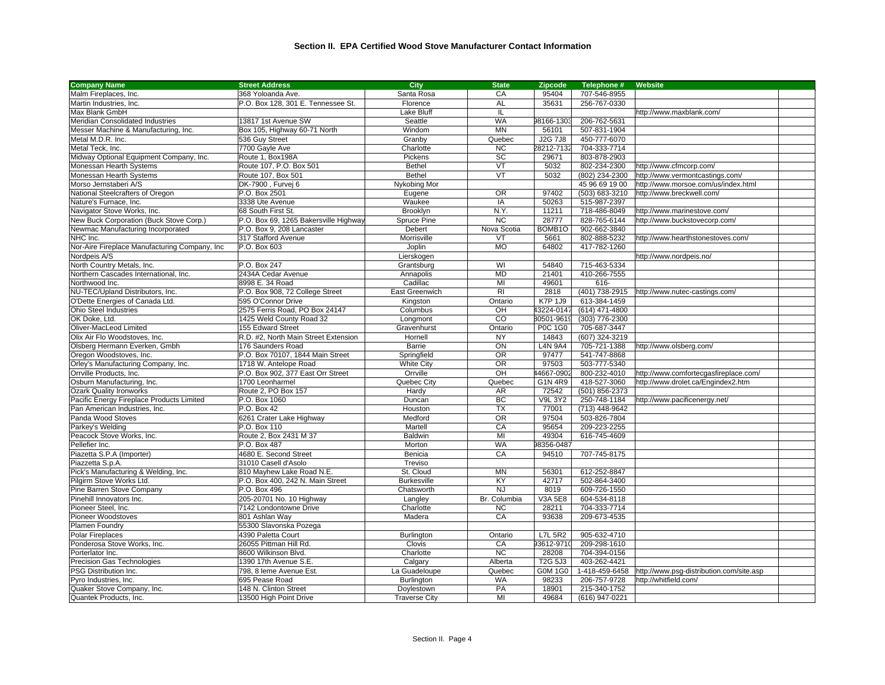| <b>Company Name</b>                            | <b>Street Address</b>                 | City                 | <b>State</b>    | <b>Zipcode</b>        | Telephone #    | Website                                  |  |
|------------------------------------------------|---------------------------------------|----------------------|-----------------|-----------------------|----------------|------------------------------------------|--|
| Malm Fireplaces, Inc.                          | 368 Yoloanda Ave.                     | Santa Rosa           | CA              | 95404                 | 707-546-8955   |                                          |  |
| Martin Industries, Inc.                        | P.O. Box 128, 301 E. Tennessee St.    | Florence             | AL              | 35631                 | 256-767-0330   |                                          |  |
| Max Blank GmbH                                 |                                       | Lake Bluff           | IL              |                       |                | http://www.maxblank.com/                 |  |
| Meridian Consolidated Industries               | 13817 1st Avenue SW                   | Seattle              | <b>WA</b>       | 98166-1303            | 206-762-5631   |                                          |  |
| Messer Machine & Manufacturing, Inc.           | Box 105, Highway 60-71 North          | Windom               | <b>MN</b>       | 56101                 | 507-831-1904   |                                          |  |
| Metal M.D.R. Inc.                              | 536 Guy Street                        | Granby               | Quebec          | <b>J2G 7J8</b>        | 450-777-6070   |                                          |  |
| Metal Teck, Inc.                               | 7700 Gayle Ave                        | Charlotte            | <b>NC</b>       | 28212-7132            | 704-333-7714   |                                          |  |
| Midway Optional Equipment Company, Inc.        | Route 1, Box198A                      | Pickens              | SC              | 29671                 | 803-878-2903   |                                          |  |
| Monessan Hearth Systems                        | Route 107, P.O. Box 501               | <b>Bethel</b>        | VT              | 5032                  | 802-234-2300   | http://www.cfmcorp.com/                  |  |
| Monessan Hearth Systems                        | Route 107, Box 501                    | <b>Bethel</b>        | $\sqrt{T}$      | 5032                  | (802) 234-2300 | http://www.vermontcastings.com/          |  |
| Morso Jernstaberi A/S                          | DK-7900, Furvej 6                     | Nykobing Mor         |                 |                       | 45 96 69 19 00 | http://www.morsoe.com/us/index.html      |  |
| National Steelcrafters of Oregon               | P.O. Box 2501                         | Eugene               | OR              | 97402                 | (503) 683-3210 | http://www.breckwell.com/                |  |
| Nature's Furnace, Inc.                         | 3338 Ute Avenue                       | Waukee               | IA              | 50263                 | 515-987-2397   |                                          |  |
| Navigator Stove Works, Inc.                    | 68 South First St.                    | Brooklyn             | N.Y.            | 11211                 | 718-486-8049   | http://www.marinestove.com/              |  |
| New Buck Corporation (Buck Stove Corp.)        | P.O. Box 69, 1265 Bakersville Highway | Spruce Pine          | <b>NC</b>       | 28777                 | 828-765-6144   | http://www.buckstovecorp.com/            |  |
| Newmac Manufacturing Incorporated              | P.O. Box 9, 208 Lancaster             | Debert               | Nova Scotia     | BOMB1O                | 902-662-3840   |                                          |  |
| NHC Inc.                                       | 317 Stafford Avenue                   | Morrisville          | VT              | 5661                  | 802-888-5232   | http://www.hearthstonestoves.com/        |  |
| Nor-Aire Fireplace Manufacturing Company, Inc. | $P.O.$ Box 603                        | Joplin               | <b>MO</b>       | 64802                 | 417-782-1260   |                                          |  |
| Nordpeis A/S                                   |                                       | Lierskogen           |                 |                       |                | http://www.nordpeis.no/                  |  |
| North Country Metals, Inc.                     | P.O. Box 247                          | Grantsburg           | WI              | 54840                 | 715-463-5334   |                                          |  |
| Northern Cascades International, Inc.          | 2434A Cedar Avenue                    | Annapolis            | <b>MD</b>       | 21401                 | 410-266-7555   |                                          |  |
| Northwood Inc.                                 | 8998 E. 34 Road                       | Cadillac             | MI              | 49601                 | 616-           |                                          |  |
| NU-TEC/Upland Distributors, Inc.               | P.O. Box 908, 72 College Street       | East Greenwich       | R <sub>l</sub>  | 2818                  | (401) 738-2915 | http://www.nutec-castings.com/           |  |
| O'Dette Energies of Canada Ltd.                | 595 O'Connor Drive                    | Kingston             | Ontario         | $\overline{K}$ 7P 1J9 | 613-384-1459   |                                          |  |
| <b>Ohio Steel Industries</b>                   | 2575 Ferris Road, PO Box 24147        | Columbus             | OH              | 43224-0147            | (614) 471-4800 |                                          |  |
| OK Doke, Ltd.                                  | 1425 Weld County Road 32              | Longmont             | $\overline{c}$  | 80501-9619            | (303) 776-2300 |                                          |  |
| Oliver-MacLeod Limited                         | 155 Edward Street                     | Gravenhurst          | Ontario         | P0C 1G0               | 705-687-3447   |                                          |  |
| Olix Air Flo Woodstoves, Inc.                  | R.D. #2, North Main Street Extension  | Hornell              | <b>NY</b>       | 14843                 | (607) 324-3219 |                                          |  |
| Olsberg Hermann Everken, Gmbh                  | 176 Saunders Road                     | Barrie               | ON              | <b>L4N 9A4</b>        | 705-721-1388   | http://www.olsberg.com/                  |  |
| Oregon Woodstoves, Inc.                        | P.O. Box 70107, 1844 Main Street      | Springfield          | $\overline{OR}$ | 97477                 | 541-747-8868   |                                          |  |
| Orley's Manufacturing Company, Inc.            | 1718 W. Antelope Road                 | <b>White City</b>    | OR              | 97503                 | 503-777-5340   |                                          |  |
| Orrville Products, Inc.                        | P.O. Box 902, 377 East Orr Street     | Orrville             | OH              | 44667-0902            | 800-232-4010   | http://www.comfortecgasfireplace.com/    |  |
| Osburn Manufacturing, Inc.                     | 1700 Leonharmel                       | Quebec City          | Quebec          | G <sub>1</sub> N 4R9  | 418-527-3060   | http://www.drolet.ca/Engindex2.htm       |  |
| <b>Ozark Quality Ironworks</b>                 | Route 2, PO Box 157                   | Hardy                | AR              | 72542                 | (501) 856-2373 |                                          |  |
| Pacific Energy Fireplace Products Limited      | P.O. Box 1060                         | Duncan               | BC              | <b>V9L 3Y2</b>        | 250-748-1184   | http://www.pacificenergy.net/            |  |
| Pan American Industries, Inc.                  | P.O. Box 42                           | Houston              | <b>TX</b>       | 77001                 | (713) 448-9642 |                                          |  |
| Panda Wood Stoves                              | 6261 Crater Lake Highway              | Medford              | OR              | 97504                 | 503-826-7804   |                                          |  |
| Parkey's Welding                               | P.O. Box 110                          | Martell              | CA              | 95654                 | 209-223-2255   |                                          |  |
| Peacock Stove Works, Inc.                      | Route 2, Box 2431 M 37                | Baldwin              | MI              | 49304                 | 616-745-4609   |                                          |  |
| Pellefier Inc.                                 | P.O. Box 487                          | Morton               | <b>WA</b>       | 98356-0487            |                |                                          |  |
| Piazetta S.P.A (Importer)                      | 4680 E. Second Street                 | Benicia              | CA              | 94510                 | 707-745-8175   |                                          |  |
| Piazzetta S.p.A.                               | 31010 Casell d'Asolo                  | Treviso              |                 |                       |                |                                          |  |
| Pick's Manufacturing & Welding, Inc.           | 810 Mayhew Lake Road N.E.             | St. Cloud            | <b>MN</b>       | 56301                 | 612-252-8847   |                                          |  |
| Pilgirm Stove Works Ltd.                       | P.O. Box 400, 242 N. Main Street      | <b>Burkesville</b>   | KY              | 42717                 | 502-864-3400   |                                          |  |
| Pine Barren Stove Company                      | P.O. Box 496                          | Chatsworth           | <b>NJ</b>       | 8019                  | 609-726-1550   |                                          |  |
| Pinehill Innovators Inc.                       | 205-20701 No. 10 Highway              | Langley              | Br. Columbia    | <b>V3A 5E8</b>        | 604-534-8118   |                                          |  |
| Pioneer Steel, Inc.                            | 7142 Londontowne Drive                | Charlotte            | <b>NC</b>       | 28211                 | 704-333-7714   |                                          |  |
| Pioneer Woodstoves                             | 801 Ashlan Way                        | Madera               | CA              | 93638                 | 209-673-4535   |                                          |  |
| Plamen Foundry                                 | 55300 Slavonska Pozega                |                      |                 |                       |                |                                          |  |
| <b>Polar Fireplaces</b>                        | 4390 Paletta Court                    | Burlington           | Ontario         | <b>L7L 5R2</b>        | 905-632-4710   |                                          |  |
| Ponderosa Stove Works, Inc.                    | 26055 Pittman Hill Rd.                | Clovis               | CA              | 93612-9710            | 209-298-1610   |                                          |  |
| Porterlator Inc.                               | 8600 Wilkinson Blvd.                  | Charlotte            | $\overline{NC}$ | 28208                 | 704-394-0156   |                                          |  |
| Precision Gas Technologies                     | 1390 17th Avenue S.E.                 | Calgary              | Alberta         | <b>T2G 5J3</b>        | 403-262-4421   |                                          |  |
| PSG Distribution Inc.                          | 798, 8 leme Avenue Est.               | La Guadeloupe        | Quebec          | <b>G0M 1G0</b>        | 1-418-459-6458 | http://www.psg-distribution.com/site.asp |  |
| Pyro Industries, Inc.                          | 695 Pease Road                        | <b>Burlington</b>    | <b>WA</b>       | 98233                 | 206-757-9728   | http://whitfield.com/                    |  |
| Quaker Stove Company, Inc.                     | 148 N. Clinton Street                 | Doylestown           | PA              | 18901                 | 215-340-1752   |                                          |  |
| Quantek Products, Inc.                         | 13500 High Point Drive                | <b>Traverse City</b> | MI              | 49684                 | (616) 947-0221 |                                          |  |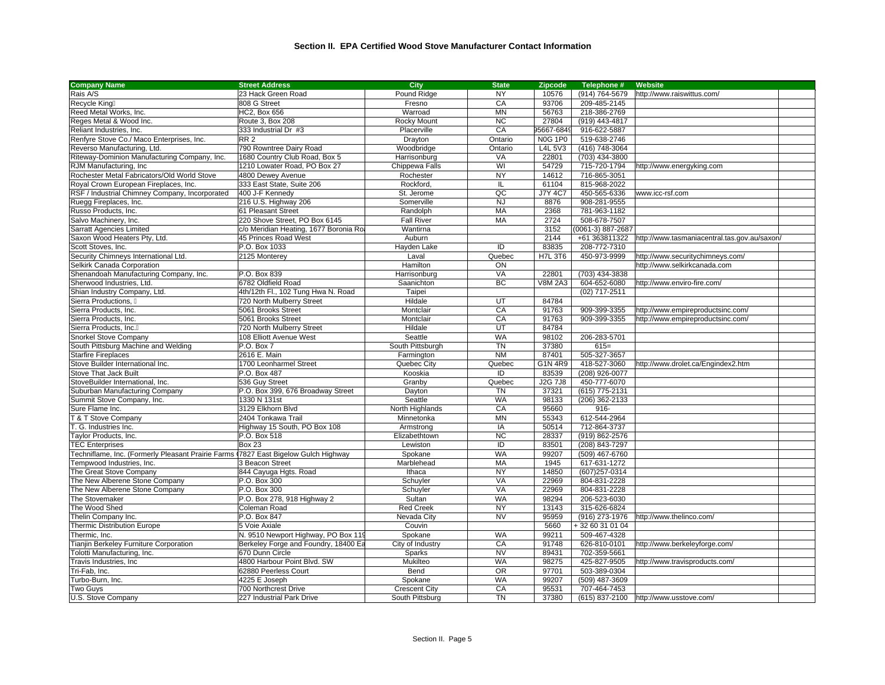| <b>Company Name</b>                                                                 | <b>Street Address</b>                  | City                 | <b>State</b>    | <b>Zipcode</b> | Telephone #       | Website                                      |
|-------------------------------------------------------------------------------------|----------------------------------------|----------------------|-----------------|----------------|-------------------|----------------------------------------------|
| Rais A/S                                                                            | 23 Hack Green Road                     | Pound Ridge          | NY              | 10576          | (914) 764-5679    | http://www.raiswittus.com/                   |
| Recycle King                                                                        | 808 G Street                           | Fresno               | CA              | 93706          | 209-485-2145      |                                              |
| Reed Metal Works, Inc.                                                              | HC2, Box 656                           | Warroad              | <b>MN</b>       | 56763          | 218-386-2769      |                                              |
| Reges Metal & Wood Inc.                                                             | Route 3, Box 208                       | Rocky Mount          | <b>NC</b>       | 27804          | (919) 443-4817    |                                              |
| Reliant Industries, Inc.                                                            | 333 Industrial Dr #3                   | Placerville          | CA              | 95667-6849     | 916-622-5887      |                                              |
| Renfyre Stove Co./ Maco Enterprises, Inc.                                           | <b>RR2</b>                             | Drayton              | Ontario         | <b>N0G 1P0</b> | 519-638-2746      |                                              |
| Reverso Manufacturing, Ltd.                                                         | 790 Rowntree Dairy Road                | Woodbridge           | Ontario         | L4L 5V3        | (416) 748-3064    |                                              |
| Riteway-Dominion Manufacturing Company, Inc.                                        | 1680 Country Club Road, Box 5          | Harrisonburg         | VA              | 22801          | (703) 434-3800    |                                              |
| RJM Manufacturing, Inc                                                              | 1210 Lowater Road, PO Box 27           | Chippewa Falls       | WI              | 54729          | 715-720-1794      | http://www.energyking.com                    |
| Rochester Metal Fabricators/Old World Stove                                         | 4800 Dewey Avenue                      | Rochester            | <b>NY</b>       | 14612          | 716-865-3051      |                                              |
| Royal Crown European Fireplaces, Inc.                                               | 333 East State, Suite 206              | Rockford,            | IL              | 61104          | 815-968-2022      |                                              |
| RSF / Industrial Chimney Company, Incorporated                                      | 400 J-F Kennedy                        | St. Jerome           | QC              | <b>J7Y 4C7</b> | 450-565-6336      | www.icc-rsf.com                              |
| Ruegg Fireplaces, Inc.                                                              | 216 U.S. Highway 206                   | Somerville           | <b>NJ</b>       | 8876           | 908-281-9555      |                                              |
|                                                                                     | 61 Pleasant Street                     |                      | <b>MA</b>       |                |                   |                                              |
| Russo Products, Inc.                                                                |                                        | Randolph             |                 | 2368           | 781-963-1182      |                                              |
| Salvo Machinery, Inc.                                                               | 220 Shove Street, PO Box 6145          | <b>Fall River</b>    | MA              | 2724           | 508-678-7507      |                                              |
| <b>Sarratt Agencies Limited</b>                                                     | c/o Meridian Heating, 1677 Boronia Roa | Wantirna             |                 | 3152           | (0061-3) 887-2687 |                                              |
| Saxon Wood Heaters Pty, Ltd.                                                        | 45 Princes Road West                   | Auburn               |                 | 2144           | +61 363811322     | http://www.tasmaniacentral.tas.gov.au/saxon/ |
| Scott Stoves, Inc.                                                                  | P.O. Box 1033                          | Hayden Lake          | ID              | 83835          | 208-772-7310      |                                              |
| Security Chimneys International Ltd.                                                | 2125 Monterey                          | Laval                | Quebec          | <b>H7L 3T6</b> | 450-973-9999      | http://www.securitychimneys.com/             |
| Selkirk Canada Corporation                                                          |                                        | Hamilton             | ON              |                |                   | http://www.selkirkcanada.com                 |
| Shenandoah Manufacturing Company, Inc.                                              | P.O. Box 839                           | Harrisonburg         | VA              | 22801          | (703) 434-3838    |                                              |
| Sherwood Industries, Ltd.                                                           | 6782 Oldfield Road                     | Saanichton           | <b>BC</b>       | <b>V8M 2A3</b> | 604-652-6080      | http://www.enviro-fire.com/                  |
| Shian Industry Company, Ltd.                                                        | 4th/12th Fl., 102 Tung Hwa N. Road     | Taipei               |                 |                | (02) 717-2511     |                                              |
| Sierra Productions,                                                                 | 720 North Mulberry Street              | Hildale              | UT              | 84784          |                   |                                              |
| Sierra Products, Inc.                                                               | 5061 Brooks Street                     | Montclair            | CA              | 91763          | 909-399-3355      | http://www.empireproductsinc.com/            |
| Sierra Products, Inc.                                                               | 5061 Brooks Street                     | Montclair            | CA              | 91763          | 909-399-3355      | http://www.empireproductsinc.com/            |
| Sierra Products, Inc.                                                               | 720 North Mulberry Street              | Hildale              | $\overline{UT}$ | 84784          |                   |                                              |
| Snorkel Stove Company                                                               | 108 Elliott Avenue West                | Seattle              | <b>WA</b>       | 98102          | 206-283-5701      |                                              |
| South Pittsburg Machine and Welding                                                 | P.O. Box 7                             | South Pittsburgh     | <b>TN</b>       | 37380          | $615=$            |                                              |
| <b>Starfire Fireplaces</b>                                                          | 2616 E. Main                           | Farmington           | <b>NM</b>       | 87401          | 505-327-3657      |                                              |
| Stove Builder International Inc.                                                    | 1700 Leonharmel Street                 | Quebec City          | Quebec          | G1N 4R9        | 418-527-3060      | http://www.drolet.ca/Engindex2.htm           |
| <b>Stove That Jack Built</b>                                                        | P.O. Box 487                           | Kooskia              | ID              | 83539          | (208) 926-0077    |                                              |
| StoveBuilder International, Inc.                                                    | 536 Guy Street                         | Granby               | Quebec          | J2G 7J8        | 450-777-6070      |                                              |
| Suburban Manufacturing Company                                                      | P.O. Box 399, 676 Broadway Street      | Dayton               | <b>TN</b>       | 37321          | (615) 775-2131    |                                              |
| Summit Stove Company, Inc.                                                          | 1330 N 131st                           | Seattle              | <b>WA</b>       | 98133          | (206) 362-2133    |                                              |
| Sure Flame Inc.                                                                     | 3129 Elkhorn Blvd                      | North Highlands      | CA              | 95660          | 916-              |                                              |
| T & T Stove Company                                                                 | 2404 Tonkawa Trail                     | Minnetonka           | <b>MN</b>       | 55343          | 612-544-2964      |                                              |
| T. G. Industries Inc.                                                               | Highway 15 South, PO Box 108           | Armstrong            | IA              | 50514          | 712-864-3737      |                                              |
| Taylor Products, Inc.                                                               | P.O. Box 518                           | Elizabethtown        | <b>NC</b>       | 28337          | (919) 862-2576    |                                              |
| <b>TEC Enterprises</b>                                                              | <b>Box 23</b>                          | Lewiston             | ID              | 83501          | (208) 843-7297    |                                              |
| Techniflame, Inc. (Formerly Pleasant Prairie Farms 17827 East Bigelow Gulch Highway |                                        | Spokane              | <b>WA</b>       | 99207          | (509) 467-6760    |                                              |
| Tempwood Industries, Inc.                                                           | 3 Beacon Street                        | Marblehead           | MA              | 1945           | 617-631-1272      |                                              |
| The Great Stove Company                                                             | 844 Cayuga Hgts. Road                  | Ithaca               | <b>NY</b>       | 14850          | (607) 257-0314    |                                              |
| The New Alberene Stone Company                                                      | P.O. Box 300                           | Schuyler             | VA              | 22969          | 804-831-2228      |                                              |
| The New Alberene Stone Company                                                      | P.O. Box 300                           | Schuyler             | VA              | 22969          | 804-831-2228      |                                              |
| The Stovemaker                                                                      | P.O. Box 278, 918 Highway 2            | Sultan               | <b>WA</b>       | 98294          | 206-523-6030      |                                              |
| The Wood Shed                                                                       | Coleman Road                           | <b>Red Creek</b>     | <b>NY</b>       | 13143          | 315-626-6824      |                                              |
| Thelin Company Inc.                                                                 | P.O. Box 847                           | Nevada City          | <b>NV</b>       | 95959          | (916) 273-1976    | http://www.thelinco.com/                     |
| Thermic Distribution Europe                                                         | 5 Voie Axiale                          | Couvin               |                 | 5660           | +32 60 31 01 04   |                                              |
| Thermic. Inc.                                                                       |                                        |                      | <b>WA</b>       | 99211          |                   |                                              |
|                                                                                     | N. 9510 Newport Highway, PO Box 119    | Spokane              | CA              | 91748          | 509-467-4328      |                                              |
| Tianjin Berkeley Furniture Corporation                                              | Berkeley Forge and Foundry, 18400 Ea   | City of Industry     |                 |                | 626-810-0101      | http://www.berkeleyforge.com/                |
| Tolotti Manufacturing, Inc.                                                         | 670 Dunn Circle                        | Sparks               | <b>NV</b>       | 89431          | 702-359-5661      |                                              |
| Travis Industries, Inc                                                              | 4800 Harbour Point Blvd. SW            | Mukilteo             | <b>WA</b>       | 98275          | 425-827-9505      | http://www.travisproducts.com/               |
| Tri-Fab, Inc.                                                                       | 62880 Peerless Court                   | Bend                 | $\overline{OR}$ | 97701          | 503-389-0304      |                                              |
| Turbo-Burn, Inc.                                                                    | 4225 E Joseph                          | Spokane              | <b>WA</b>       | 99207          | (509) 487-3609    |                                              |
| <b>Two Guys</b>                                                                     | 700 Northcrest Drive                   | <b>Crescent City</b> | CA              | 95531          | 707-464-7453      |                                              |
| U.S. Stove Company                                                                  | 227 Industrial Park Drive              | South Pittsburg      | <b>TN</b>       | 37380          | (615) 837-2100    | http://www.usstove.com/                      |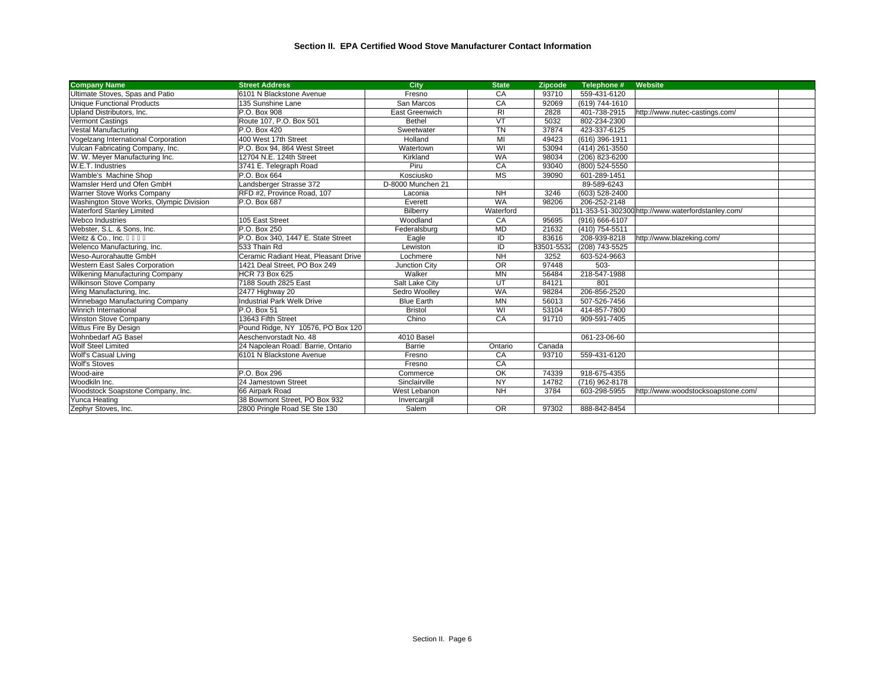| <b>Company Name</b>                      | <b>Street Address</b>                | City              | <b>State</b>   | <b>Zipcode</b> | Telephone #    | Website                                            |  |
|------------------------------------------|--------------------------------------|-------------------|----------------|----------------|----------------|----------------------------------------------------|--|
| Ultimate Stoves, Spas and Patio          | 6101 N Blackstone Avenue             | Fresno            | CA             | 93710          | 559-431-6120   |                                                    |  |
| <b>Unique Functional Products</b>        | 135 Sunshine Lane                    | San Marcos        | CA             | 92069          | (619) 744-1610 |                                                    |  |
| Upland Distributors, Inc.                | P.O. Box 908                         | East Greenwich    | R <sub>l</sub> | 2828           | 401-738-2915   | http://www.nutec-castings.com/                     |  |
| Vermont Castings                         | Route 107, P.O. Box 501              | <b>Bethel</b>     | VT             | 5032           | 802-234-2300   |                                                    |  |
| Vestal Manufacturing                     | P.O. Box 420                         | Sweetwater        | <b>TN</b>      | 37874          | 423-337-6125   |                                                    |  |
| Vogelzang International Corporation      | 400 West 17th Street                 | Holland           | MI             | 49423          | (616) 396-1911 |                                                    |  |
| Vulcan Fabricating Company, Inc.         | P.O. Box 94, 864 West Street         | Watertown         | WI             | 53094          | (414) 261-3550 |                                                    |  |
| W. W. Meyer Manufacturing Inc.           | 12704 N.E. 124th Street              | Kirkland          | <b>WA</b>      | 98034          | (206) 823-6200 |                                                    |  |
| W.E.T. Industries                        | 3741 E. Telegraph Road               | Piru              | CA             | 93040          | (800) 524-5550 |                                                    |  |
| Wamble's Machine Shop                    | P.O. Box 664                         | Kosciusko         | <b>MS</b>      | 39090          | 601-289-1451   |                                                    |  |
| Wamsler Herd und Ofen GmbH               | Landsberger Strasse 372              | D-8000 Munchen 21 |                |                | 89-589-6243    |                                                    |  |
| Warner Stove Works Company               | RFD #2, Province Road, 107           | Laconia           | <b>NH</b>      | 3246           | (603) 528-2400 |                                                    |  |
| Washington Stove Works, Olympic Division | P.O. Box 687                         | Everett           | <b>WA</b>      | 98206          | 206-252-2148   |                                                    |  |
| Waterford Stanley Limited                |                                      | Bilberry          | Waterford      |                |                | 011-353-51-302300 http://www.waterfordstanley.com/ |  |
| <b>Webco Industries</b>                  | 105 East Street                      | Woodland          | CA             | 95695          | (916) 666-6107 |                                                    |  |
| Webster, S.L. & Sons, Inc.               | P.O. Box 250                         | Federalsburg      | <b>MD</b>      | 21632          | (410) 754-5511 |                                                    |  |
| Weitz & Co., Inc.                        | P.O. Box 340, 1447 E. State Street   | Eagle             | ID             | 83616          | 208-939-8218   | http://www.blazeking.com/                          |  |
| Welenco Manufacturing, Inc.              | 533 Thain Rd                         | Lewiston          | ID             | 83501-5532     | (208) 743-5525 |                                                    |  |
| Weso-Aurorahautte GmbH                   | Ceramic Radiant Heat. Pleasant Drive | Lochmere          | <b>NH</b>      | 3252           | 603-524-9663   |                                                    |  |
| Western East Sales Corporation           | 1421 Deal Street, PO Box 249         | Junction City     | <b>OR</b>      | 97448          | 503-           |                                                    |  |
| Wilkening Manufacturing Company          | <b>HCR 73 Box 625</b>                | Walker            | <b>MN</b>      | 56484          | 218-547-1988   |                                                    |  |
| <b>Wilkinson Stove Company</b>           | 7188 South 2825 East                 | Salt Lake City    | UT             | 84121          | 801            |                                                    |  |
| Wing Manufacturing, Inc.                 | 2477 Highway 20                      | Sedro Woollev     | <b>WA</b>      | 98284          | 206-856-2520   |                                                    |  |
| Winnebago Manufacturing Company          | <b>Industrial Park Welk Drive</b>    | <b>Blue Earth</b> | <b>MN</b>      | 56013          | 507-526-7456   |                                                    |  |
| Winrich International                    | P.O. Box 51                          | <b>Bristol</b>    | WI             | 53104          | 414-857-7800   |                                                    |  |
| Winston Stove Company                    | 13643 Fifth Street                   | Chino             | CA             | 91710          | 909-591-7405   |                                                    |  |
| Wittus Fire By Design                    | Pound Ridge, NY 10576, PO Box 120    |                   |                |                |                |                                                    |  |
| Wohnbedarf AG Basel                      | Aeschenvorstadt No. 48               | 4010 Basel        |                |                | 061-23-06-60   |                                                    |  |
| Wolf Steel Limited                       | 24 Napolean Road Barrie, Ontario     | Barrie            | Ontario        | Canada         |                |                                                    |  |
| Wolf's Casual Living                     | 6101 N Blackstone Avenue             | Fresno            | CA             | 93710          | 559-431-6120   |                                                    |  |
| <b>Wolf's Stoves</b>                     |                                      | Fresno            | CA             |                |                |                                                    |  |
| Wood-aire                                | P.O. Box 296                         | Commerce          | OK             | 74339          | 918-675-4355   |                                                    |  |
| Woodkiln Inc.                            | 24 Jamestown Street                  | Sinclairville     | <b>NY</b>      | 14782          | (716) 962-8178 |                                                    |  |
| Woodstock Soapstone Company, Inc.        | 66 Airpark Road                      | West Lebanon      | <b>NH</b>      | 3784           | 603-298-5955   | http://www.woodstocksoapstone.com/                 |  |
| Yunca Heating                            | 38 Bowmont Street. PO Box 932        | Invercargill      |                |                |                |                                                    |  |
| Zephyr Stoves, Inc.                      | 2800 Pringle Road SE Ste 130         | Salem             | <b>OR</b>      | 97302          | 888-842-8454   |                                                    |  |